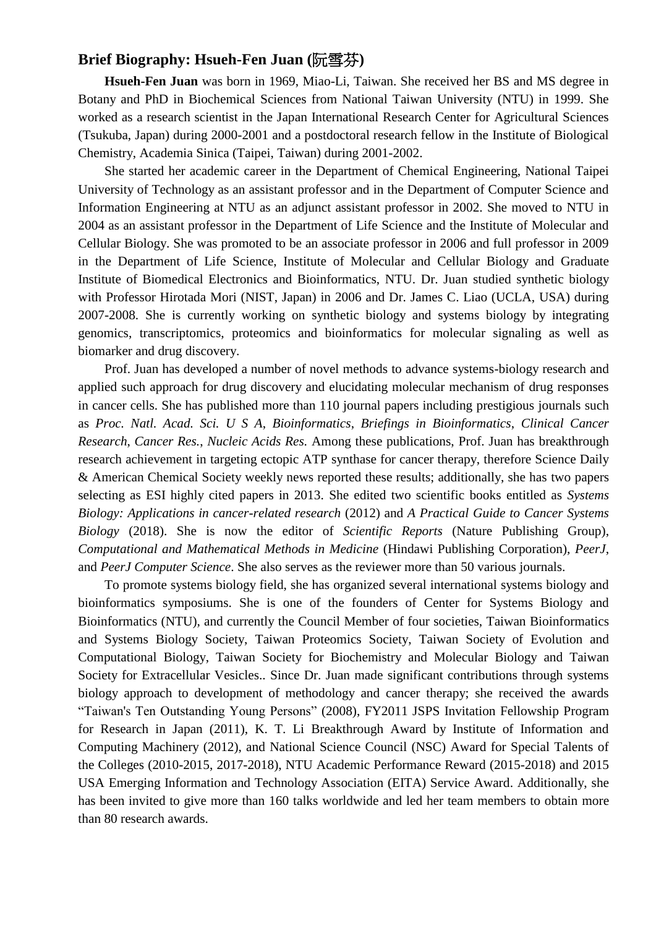## **Brief Biography: Hsueh-Fen Juan (**阮雪芬**)**

**Hsueh-Fen Juan** was born in 1969, Miao-Li, Taiwan. She received her BS and MS degree in Botany and PhD in Biochemical Sciences from National Taiwan University (NTU) in 1999. She worked as a research scientist in the Japan International Research Center for Agricultural Sciences (Tsukuba, Japan) during 2000-2001 and a postdoctoral research fellow in the Institute of Biological Chemistry, Academia Sinica (Taipei, Taiwan) during 2001-2002.

 She started her academic career in the Department of Chemical Engineering, National Taipei University of Technology as an assistant professor and in the Department of Computer Science and Information Engineering at NTU as an adjunct assistant professor in 2002. She moved to NTU in 2004 as an assistant professor in the Department of Life Science and the Institute of Molecular and Cellular Biology. She was promoted to be an associate professor in 2006 and full professor in 2009 in the Department of Life Science, Institute of Molecular and Cellular Biology and Graduate Institute of Biomedical Electronics and Bioinformatics, NTU. Dr. Juan studied synthetic biology with Professor Hirotada Mori (NIST, Japan) in 2006 and Dr. James C. Liao (UCLA, USA) during 2007-2008. She is currently working on synthetic biology and systems biology by integrating genomics, transcriptomics, proteomics and bioinformatics for molecular signaling as well as biomarker and drug discovery.

 Prof. Juan has developed a number of novel methods to advance systems-biology research and applied such approach for drug discovery and elucidating molecular mechanism of drug responses in cancer cells. She has published more than 110 journal papers including prestigious journals such as *Proc. Natl. Acad. Sci. U S A*, *Bioinformatics*, *Briefings in Bioinformatics*, *Clinical Cancer Research*, *Cancer Res.*, *Nucleic Acids Res.* Among these publications, Prof. Juan has breakthrough research achievement in targeting ectopic ATP synthase for cancer therapy, therefore Science Daily & American Chemical Society weekly news reported these results; additionally, she has two papers selecting as ESI highly cited papers in 2013. She edited two scientific books entitled as *Systems Biology: Applications in cancer-related research* (2012) and *A Practical Guide to Cancer Systems Biology* (2018). She is now the editor of *Scientific Reports* (Nature Publishing Group), *Computational and Mathematical Methods in Medicine* (Hindawi Publishing Corporation), *PeerJ*, and *PeerJ Computer Science*. She also serves as the reviewer more than 50 various journals.

To promote systems biology field, she has organized several international systems biology and bioinformatics symposiums. She is one of the founders of Center for Systems Biology and Bioinformatics (NTU), and currently the Council Member of four societies, Taiwan Bioinformatics and Systems Biology Society, Taiwan Proteomics Society, Taiwan Society of Evolution and Computational Biology, Taiwan Society for Biochemistry and Molecular Biology and Taiwan Society for Extracellular Vesicles.. Since Dr. Juan made significant contributions through systems biology approach to development of methodology and cancer therapy; she received the awards "Taiwan's Ten Outstanding Young Persons" (2008), FY2011 JSPS Invitation Fellowship Program for Research in Japan (2011), K. T. Li Breakthrough Award by Institute of Information and Computing Machinery (2012), and National Science Council (NSC) Award for Special Talents of the Colleges (2010-2015, 2017-2018), NTU Academic Performance Reward (2015-2018) and 2015 USA Emerging Information and Technology Association (EITA) Service Award. Additionally, she has been invited to give more than 160 talks worldwide and led her team members to obtain more than 80 research awards.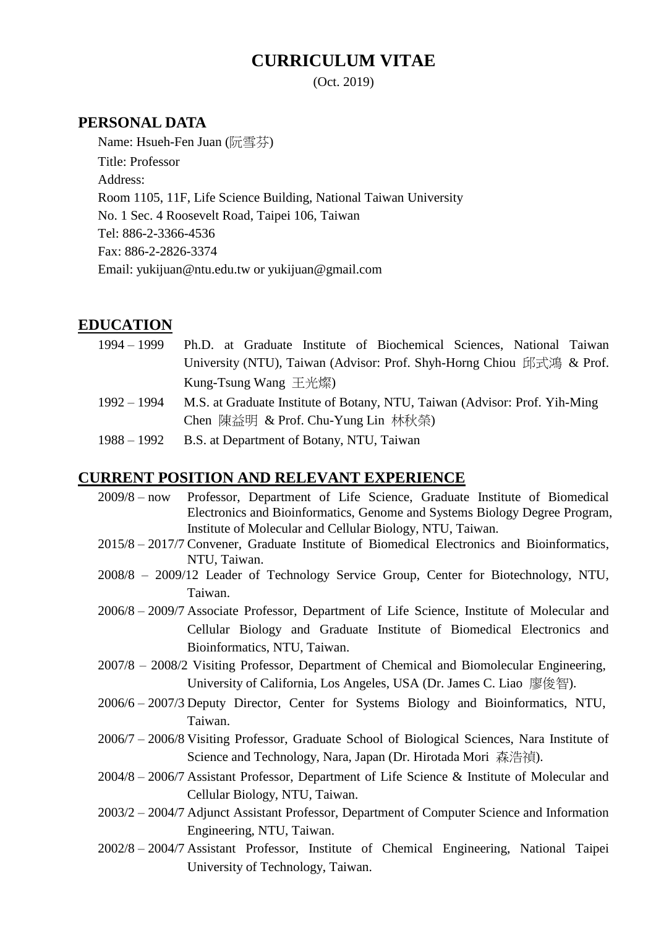# **CURRICULUM VITAE**

(Oct. 2019)

## **PERSONAL DATA**

Name: Hsueh-Fen Juan (阮雪芬) Title: Professor Address: Room 1105, 11F, Life Science Building, National Taiwan University No. 1 Sec. 4 Roosevelt Road, Taipei 106, Taiwan Tel: 886-2-3366-4536 Fax: 886-2-2826-3374 Email: yukijuan@ntu.edu.tw or yukijuan@gmail.com

## **EDUCATION**

| 1994 – 1999   | Ph.D. at Graduate Institute of Biochemical Sciences, National Taiwan        |
|---------------|-----------------------------------------------------------------------------|
|               | University (NTU), Taiwan (Advisor: Prof. Shyh-Horng Chiou 邱式鴻 & Prof.       |
|               | Kung-Tsung Wang 王光燦                                                         |
| $1992 - 1994$ | M.S. at Graduate Institute of Botany, NTU, Taiwan (Advisor: Prof. Yih-Ming) |
|               | Chen 陳益明 & Prof. Chu-Yung Lin 林秋榮)                                          |
| 1988 – 1992   | B.S. at Department of Botany, NTU, Taiwan                                   |

## **CURRENT POSITION AND RELEVANT EXPERIENCE**

- 2009/8 now Professor, Department of Life Science, Graduate Institute of Biomedical Electronics and Bioinformatics, Genome and Systems Biology Degree Program, Institute of Molecular and Cellular Biology, NTU, Taiwan.
- 2015/8 2017/7 Convener, Graduate Institute of Biomedical Electronics and Bioinformatics, NTU, Taiwan.
- 2008/8 2009/12 Leader of Technology Service Group, Center for Biotechnology, NTU, Taiwan.
- 2006/8 2009/7 Associate Professor, Department of Life Science, Institute of Molecular and Cellular Biology and Graduate Institute of Biomedical Electronics and Bioinformatics, NTU, Taiwan.
- 2007/8 2008/2 Visiting Professor, Department of Chemical and Biomolecular Engineering, University of California, Los Angeles, USA (Dr. James C. Liao 廖俊智).
- 2006/6 2007/3 Deputy Director, Center for Systems Biology and Bioinformatics, NTU, Taiwan.
- 2006/7 2006/8 Visiting Professor, Graduate School of Biological Sciences, Nara Institute of Science and Technology, Nara, Japan (Dr. Hirotada Mori 森浩禎).
- 2004/8 2006/7 Assistant Professor, Department of Life Science & Institute of Molecular and Cellular Biology, NTU, Taiwan.
- 2003/2 2004/7 Adjunct Assistant Professor, Department of Computer Science and Information Engineering, NTU, Taiwan.
- 2002/8 2004/7 Assistant Professor, Institute of Chemical Engineering, National Taipei University of Technology, Taiwan.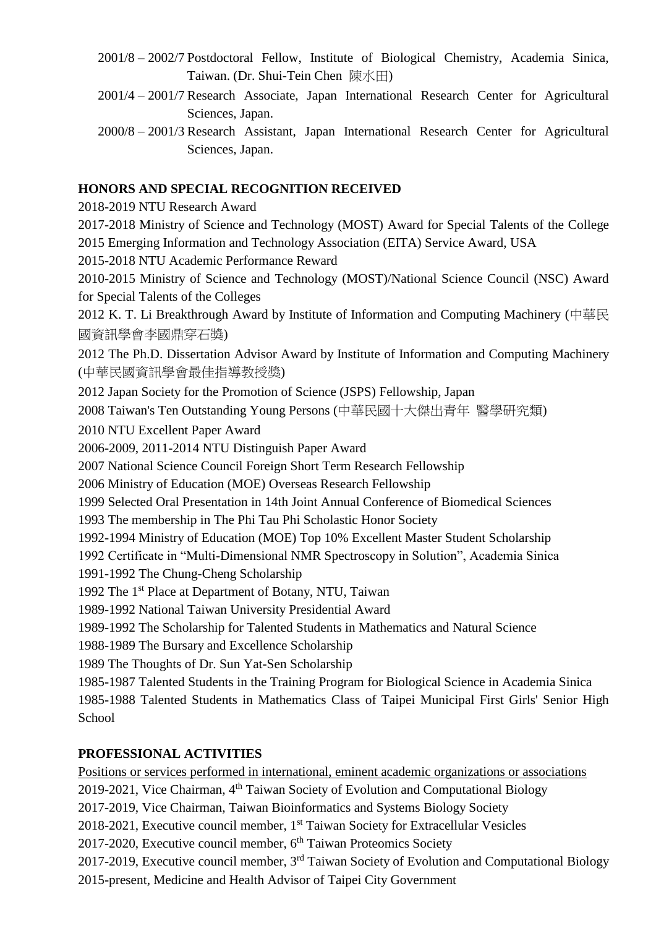- 2001/8 2002/7 Postdoctoral Fellow, Institute of Biological Chemistry, Academia Sinica, Taiwan. (Dr. Shui-Tein Chen 陳水田)
- 2001/4 2001/7 Research Associate, Japan International Research Center for Agricultural Sciences, Japan.
- 2000/8 2001/3 Research Assistant, Japan International Research Center for Agricultural Sciences, Japan.

## **HONORS AND SPECIAL RECOGNITION RECEIVED**

2018-2019 NTU Research Award

2017-2018 Ministry of Science and Technology (MOST) Award for Special Talents of the College 2015 Emerging Information and Technology Association (EITA) Service Award, USA

2015-2018 NTU Academic Performance Reward

2010-2015 Ministry of Science and Technology (MOST)/National Science Council (NSC) Award for Special Talents of the Colleges

2012 K. T. Li Breakthrough Award by Institute of Information and Computing Machinery (中華民 國資訊學會李國鼎穿石獎)

2012 The Ph.D. Dissertation Advisor Award by Institute of Information and Computing Machinery (中華民國資訊學會最佳指導教授獎)

2012 Japan Society for the Promotion of Science (JSPS) Fellowship, Japan

2008 Taiwan's Ten Outstanding Young Persons (中華民國十大傑出青年 醫學研究類)

2010 NTU Excellent Paper Award

2006-2009, 2011-2014 NTU Distinguish Paper Award

2007 National Science Council Foreign Short Term Research Fellowship

2006 Ministry of Education (MOE) Overseas Research Fellowship

1999 Selected Oral Presentation in 14th Joint Annual Conference of Biomedical Sciences

1993 The membership in The Phi Tau Phi Scholastic Honor Society

1992-1994 Ministry of Education (MOE) Top 10% Excellent Master Student Scholarship

1992 Certificate in "Multi-Dimensional NMR Spectroscopy in Solution", Academia Sinica

1991-1992 The Chung-Cheng Scholarship

1992 The 1<sup>st</sup> Place at Department of Botany, NTU, Taiwan

1989-1992 National Taiwan University Presidential Award

1989-1992 The Scholarship for Talented Students in Mathematics and Natural Science

1988-1989 The Bursary and Excellence Scholarship

1989 The Thoughts of Dr. Sun Yat-Sen Scholarship

1985-1987 Talented Students in the Training Program for Biological Science in Academia Sinica 1985-1988 Talented Students in Mathematics Class of Taipei Municipal First Girls' Senior High **School** 

## **PROFESSIONAL ACTIVITIES**

Positions or services performed in international, eminent academic organizations or associations 2019-2021, Vice Chairman, 4<sup>th</sup> Taiwan Society of Evolution and Computational Biology 2017-2019, Vice Chairman, Taiwan Bioinformatics and Systems Biology Society 2018-2021, Executive council member, 1<sup>st</sup> Taiwan Society for Extracellular Vesicles 2017-2020, Executive council member, 6<sup>th</sup> Taiwan Proteomics Society 2017-2019, Executive council member, 3<sup>rd</sup> Taiwan Society of Evolution and Computational Biology 2015-present, Medicine and Health Advisor of Taipei City Government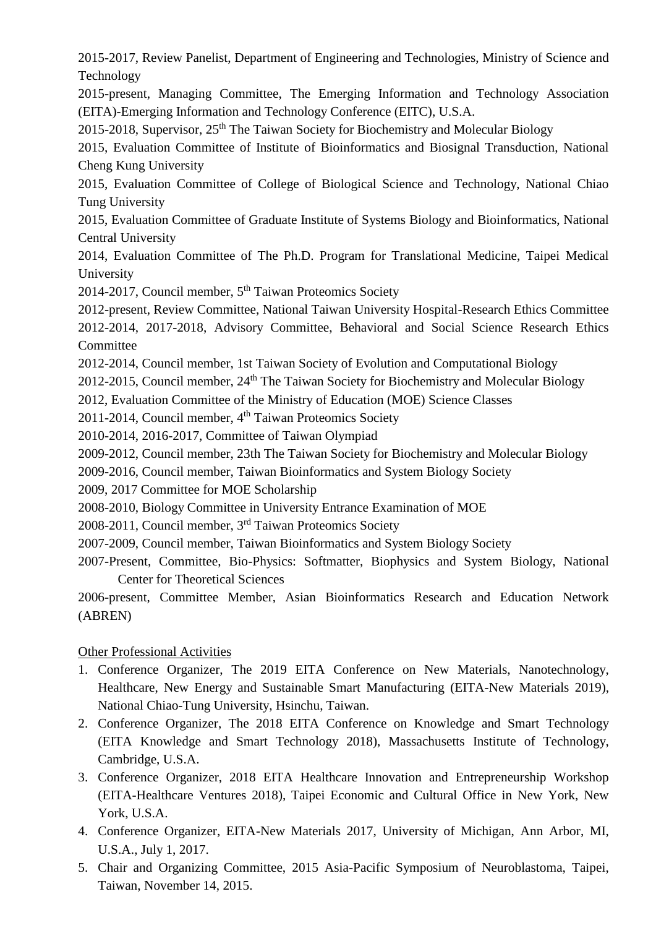2015-2017, Review Panelist, Department of Engineering and Technologies, Ministry of Science and Technology

2015-present, Managing Committee, The Emerging Information and Technology Association (EITA)-Emerging Information and Technology Conference (EITC), U.S.A.

2015-2018, Supervisor,  $25<sup>th</sup>$  The Taiwan Society for Biochemistry and Molecular Biology

2015, Evaluation Committee of Institute of Bioinformatics and Biosignal Transduction, National Cheng Kung University

2015, Evaluation Committee of College of Biological Science and Technology, National Chiao Tung University

2015, Evaluation Committee of Graduate Institute of Systems Biology and Bioinformatics, National Central University

2014, Evaluation Committee of The Ph.D. Program for Translational Medicine, Taipei Medical University

2014-2017, Council member, 5<sup>th</sup> Taiwan Proteomics Society

2012-present, Review Committee, National Taiwan University Hospital-Research Ethics Committee 2012-2014, 2017-2018, Advisory Committee, Behavioral and Social Science Research Ethics **Committee** 

2012-2014, Council member, 1st Taiwan Society of Evolution and Computational Biology

 $2012$ -2015, Council member,  $24<sup>th</sup>$  The Taiwan Society for Biochemistry and Molecular Biology

2012, Evaluation Committee of the Ministry of Education (MOE) Science Classes

2011-2014, Council member, 4<sup>th</sup> Taiwan Proteomics Society

2010-2014, 2016-2017, Committee of Taiwan Olympiad

2009-2012, Council member, 23th The Taiwan Society for Biochemistry and Molecular Biology

2009-2016, Council member, Taiwan Bioinformatics and System Biology Society

2009, 2017 Committee for MOE Scholarship

2008-2010, Biology Committee in University Entrance Examination of MOE

2008-2011, Council member, 3<sup>rd</sup> Taiwan Proteomics Society

2007-2009, Council member, Taiwan Bioinformatics and System Biology Society

2007-Present, Committee, Bio-Physics: Softmatter, Biophysics and System Biology, National Center for Theoretical Sciences

2006-present, Committee Member, Asian Bioinformatics Research and Education Network (ABREN)

## Other Professional Activities

- 1. Conference Organizer, The 2019 EITA Conference on New Materials, Nanotechnology, Healthcare, New Energy and Sustainable Smart Manufacturing (EITA-New Materials 2019), National Chiao-Tung University, Hsinchu, Taiwan.
- 2. Conference Organizer, The 2018 EITA Conference on Knowledge and Smart Technology (EITA Knowledge and Smart Technology 2018), Massachusetts Institute of Technology, Cambridge, U.S.A.
- 3. Conference Organizer, 2018 EITA Healthcare Innovation and Entrepreneurship Workshop (EITA-Healthcare Ventures 2018), Taipei Economic and Cultural Office in New York, New York, U.S.A.
- 4. Conference Organizer, EITA-New Materials 2017, University of Michigan, Ann Arbor, MI, U.S.A., July 1, 2017.
- 5. Chair and Organizing Committee, 2015 Asia-Pacific Symposium of Neuroblastoma, Taipei, Taiwan, November 14, 2015.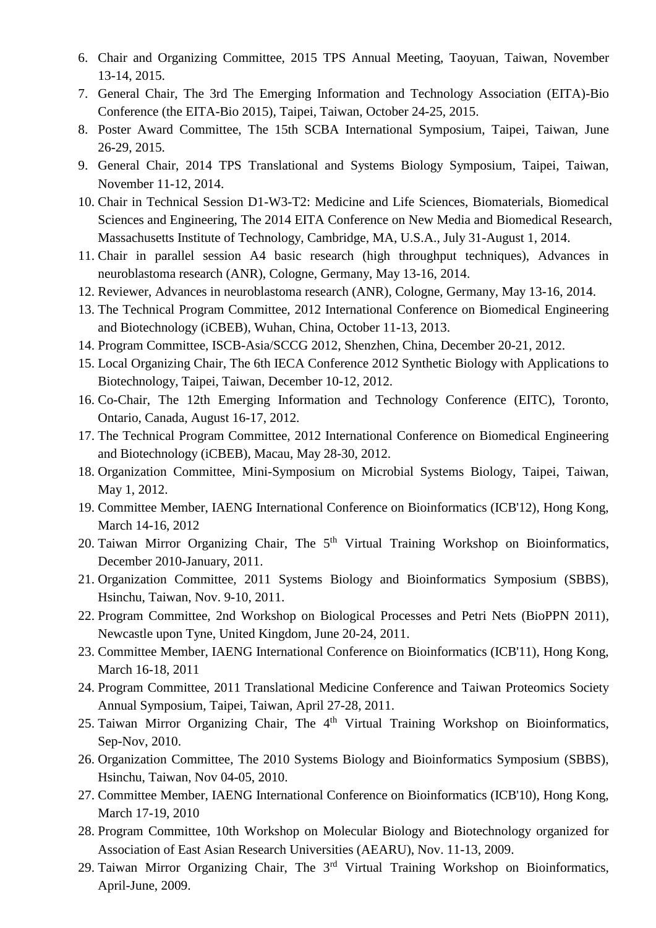- 6. Chair and Organizing Committee, 2015 TPS Annual Meeting, Taoyuan, Taiwan, November 13-14, 2015.
- 7. General Chair, The 3rd The Emerging Information and Technology Association (EITA)-Bio Conference (the EITA-Bio 2015), Taipei, Taiwan, October 24-25, 2015.
- 8. Poster Award Committee, The 15th SCBA International Symposium, Taipei, Taiwan, June 26-29, 2015.
- 9. General Chair, 2014 TPS Translational and Systems Biology Symposium, Taipei, Taiwan, November 11-12, 2014.
- 10. Chair in Technical Session D1-W3-T2: Medicine and Life Sciences, Biomaterials, Biomedical Sciences and Engineering, The 2014 EITA Conference on New Media and Biomedical Research, Massachusetts Institute of Technology, Cambridge, MA, U.S.A., July 31-August 1, 2014.
- 11. Chair in parallel session A4 basic research (high throughput techniques), Advances in neuroblastoma research (ANR), Cologne, Germany, May 13-16, 2014.
- 12. Reviewer, Advances in neuroblastoma research (ANR), Cologne, Germany, May 13-16, 2014.
- 13. The Technical Program Committee, 2012 International Conference on Biomedical Engineering and Biotechnology (iCBEB), Wuhan, China, October 11-13, 2013.
- 14. Program Committee, ISCB-Asia/SCCG 2012, Shenzhen, China, December 20-21, 2012.
- 15. Local Organizing Chair, The 6th IECA Conference 2012 Synthetic Biology with Applications to Biotechnology, Taipei, Taiwan, December 10-12, 2012.
- 16. Co-Chair, The 12th Emerging Information and Technology Conference (EITC), Toronto, Ontario, Canada, August 16-17, 2012.
- 17. The Technical Program Committee, 2012 International Conference on Biomedical Engineering and Biotechnology (iCBEB), Macau, May 28-30, 2012.
- 18. Organization Committee, Mini-Symposium on Microbial Systems Biology, Taipei, Taiwan, May 1, 2012.
- 19. Committee Member, IAENG International Conference on Bioinformatics (ICB'12), Hong Kong, March 14-16, 2012
- 20. Taiwan Mirror Organizing Chair, The  $5<sup>th</sup>$  Virtual Training Workshop on Bioinformatics, December 2010-January, 2011.
- 21. Organization Committee, 2011 Systems Biology and Bioinformatics Symposium (SBBS), Hsinchu, Taiwan, Nov. 9-10, 2011.
- 22. Program Committee, 2nd Workshop on Biological Processes and Petri Nets (BioPPN 2011), Newcastle upon Tyne, United Kingdom, June 20-24, 2011.
- 23. Committee Member, IAENG International Conference on Bioinformatics (ICB'11), Hong Kong, March 16-18, 2011
- 24. Program Committee, 2011 Translational Medicine Conference and Taiwan Proteomics Society Annual Symposium, Taipei, Taiwan, April 27-28, 2011.
- 25. Taiwan Mirror Organizing Chair, The  $4<sup>th</sup>$  Virtual Training Workshop on Bioinformatics, Sep-Nov, 2010.
- 26. Organization Committee, The 2010 Systems Biology and Bioinformatics Symposium (SBBS), Hsinchu, Taiwan, Nov 04-05, 2010.
- 27. Committee Member, IAENG International Conference on Bioinformatics (ICB'10), Hong Kong, March 17-19, 2010
- 28. Program Committee, 10th Workshop on Molecular Biology and Biotechnology organized for Association of East Asian Research Universities (AEARU), Nov. 11-13, 2009.
- 29. Taiwan Mirror Organizing Chair, The 3rd Virtual Training Workshop on Bioinformatics, April-June, 2009.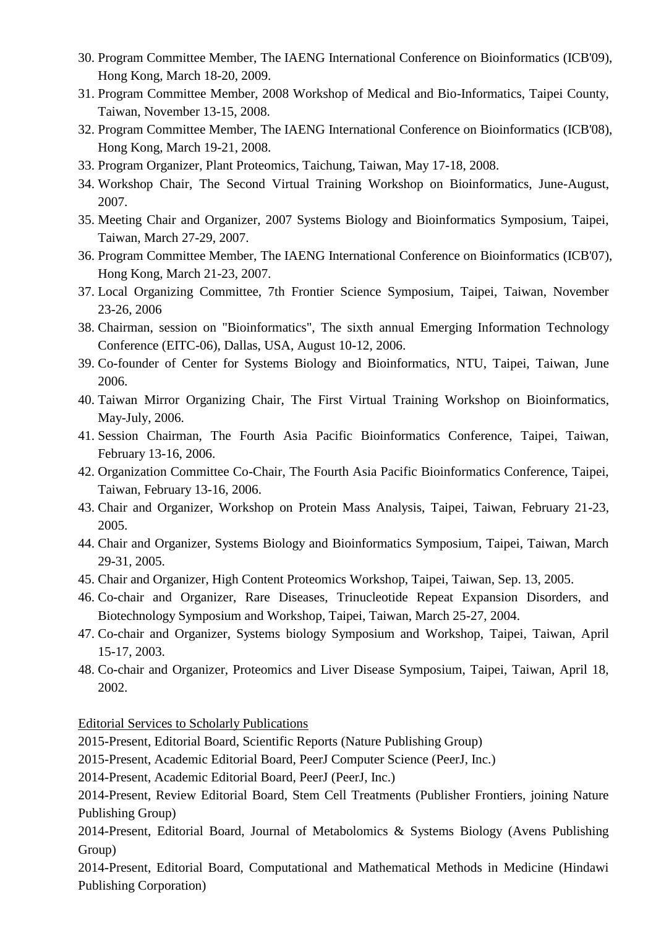- 30. Program Committee Member, The IAENG International Conference on Bioinformatics (ICB'09), Hong Kong, March 18-20, 2009.
- 31. Program Committee Member, 2008 Workshop of Medical and Bio-Informatics, Taipei County, Taiwan, November 13-15, 2008.
- 32. Program Committee Member, The IAENG International Conference on Bioinformatics (ICB'08), Hong Kong, March 19-21, 2008.
- 33. Program Organizer, Plant Proteomics, Taichung, Taiwan, May 17-18, 2008.
- 34. Workshop Chair, The Second Virtual Training Workshop on Bioinformatics, June-August, 2007.
- 35. Meeting Chair and Organizer, 2007 Systems Biology and Bioinformatics Symposium, Taipei, Taiwan, March 27-29, 2007.
- 36. Program Committee Member, The IAENG International Conference on Bioinformatics (ICB'07), Hong Kong, March 21-23, 2007.
- 37. Local Organizing Committee, 7th Frontier Science Symposium, Taipei, Taiwan, November 23-26, 2006
- 38. Chairman, session on "Bioinformatics", The sixth annual Emerging Information Technology Conference (EITC-06), Dallas, USA, August 10-12, 2006.
- 39. Co-founder of Center for Systems Biology and Bioinformatics, NTU, Taipei, Taiwan, June 2006.
- 40. Taiwan Mirror Organizing Chair, The First Virtual Training Workshop on Bioinformatics, May-July, 2006.
- 41. Session Chairman, The Fourth Asia Pacific Bioinformatics Conference, Taipei, Taiwan, February 13-16, 2006.
- 42. Organization Committee Co-Chair, The Fourth Asia Pacific Bioinformatics Conference, Taipei, Taiwan, February 13-16, 2006.
- 43. Chair and Organizer, Workshop on Protein Mass Analysis, Taipei, Taiwan, February 21-23, 2005.
- 44. Chair and Organizer, Systems Biology and Bioinformatics Symposium, Taipei, Taiwan, March 29-31, 2005.
- 45. Chair and Organizer, High Content Proteomics Workshop, Taipei, Taiwan, Sep. 13, 2005.
- 46. Co-chair and Organizer, Rare Diseases, Trinucleotide Repeat Expansion Disorders, and Biotechnology Symposium and Workshop, Taipei, Taiwan, March 25-27, 2004.
- 47. Co-chair and Organizer, Systems biology Symposium and Workshop, Taipei, Taiwan, April 15-17, 2003.
- 48. Co-chair and Organizer, Proteomics and Liver Disease Symposium, Taipei, Taiwan, April 18, 2002.

Editorial Services to Scholarly Publications

2015-Present, Editorial Board, Scientific Reports (Nature Publishing Group)

2015-Present, Academic Editorial Board, PeerJ Computer Science (PeerJ, Inc.)

2014-Present, Academic Editorial Board, PeerJ (PeerJ, Inc.)

2014-Present, Review Editorial Board, Stem Cell Treatments (Publisher Frontiers, joining Nature Publishing Group)

2014-Present, Editorial Board, Journal of Metabolomics & Systems Biology (Avens Publishing Group)

2014-Present, Editorial Board, Computational and Mathematical Methods in Medicine (Hindawi Publishing Corporation)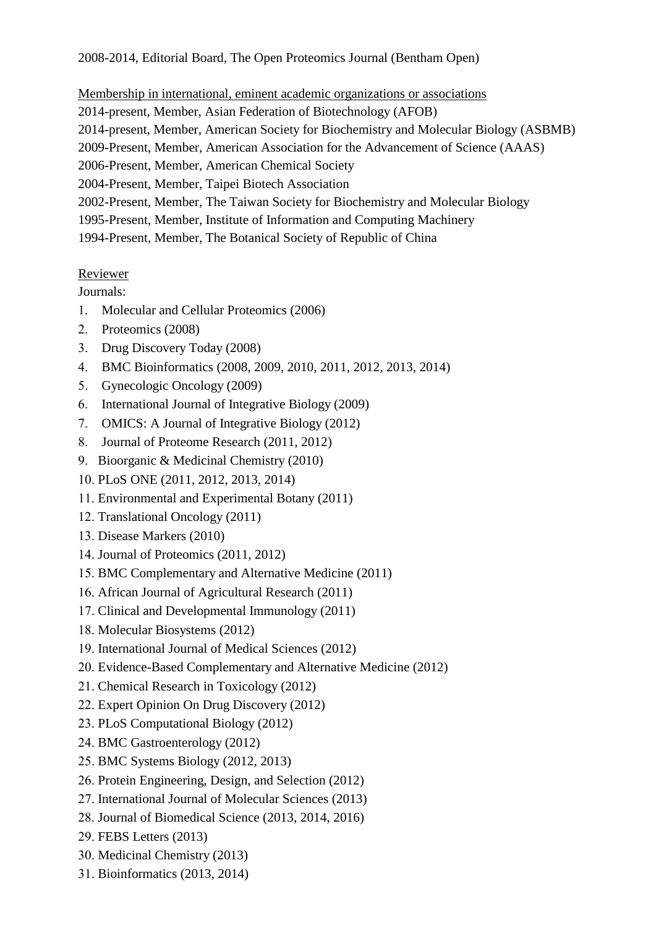Membership in international, eminent academic organizations or associations 2014-present, Member, Asian Federation of Biotechnology (AFOB) 2014-present, Member, American Society for Biochemistry and Molecular Biology (ASBMB) 2009-Present, Member, American Association for the Advancement of Science (AAAS) 2006-Present, Member, American Chemical Society 2004-Present, Member, Taipei Biotech Association 2002-Present, Member, The Taiwan Society for Biochemistry and Molecular Biology 1995-Present, Member, Institute of Information and Computing Machinery 1994-Present, Member, The Botanical Society of Republic of China

## Reviewer

Journals:

- Molecular and Cellular Proteomics (2006)
- 2. Proteomics (2008)
- Drug Discovery Today (2008)
- BMC Bioinformatics (2008, 2009, 2010, 2011, 2012, 2013, 2014)
- 5. Gynecologic Oncology (2009)
- International Journal of Integrative Biology (2009)
- OMICS: A Journal of Integrative Biology (2012)
- Journal of Proteome Research (2011, 2012)
- 9. Bioorganic & Medicinal Chemistry (2010)
- PLoS ONE (2011, 2012, 2013, 2014)
- Environmental and Experimental Botany (2011)
- 12. Translational Oncology (2011)
- 13. Disease Markers (2010)
- 14. Journal of Proteomics (2011, 2012)
- 15. BMC Complementary and Alternative Medicine (2011)
- African Journal of Agricultural Research (2011)
- 17. Clinical and Developmental Immunology (2011)
- 18. Molecular Biosystems (2012)
- 19. International Journal of Medical Sciences (2012)
- Evidence-Based Complementary and Alternative Medicine (2012)
- 21. Chemical Research in Toxicology (2012)
- Expert Opinion On Drug Discovery (2012)
- 23. PLoS Computational Biology (2012)
- 24. BMC Gastroenterology (2012)
- 25. BMC Systems Biology (2012, 2013)
- 26. Protein Engineering, Design, and Selection (2012)
- 27. International Journal of Molecular Sciences (2013)
- 28. Journal of Biomedical Science (2013, 2014, 2016)
- FEBS Letters (2013)
- 30. Medicinal Chemistry (2013)
- Bioinformatics (2013, 2014)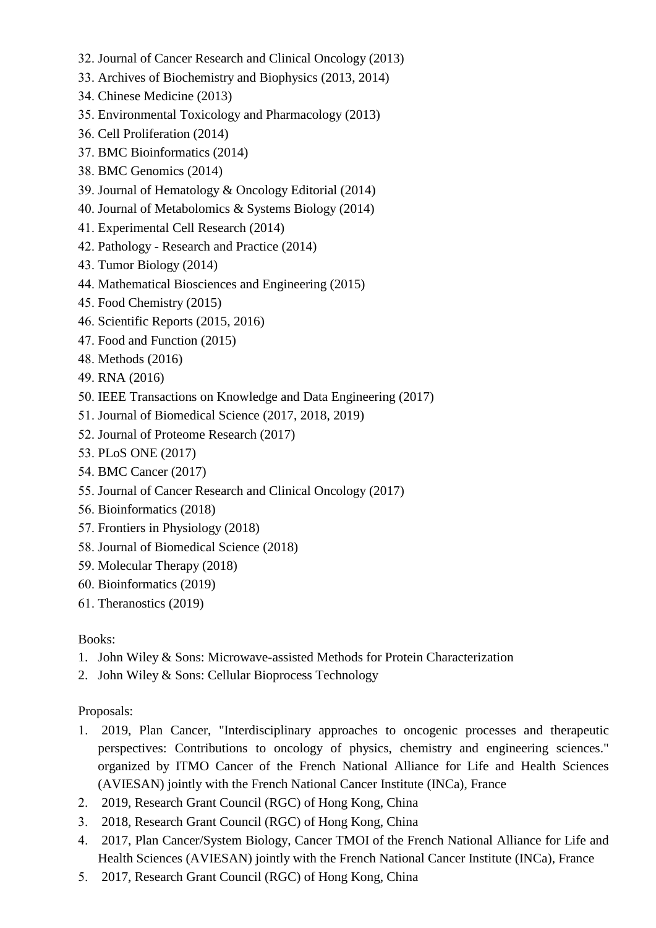- 32. Journal of Cancer Research and Clinical Oncology (2013)
- Archives of Biochemistry and Biophysics (2013, 2014)
- Chinese Medicine (2013)
- Environmental Toxicology and Pharmacology (2013)
- Cell Proliferation (2014)
- 37. BMC Bioinformatics (2014)
- 38. BMC Genomics (2014)
- Journal of Hematology & Oncology Editorial (2014)
- 40. Journal of Metabolomics & Systems Biology (2014)
- Experimental Cell Research (2014)
- 42. Pathology Research and Practice (2014)
- 43. Tumor Biology (2014)
- Mathematical Biosciences and Engineering (2015)
- Food Chemistry (2015)
- 46. Scientific Reports (2015, 2016)
- Food and Function (2015)
- 48. Methods (2016)
- RNA (2016)
- 50. IEEE Transactions on Knowledge and Data Engineering (2017)
- 51. Journal of Biomedical Science (2017, 2018, 2019)
- 52. Journal of Proteome Research (2017)
- 53. PLoS ONE (2017)
- 54. BMC Cancer (2017)
- 55. Journal of Cancer Research and Clinical Oncology (2017)
- 56. Bioinformatics (2018)
- 57. Frontiers in Physiology (2018)
- 58. Journal of Biomedical Science (2018)
- 59. Molecular Therapy (2018)
- Bioinformatics (2019)
- 61. Theranostics (2019)

## Books:

- 1. John Wiley & Sons: Microwave-assisted Methods for Protein Characterization
- 2. John Wiley & Sons: Cellular Bioprocess Technology

## Proposals:

- 2019, Plan Cancer, "Interdisciplinary approaches to oncogenic processes and therapeutic perspectives: Contributions to oncology of physics, chemistry and engineering sciences." organized by ITMO Cancer of the French National Alliance for Life and Health Sciences (AVIESAN) jointly with the French National Cancer Institute (INCa), France
- 2. 2019, Research Grant Council (RGC) of Hong Kong, China
- 2018, Research Grant Council (RGC) of Hong Kong, China
- 2017, Plan Cancer/System Biology, Cancer TMOI of the French National Alliance for Life and Health Sciences (AVIESAN) jointly with the French National Cancer Institute (INCa), France
- 2017, Research Grant Council (RGC) of Hong Kong, China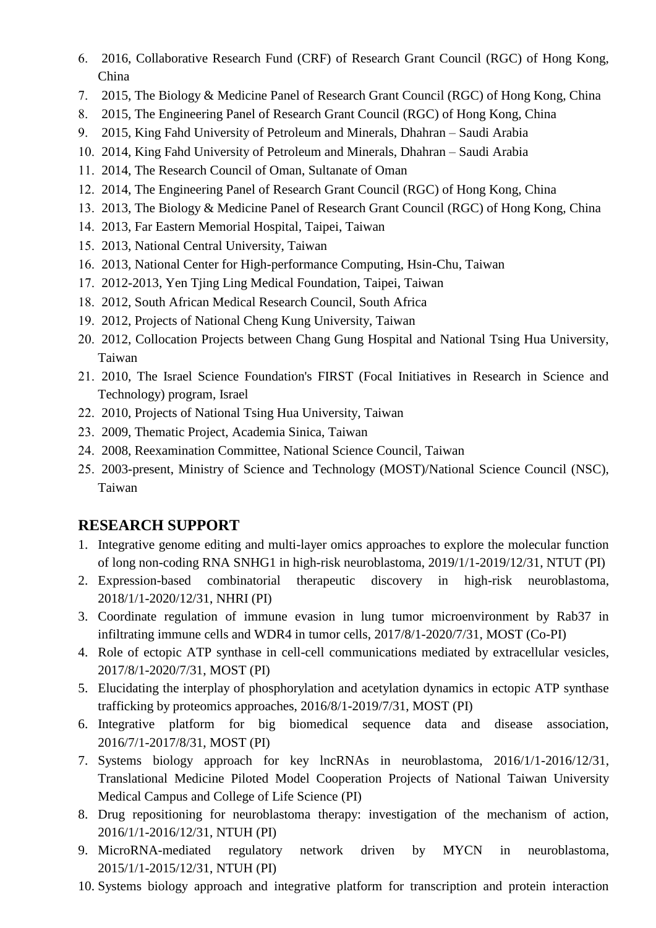- 2016, Collaborative Research Fund (CRF) of Research Grant Council (RGC) of Hong Kong, China
- 2015, The Biology & Medicine Panel of Research Grant Council (RGC) of Hong Kong, China
- 2015, The Engineering Panel of Research Grant Council (RGC) of Hong Kong, China
- 2015, King Fahd University of Petroleum and Minerals, Dhahran Saudi Arabia
- 2014, King Fahd University of Petroleum and Minerals, Dhahran Saudi Arabia
- 2014, The Research Council of Oman, Sultanate of Oman
- 2014, The Engineering Panel of Research Grant Council (RGC) of Hong Kong, China
- 2013, The Biology & Medicine Panel of Research Grant Council (RGC) of Hong Kong, China
- 2013, Far Eastern Memorial Hospital, Taipei, Taiwan
- 2013, National Central University, Taiwan
- 2013, National Center for High-performance Computing, Hsin-Chu, Taiwan
- 2012-2013, Yen Tjing Ling Medical Foundation, Taipei, Taiwan
- 2012, South African Medical Research Council, South Africa
- 2012, Projects of National Cheng Kung University, Taiwan
- 2012, Collocation Projects between Chang Gung Hospital and National Tsing Hua University, Taiwan
- 21. 2010, The Israel Science Foundation's FIRST (Focal Initiatives in Research in Science and Technology) program, Israel
- 22. 2010, Projects of National Tsing Hua University, Taiwan
- 23. 2009, Thematic Project, Academia Sinica, Taiwan
- 24. 2008, Reexamination Committee, National Science Council, Taiwan
- 25. 2003-present, Ministry of Science and Technology (MOST)/National Science Council (NSC), Taiwan

# **RESEARCH SUPPORT**

- 1. Integrative genome editing and multi-layer omics approaches to explore the molecular function of long non-coding RNA SNHG1 in high-risk neuroblastoma, 2019/1/1-2019/12/31, NTUT (PI)
- 2. Expression-based combinatorial therapeutic discovery in high-risk neuroblastoma, 2018/1/1-2020/12/31, NHRI (PI)
- 3. Coordinate regulation of immune evasion in lung tumor microenvironment by Rab37 in infiltrating immune cells and WDR4 in tumor cells, 2017/8/1-2020/7/31, MOST (Co-PI)
- 4. Role of ectopic ATP synthase in cell-cell communications mediated by extracellular vesicles, 2017/8/1-2020/7/31, MOST (PI)
- 5. Elucidating the interplay of phosphorylation and acetylation dynamics in ectopic ATP synthase trafficking by proteomics approaches, 2016/8/1-2019/7/31, MOST (PI)
- 6. Integrative platform for big biomedical sequence data and disease association, 2016/7/1-2017/8/31, MOST (PI)
- 7. Systems biology approach for key lncRNAs in neuroblastoma, 2016/1/1-2016/12/31, Translational Medicine Piloted Model Cooperation Projects of National Taiwan University Medical Campus and College of Life Science (PI)
- 8. Drug repositioning for neuroblastoma therapy: investigation of the mechanism of action, 2016/1/1-2016/12/31, NTUH (PI)
- 9. MicroRNA-mediated regulatory network driven by MYCN in neuroblastoma, 2015/1/1-2015/12/31, NTUH (PI)
- 10. Systems biology approach and integrative platform for transcription and protein interaction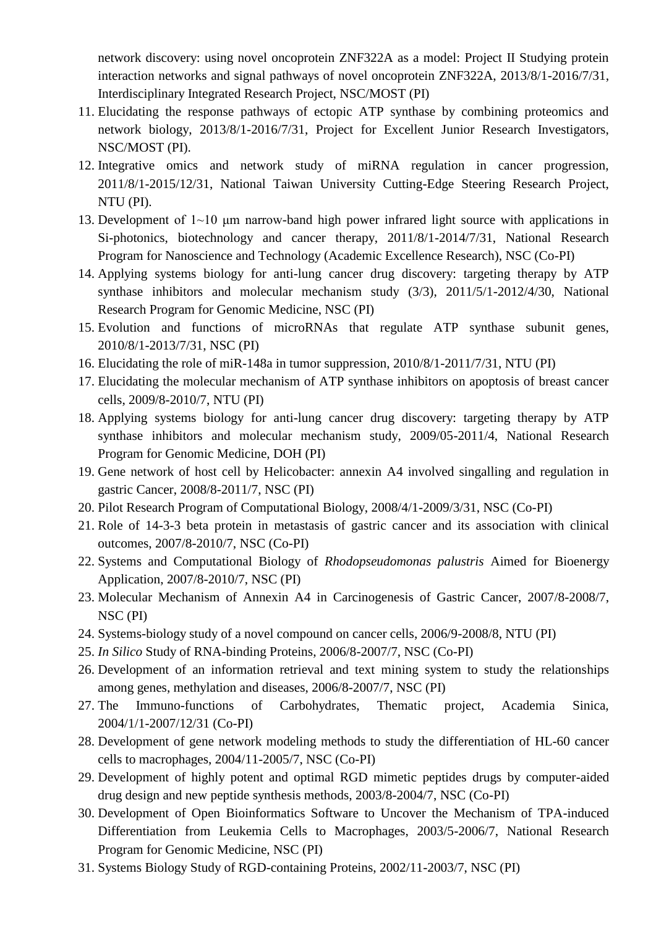network discovery: using novel oncoprotein ZNF322A as a model: Project II Studying protein interaction networks and signal pathways of novel oncoprotein ZNF322A, 2013/8/1-2016/7/31, Interdisciplinary Integrated Research Project, NSC/MOST (PI)

- 11. Elucidating the response pathways of ectopic ATP synthase by combining proteomics and network biology, 2013/8/1-2016/7/31, Project for Excellent Junior Research Investigators, NSC/MOST (PI).
- 12. Integrative omics and network study of miRNA regulation in cancer progression, 2011/8/1-2015/12/31, National Taiwan University Cutting-Edge Steering Research Project, NTU (PI).
- 13. Development of 1~10 μm narrow-band high power infrared light source with applications in Si-photonics, biotechnology and cancer therapy, 2011/8/1-2014/7/31, National Research Program for Nanoscience and Technology (Academic Excellence Research), NSC (Co-PI)
- 14. Applying systems biology for anti-lung cancer drug discovery: targeting therapy by ATP synthase inhibitors and molecular mechanism study (3/3), 2011/5/1-2012/4/30, National Research Program for Genomic Medicine, NSC (PI)
- 15. Evolution and functions of microRNAs that regulate ATP synthase subunit genes, 2010/8/1-2013/7/31, NSC (PI)
- 16. Elucidating the role of miR-148a in tumor suppression, 2010/8/1-2011/7/31, NTU (PI)
- 17. Elucidating the molecular mechanism of ATP synthase inhibitors on apoptosis of breast cancer cells, 2009/8-2010/7, NTU (PI)
- 18. Applying systems biology for anti-lung cancer drug discovery: targeting therapy by ATP synthase inhibitors and molecular mechanism study, 2009/05-2011/4, National Research Program for Genomic Medicine, DOH (PI)
- 19. Gene network of host cell by Helicobacter: annexin A4 involved singalling and regulation in gastric Cancer, 2008/8-2011/7, NSC (PI)
- 20. Pilot Research Program of Computational Biology, 2008/4/1-2009/3/31, NSC (Co-PI)
- 21. Role of 14-3-3 beta protein in metastasis of gastric cancer and its association with clinical outcomes, 2007/8-2010/7, NSC (Co-PI)
- 22. Systems and Computational Biology of *Rhodopseudomonas palustris* Aimed for Bioenergy Application, 2007/8-2010/7, NSC (PI)
- 23. Molecular Mechanism of Annexin A4 in Carcinogenesis of Gastric Cancer, 2007/8-2008/7, NSC (PI)
- 24. Systems-biology study of a novel compound on cancer cells, 2006/9-2008/8, NTU (PI)
- 25. *In Silico* Study of RNA-binding Proteins, 2006/8-2007/7, NSC (Co-PI)
- 26. Development of an information retrieval and text mining system to study the relationships among genes, methylation and diseases, 2006/8-2007/7, NSC (PI)
- 27. The Immuno-functions of Carbohydrates, Thematic project, Academia Sinica, 2004/1/1-2007/12/31 (Co-PI)
- 28. Development of gene network modeling methods to study the differentiation of HL-60 cancer cells to macrophages, 2004/11-2005/7, NSC (Co-PI)
- 29. Development of highly potent and optimal RGD mimetic peptides drugs by computer-aided drug design and new peptide synthesis methods, 2003/8-2004/7, NSC (Co-PI)
- 30. Development of Open Bioinformatics Software to Uncover the Mechanism of TPA-induced Differentiation from Leukemia Cells to Macrophages, 2003/5-2006/7, National Research Program for Genomic Medicine, NSC (PI)
- 31. Systems Biology Study of RGD-containing Proteins, 2002/11-2003/7, NSC (PI)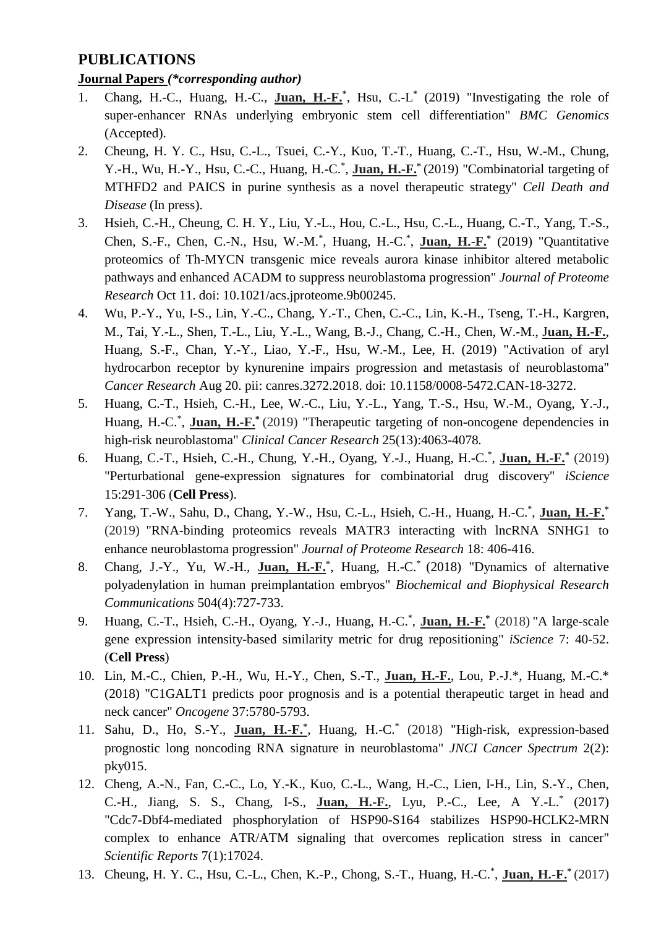# **PUBLICATIONS**

## **Journal Papers** *(\*corresponding author)*

- 1. Chang, H.-C., Huang, H.-C., **Juan, H.-F.**<sup>\*</sup>, Hsu, C.-L<sup>\*</sup> (2019) "Investigating the role of super-enhancer RNAs underlying embryonic stem cell differentiation" *BMC Genomics* (Accepted).
- 2. Cheung, H. Y. C., Hsu, C.-L., Tsuei, C.-Y., Kuo, T.-T., Huang, C.-T., Hsu, W.-M., Chung, Y.-H., Wu, H.-Y., Hsu, C.-C., Huang, H.-C.\* , **Juan, H.-F.\*** (2019) "Combinatorial targeting of MTHFD2 and PAICS in purine synthesis as a novel therapeutic strategy" *Cell Death and Disease* (In press).
- 3. Hsieh, C.-H., Cheung, C. H. Y., Liu, Y.-L., Hou, C.-L., Hsu, C.-L., Huang, C.-T., Yang, T.-S., Chen, S.-F., Chen, C.-N., Hsu, W.-M.\* , Huang, H.-C.\* , **Juan, H.-F.\*** (2019) "Quantitative proteomics of Th-MYCN transgenic mice reveals aurora kinase inhibitor altered metabolic pathways and enhanced ACADM to suppress neuroblastoma progression" *Journal of Proteome Research* Oct 11. doi: 10.1021/acs.jproteome.9b00245.
- 4. Wu, P.-Y., Yu, I-S., Lin, Y.-C., Chang, Y.-T., Chen, C.-C., Lin, K.-H., Tseng, T.-H., Kargren, M., Tai, Y.-L., Shen, T.-L., Liu, Y.-L., Wang, B.-J., Chang, C.-H., Chen, W.-M., J**uan, H.-F.**, Huang, S.-F., Chan, Y.-Y., Liao, Y.-F., Hsu, W.-M., Lee, H. (2019) "Activation of aryl hydrocarbon receptor by kynurenine impairs progression and metastasis of neuroblastoma" *Cancer Research* Aug 20. pii: canres.3272.2018. doi: 10.1158/0008-5472.CAN-18-3272.
- 5. Huang, C.-T., Hsieh, C.-H., Lee, W.-C., Liu, Y.-L., Yang, T.-S., Hsu, W.-M., Oyang, Y.-J., Huang, H.-C.<sup>\*</sup>, **Juan, H.-F.**<sup>\*</sup> (2019) "Therapeutic targeting of non-oncogene dependencies in high-risk neuroblastoma" *Clinical Cancer Research* 25(13):4063-4078*.*
- 6. Huang, C.-T., Hsieh, C.-H., Chung, Y.-H., Oyang, Y.-J., Huang, H.-C.\* , **Juan, H.-F.\*** (2019) "Perturbational gene-expression signatures for combinatorial drug discovery" *iScience* 15:291-306 (**Cell Press**).
- 7. Yang, T.-W., Sahu, D., Chang, Y.-W., Hsu, C.-L., Hsieh, C.-H., Huang, H.-C.\* , **Juan, H.-F.\*** (2019) "RNA-binding proteomics reveals MATR3 interacting with lncRNA SNHG1 to enhance neuroblastoma progression" *Journal of Proteome Research* 18: 406-416.
- 8. Chang, J.-Y., Yu, W.-H., **Juan, H.-F.\*** , Huang, H.-C.\* (2018) "Dynamics of alternative polyadenylation in human preimplantation embryos" *Biochemical and Biophysical Research Communications* 504(4):727-733.
- 9. Huang, C.-T., Hsieh, C.-H., Oyang, Y.-J., Huang, H.-C.\* , **Juan, H.-F.\*** (2018) "A large-scale gene expression intensity-based similarity metric for drug repositioning" *iScience* 7: 40-52. (**Cell Press**)
- 10. Lin, M.-C., Chien, P.-H., Wu, H.-Y., Chen, S.-T., **Juan, H.-F.**, Lou, P.-J.\*, Huang, M.-C.\* (2018) "C1GALT1 predicts poor prognosis and is a potential therapeutic target in head and neck cancer" *Oncogene* 37:5780-5793.
- 11. Sahu, D., Ho, S.-Y., Juan, H.-F.\*, Huang, H.-C.\* (2018) "High-risk, expression-based prognostic long noncoding RNA signature in neuroblastoma" *JNCI Cancer Spectrum* 2(2): pky015.
- 12. Cheng, A.-N., Fan, C.-C., Lo, Y.-K., Kuo, C.-L., Wang, H.-C., Lien, I-H., Lin, S.-Y., Chen, C.-H., Jiang, S. S., Chang, I-S., **Juan, H.-F.**, Lyu, P.-C., Lee, A Y.-L. \* (2017) "Cdc7-Dbf4-mediated phosphorylation of HSP90-S164 stabilizes HSP90-HCLK2-MRN complex to enhance ATR/ATM signaling that overcomes replication stress in cancer" *Scientific Reports* 7(1):17024.
- 13. Cheung, H. Y. C., Hsu, C.-L., Chen, K.-P., Chong, S.-T., Huang, H.-C.\* , **Juan, H.-F.\*** (2017)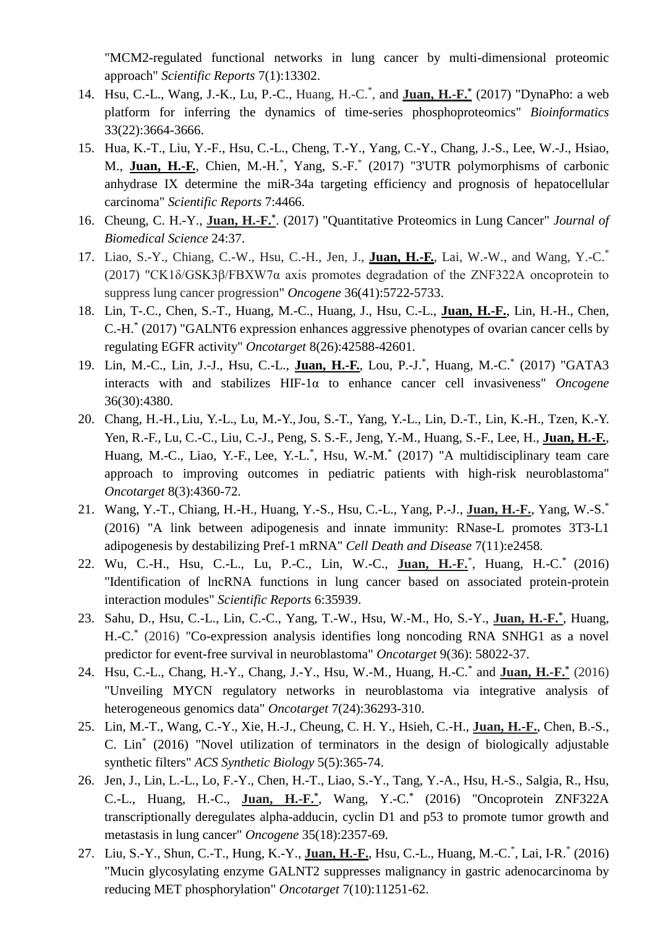"MCM2-regulated functional networks in lung cancer by multi-dimensional proteomic approach" *Scientific Reports* 7(1):13302.

- 14. Hsu, C.-L., Wang, J.-K., Lu, P.-C., Huang, H.-C.\* , and **Juan, H.-F.\*** (2017) "DynaPho: a web platform for inferring the dynamics of time-series phosphoproteomics" *Bioinformatics* 33(22):3664-3666.
- 15. Hua, K.-T., Liu, Y.-F., Hsu, C.-L., Cheng, T.-Y., Yang, C.-Y., Chang, J.-S., Lee, W.-J., Hsiao, M., **Juan, H.-F.**, Chien, M.-H.<sup>\*</sup>, Yang, S.-F.<sup>\*</sup> (2017) "3'UTR polymorphisms of carbonic anhydrase IX determine the miR-34a targeting efficiency and prognosis of hepatocellular carcinoma" *Scientific Reports* 7:4466.
- 16. Cheung, C. H.-Y., **Juan, H.-F.\*** . (2017) "Quantitative Proteomics in Lung Cancer" *Journal of Biomedical Science* 24:37.
- 17. Liao, S.-Y., Chiang, C.-W., Hsu, C.-H., Jen, J., **Juan, H.-F.**, Lai, W.-W., and Wang, Y.-C.<sup>\*</sup> (2017) "CK1δ/GSK3β/FBXW7α axis promotes degradation of the ZNF322A oncoprotein to suppress lung cancer progression" *Oncogene* 36(41):5722-5733.
- 18. Lin, T-.C., Chen, S.-T., Huang, M.-C., Huang, J., Hsu, C.-L., **Juan, H.-F.**, Lin, H.-H., Chen, C.-H.\* (2017) "GALNT6 expression enhances aggressive phenotypes of ovarian cancer cells by regulating EGFR activity" *Oncotarget* 8(26):42588-42601.
- 19. Lin, M.-C., Lin, J.-J., Hsu, C.-L., **Juan, H.-F.**, Lou, P.-J.<sup>\*</sup>, Huang, M.-C.<sup>\*</sup> (2017) "GATA3 interacts with and stabilizes HIF-1α to enhance cancer cell invasiveness" *Oncogene* 36(30):4380.
- 20. Chang, H.-H., Liu, Y.-L., Lu, M.-Y.,Jou, S.-T., Yang, Y.-L., Lin, D.-T., Lin, K.-H., Tzen, K.-Y. Yen, R.-F., Lu, C.-C., Liu, C.-J., Peng, S. S.-F., Jeng, Y.-M., Huang, S.-F., Lee, H., **Juan, H.-F.**, Huang, M.-C., Liao, Y.-F., Lee, Y.-L.\*, Hsu, W.-M.\* (2017) "A multidisciplinary team care approach to improving outcomes in pediatric patients with high-risk neuroblastoma" *Oncotarget* 8(3):4360-72.
- 21. Wang, Y.-T., Chiang, H.-H., Huang, Y.-S., Hsu, C.-L., Yang, P.-J., **Juan, H.-F.**, Yang, W.-S.\* (2016) "A link between adipogenesis and innate immunity: RNase-L promotes 3T3-L1 adipogenesis by destabilizing Pref-1 mRNA" *Cell Death and Disease* 7(11):e2458.
- 22. Wu, C.-H., Hsu, C.-L., Lu, P.-C., Lin, W.-C., **Juan, H.-F.**\* , Huang, H.-C.\* (2016) "Identification of lncRNA functions in lung cancer based on associated protein-protein interaction modules" *Scientific Reports* 6:35939.
- 23. Sahu, D., Hsu, C.-L., Lin, C.-C., Yang, T.-W., Hsu, W.-M., Ho, S.-Y., **Juan, H.-F.\*** , Huang, H.-C.\* (2016) "Co-expression analysis identifies long noncoding RNA SNHG1 as a novel predictor for event-free survival in neuroblastoma" *Oncotarget* 9(36): 58022-37.
- 24. Hsu, C.-L., Chang, H.-Y., Chang, J.-Y., Hsu, W.-M., Huang, H.-C.\* and **Juan, H.-F.\*** (2016) "Unveiling MYCN regulatory networks in neuroblastoma via integrative analysis of heterogeneous genomics data" *Oncotarget* 7(24):36293-310.
- 25. Lin, M.-T., Wang, C.-Y., Xie, H.-J., Cheung, C. H. Y., Hsieh, C.-H., **Juan, H.-F.**, Chen, B.-S., C. Lin\* (2016) "Novel utilization of terminators in the design of biologically adjustable synthetic filters" *ACS Synthetic Biology* 5(5):365-74.
- 26. Jen, J., Lin, L.-L., Lo, F.-Y., Chen, H.-T., Liao, S.-Y., Tang, Y.-A., Hsu, H.-S., Salgia, R., Hsu, C.-L., Huang, H.-C., **Juan, H.-F.\*** , Wang, Y.-C.**\*** (2016) "Oncoprotein ZNF322A transcriptionally deregulates alpha-adducin, cyclin D1 and p53 to promote tumor growth and metastasis in lung cancer" *Oncogene* 35(18):2357-69.
- 27. Liu, S.-Y., Shun, C.-T., Hung, K.-Y., **Juan, H.-F.**, Hsu, C.-L., Huang, M.-C.\* , Lai, I-R.\* (2016) "Mucin glycosylating enzyme GALNT2 suppresses malignancy in gastric adenocarcinoma by reducing MET phosphorylation" *Oncotarget* 7(10):11251-62.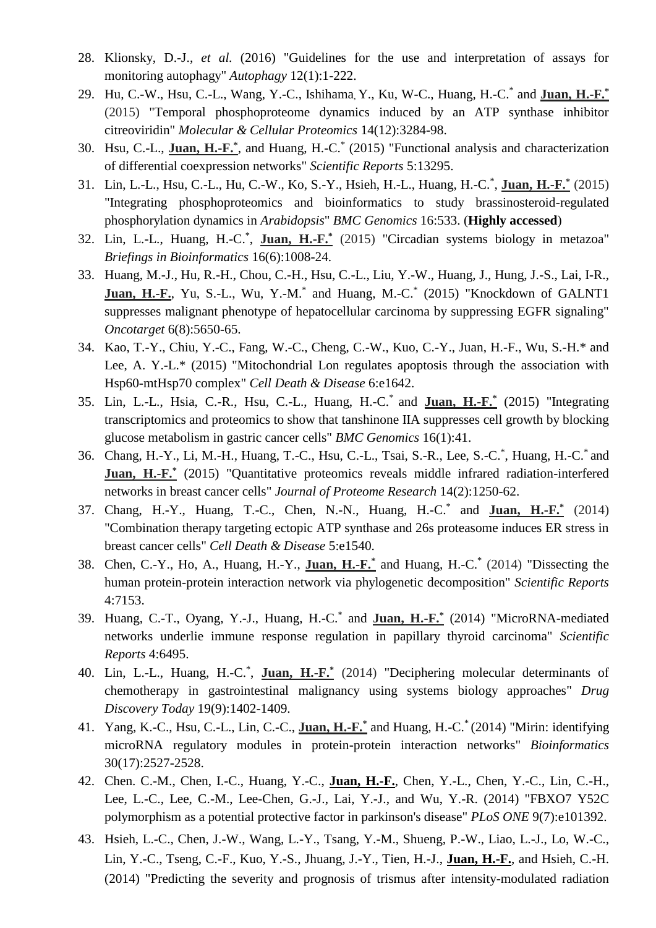- 28. Klionsky, D.-J., *et al.* (2016) "Guidelines for the use and interpretation of assays for monitoring autophagy" *Autophagy* 12(1):1-222.
- 29. Hu, C.-W., Hsu, C.-L., Wang, Y.-C., Ishihama, Y., Ku, W-C., Huang, H.-C.\* and **Juan, H.-F.\*** (2015) "Temporal phosphoproteome dynamics induced by an ATP synthase inhibitor citreoviridin" *Molecular & Cellular Proteomics* 14(12):3284-98.
- 30. Hsu, C.-L., **Juan, H.-F.\*** , and Huang, H.-C.\* (2015) "Functional analysis and characterization of differential coexpression networks" *Scientific Reports* 5:13295.
- 31. Lin, L.-L., Hsu, C.-L., Hu, C.-W., Ko, S.-Y., Hsieh, H.-L., Huang, H.-C.\* , **Juan, H.-F.\*** (2015) "Integrating phosphoproteomics and bioinformatics to study brassinosteroid-regulated phosphorylation dynamics in *Arabidopsis*" *BMC Genomics* 16:533. (**Highly accessed**)
- 32. Lin, L.-L., Huang, H.-C.\* , **Juan, H.-F.\*** (2015) "Circadian systems biology in metazoa" *Briefings in Bioinformatics* 16(6):1008-24.
- 33. Huang, M.-J., Hu, R.-H., Chou, C.-H., Hsu, C.-L., Liu, Y.-W., Huang, J., Hung, J.-S., Lai, I-R., Juan, H.-F., Yu, S.-L., Wu, Y.-M.<sup>\*</sup> and Huang, M.-C.<sup>\*</sup> (2015) "Knockdown of GALNT1 suppresses malignant phenotype of hepatocellular carcinoma by suppressing EGFR signaling" *Oncotarget* 6(8):5650-65.
- 34. Kao, T.-Y., Chiu, Y.-C., Fang, W.-C., Cheng, C.-W., Kuo, C.-Y., Juan, H.-F., Wu, S.-H.\* and Lee, A. Y.-L.\* (2015) "Mitochondrial Lon regulates apoptosis through the association with Hsp60-mtHsp70 complex" *Cell Death & Disease* 6:e1642.
- 35. Lin, L.-L., Hsia, C.-R., Hsu, C.-L., Huang, H.-C.\* and **Juan, H.-F.\*** (2015) "Integrating transcriptomics and proteomics to show that tanshinone IIA suppresses cell growth by blocking glucose metabolism in gastric cancer cells" *BMC Genomics* 16(1):41.
- 36. Chang, H.-Y., Li, M.-H., Huang, T.-C., Hsu, C.-L., Tsai, S.-R., Lee, S.-C.\* , Huang, H.-C.\* and **Juan, H.-F.\*** (2015) "Quantitative proteomics reveals middle infrared radiation-interfered networks in breast cancer cells" *Journal of Proteome Research* 14(2):1250-62.
- 37. Chang, H.-Y., Huang, T.-C., Chen, N.-N., Huang, H.-C.\* and **Juan, H.-F.\*** (2014) "Combination therapy targeting ectopic ATP synthase and 26s proteasome induces ER stress in breast cancer cells" *Cell Death & Disease* 5:e1540.
- 38. Chen, C.-Y., Ho, A., Huang, H.-Y., **Juan, H.-F.\*** and Huang, H.-C.\* (2014) "Dissecting the human protein-protein interaction network via phylogenetic decomposition" *Scientific Reports* 4:7153.
- 39. Huang, C.-T., Oyang, Y.-J., Huang, H.-C.\* and **Juan, H.-F.\*** (2014) "MicroRNA-mediated networks underlie immune response regulation in papillary thyroid carcinoma" *Scientific Reports* 4:6495.
- 40. Lin, L.-L., Huang, H.-C.\* , **Juan, H.-F.\*** (2014) "Deciphering molecular determinants of chemotherapy in gastrointestinal malignancy using systems biology approaches" *Drug Discovery Today* 19(9):1402-1409.
- 41. Yang, K.-C., Hsu, C.-L., Lin, C.-C., **Juan, H.-F.\*** and Huang, H.-C.\* (2014) "Mirin: identifying microRNA regulatory modules in protein-protein interaction networks" *Bioinformatics* 30(17):2527-2528.
- 42. Chen. C.-M., Chen, I.-C., Huang, Y.-C., **Juan, H.-F.**, Chen, Y.-L., Chen, Y.-C., Lin, C.-H., Lee, L.-C., Lee, C.-M., Lee-Chen, G.-J., Lai, Y.-J., and Wu, Y.-R. (2014) "FBXO7 Y52C polymorphism as a potential protective factor in parkinson's disease" *PLoS ONE* 9(7):e101392.
- 43. Hsieh, L.-C., Chen, J.-W., Wang, L.-Y., Tsang, Y.-M., Shueng, P.-W., Liao, L.-J., Lo, W.-C., Lin, Y.-C., Tseng, C.-F., Kuo, Y.-S., Jhuang, J.-Y., Tien, H.-J., **Juan, H.-F.**, and Hsieh, C.-H. (2014) "Predicting the severity and prognosis of trismus after intensity-modulated radiation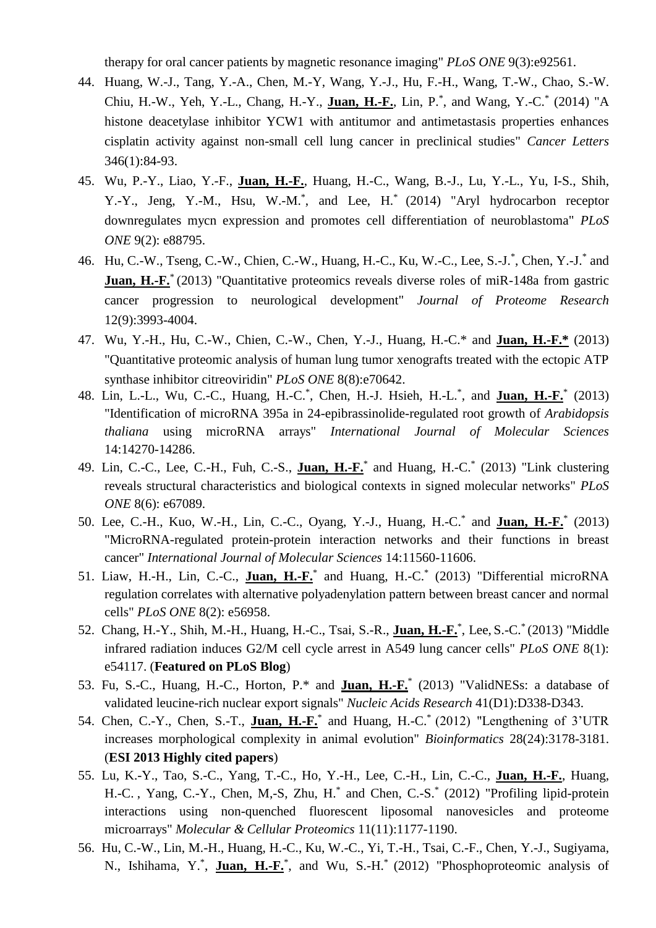therapy for oral cancer patients by magnetic resonance imaging" *PLoS ONE* 9(3):e92561.

- 44. Huang, W.-J., Tang, Y.-A., Chen, M.-Y, Wang, Y.-J., Hu, F.-H., Wang, T.-W., Chao, S.-W. Chiu, H.-W., Yeh, Y.-L., Chang, H.-Y., **Juan, H.-F.**, Lin, P.\* , and Wang, Y.-C.\* (2014) "A histone deacetylase inhibitor YCW1 with antitumor and antimetastasis properties enhances cisplatin activity against non-small cell lung cancer in preclinical studies" *Cancer Letters* 346(1):84-93.
- 45. Wu, P.-Y., Liao, Y.-F., **Juan, H.-F.**, Huang, H.-C., Wang, B.-J., Lu, Y.-L., Yu, I-S., Shih, Y.-Y., Jeng, Y.-M., Hsu, W.-M.\* , and Lee, H.\* (2014) "Aryl hydrocarbon receptor downregulates mycn expression and promotes cell differentiation of neuroblastoma" *PLoS ONE* 9(2): e88795.
- 46. Hu, C.-W., Tseng, C.-W., Chien, C.-W., Huang, H.-C., Ku, W.-C., Lee, S.-J.\*, Chen, Y.-J.\* and **Juan, H.-F.**<sup>\*</sup> (2013) "Quantitative proteomics reveals diverse roles of miR-148a from gastric cancer progression to neurological development" *Journal of Proteome Research* 12(9):3993-4004.
- 47. Wu, Y.-H., Hu, C.-W., Chien, C.-W., Chen, Y.-J., Huang, H.-C.\* and **Juan, H.-F.\*** (2013) "Quantitative proteomic analysis of human lung tumor xenografts treated with the ectopic ATP synthase inhibitor citreoviridin" *PLoS ONE* 8(8):e70642.
- 48. Lin, L.-L., Wu, C.-C., Huang, H.-C.\* , Chen, H.-J. Hsieh, H.-L.\* , and **Juan, H.-F.**\* (2013) "Identification of microRNA 395a in 24-epibrassinolide-regulated root growth of *Arabidopsis thaliana* using microRNA arrays" *International Journal of Molecular Sciences*  14:14270-14286.
- 49. Lin, C.-C., Lee, C.-H., Fuh, C.-S., **Juan, H.-F.**\* and Huang, H.-C.\* (2013) "Link clustering reveals structural characteristics and biological contexts in signed molecular networks" *PLoS ONE* 8(6): e67089.
- 50. Lee, C.-H., Kuo, W.-H., Lin, C.-C., Oyang, Y.-J., Huang, H.-C.\* and **Juan, H.-F.**\* (2013) "MicroRNA-regulated protein-protein interaction networks and their functions in breast cancer" *International Journal of Molecular Sciences* 14:11560-11606.
- 51. Liaw, H.-H., Lin, C.-C., **Juan, H.-F.**\* and Huang, H.-C.\* (2013) "Differential microRNA regulation correlates with alternative polyadenylation pattern between breast cancer and normal cells" *PLoS ONE* 8(2): e56958.
- 52. Chang, H.-Y., Shih, M.-H., Huang, H.-C., Tsai, S.-R., **Juan, H.-F.**\* , Lee, S.-C.\* (2013) "Middle infrared radiation induces G2/M cell cycle arrest in A549 lung cancer cells" *PLoS ONE* 8(1): e54117. (**Featured on PLoS Blog**)
- 53. Fu, S.-C., Huang, H.-C., Horton, P.\* and **Juan, H.-F.**\* (2013) "ValidNESs: a database of validated leucine-rich nuclear export signals" *Nucleic Acids Research* 41(D1):D338-D343.
- 54. Chen, C.-Y., Chen, S.-T., **Juan, H.-F.**\* and Huang, H.-C.\* (2012) "Lengthening of 3'UTR increases morphological complexity in animal evolution" *Bioinformatics* 28(24):3178-3181. (**ESI 2013 Highly cited papers**)
- 55. Lu, K.-Y., Tao, S.-C., Yang, T.-C., Ho, Y.-H., Lee, C.-H., Lin, C.-C., **Juan, H.-F.**, Huang, H.-C. , Yang, C.-Y., Chen, M,-S, Zhu, H.\* and Chen, C.-S.\* (2012) "Profiling lipid-protein interactions using non-quenched fluorescent liposomal nanovesicles and proteome microarrays" *Molecular & Cellular Proteomics* 11(11):1177-1190.
- 56. Hu, C.-W., Lin, M.-H., Huang, H.-C., Ku, W.-C., Yi, T.-H., Tsai, C.-F., Chen, Y.-J., Sugiyama, N., Ishihama, Y.<sup>\*</sup>, Juan, H.-F.<sup>\*</sup>, and Wu, S.-H.<sup>\*</sup> (2012) "Phosphoproteomic analysis of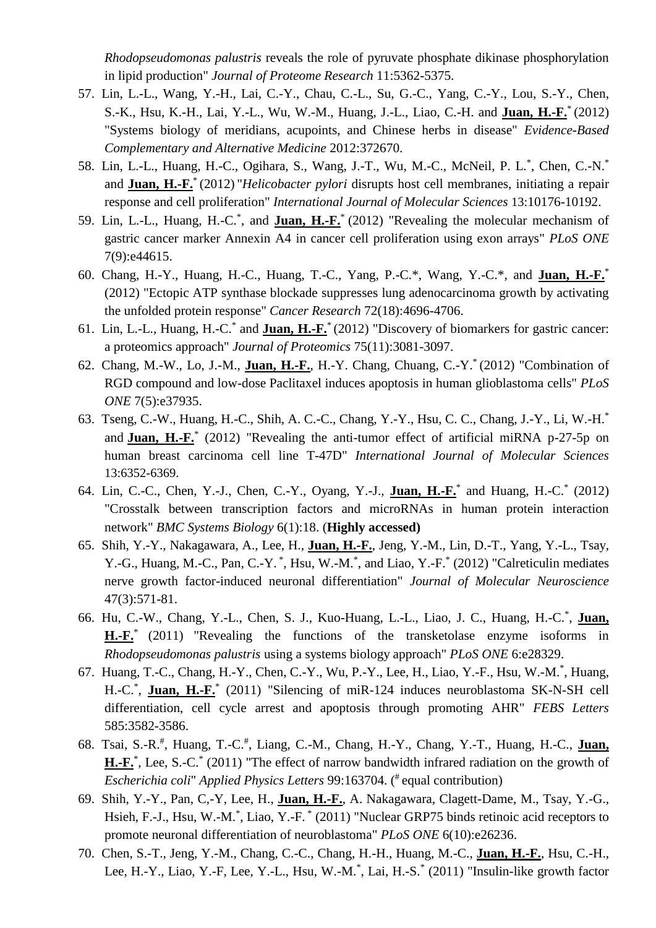*Rhodopseudomonas palustris* reveals the role of pyruvate phosphate dikinase phosphorylation in lipid production" *Journal of Proteome Research* 11:5362-5375.

- 57. Lin, L.-L., Wang, Y.-H., Lai, C.-Y., Chau, C.-L., Su, G.-C., Yang, C.-Y., Lou, S.-Y., Chen, S.-K., Hsu, K.-H., Lai, Y.-L., Wu, W.-M., Huang, J.-L., Liao, C.-H. and **Juan, H.-F.**\* (2012) "Systems biology of meridians, acupoints, and Chinese herbs in disease" *Evidence-Based Complementary and Alternative Medicine* 2012:372670.
- 58. Lin, L.-L., Huang, H.-C., Ogihara, S., Wang, J.-T., Wu, M.-C., McNeil, P. L.\*, Chen, C.-N.\* and **Juan, H.-F.**\* (2012) "*Helicobacter pylori* disrupts host cell membranes, initiating a repair response and cell proliferation" *International Journal of Molecular Sciences* 13:10176-10192.
- 59. Lin, L.-L., Huang, H.-C.\* , and **Juan, H.-F.**\* (2012) "Revealing the molecular mechanism of gastric cancer marker Annexin A4 in cancer cell proliferation using exon arrays" *PLoS ONE* 7(9):e44615.
- 60. Chang, H.-Y., Huang, H.-C., Huang, T.-C., Yang, P.-C.\*, Wang, Y.-C.\*, and **Juan, H.-F.**\* (2012) "Ectopic ATP synthase blockade suppresses lung adenocarcinoma growth by activating the unfolded protein response" *Cancer Research* 72(18):4696-4706.
- 61. Lin, L.-L., Huang, H.-C.\* and **Juan, H.-F.**\* (2012) "Discovery of biomarkers for gastric cancer: a proteomics approach" *Journal of Proteomics* 75(11):3081-3097.
- 62. Chang, M.-W., Lo, J.-M., **Juan, H.-F.**, H.-Y. Chang, Chuang, C.-Y.\* (2012) "Combination of RGD compound and low-dose Paclitaxel induces apoptosis in human glioblastoma cells" *PLoS ONE* 7(5):e37935.
- 63. Tseng, C.-W., Huang, H.-C., Shih, A. C.-C., Chang, Y.-Y., Hsu, C. C., Chang, J.-Y., Li, W.-H.\* and **Juan, H.-F.**\* (2012) "Revealing the anti-tumor effect of artificial miRNA p-27-5p on human breast carcinoma cell line T-47D" *International Journal of Molecular Sciences*  13:6352-6369.
- 64. Lin, C.-C., Chen, Y.-J., Chen, C.-Y., Oyang, Y.-J., **Juan, H.-F.**\* and Huang, H.-C.\* (2012) "Crosstalk between transcription factors and microRNAs in human protein interaction network" *BMC Systems Biology* 6(1):18. (**Highly accessed)**
- 65. Shih, Y.-Y., Nakagawara, A., Lee, H., **Juan, H.-F.**, Jeng, Y.-M., Lin, D.-T., Yang, Y.-L., Tsay, Y.-G., Huang, M.-C., Pan, C.-Y.<sup>\*</sup>, Hsu, W.-M.<sup>\*</sup>, and Liao, Y.-F.<sup>\*</sup> (2012) "Calreticulin mediates nerve growth factor-induced neuronal differentiation" *Journal of Molecular Neuroscience*  47(3):571-81.
- 66. Hu, C.-W., Chang, Y.-L., Chen, S. J., Kuo-Huang, L.-L., Liao, J. C., Huang, H.-C.\* , **Juan, H.-F.**\* (2011) "Revealing the functions of the transketolase enzyme isoforms in *Rhodopseudomonas palustris* using a systems biology approach" *PLoS ONE* 6:e28329.
- 67. Huang, T.-C., Chang, H.-Y., Chen, C.-Y., Wu, P.-Y., Lee, H., Liao, Y.-F., Hsu, W.-M.\* , Huang, H.-C.<sup>\*</sup>, **Juan, H.-F.**<sup>\*</sup> (2011) "Silencing of miR-124 induces neuroblastoma SK-N-SH cell differentiation, cell cycle arrest and apoptosis through promoting AHR" *FEBS Letters* 585:3582-3586.
- 68. Tsai, S.-R.<sup>#</sup>, Huang, T.-C.<sup>#</sup>, Liang, C.-M., Chang, H.-Y., Chang, Y.-T., Huang, H.-C., Juan, H<sub>ribar</sub><sup>\*</sup>, Lee, S<sub>r</sub>-C<sup>\*</sup> (2011) "The effect of narrow bandwidth infrared radiation on the growth of *Escherichia coli*" *Applied Physics Letters* 99:163704. ( # equal contribution)
- 69. Shih, Y.-Y., Pan, C,-Y, Lee, H., **Juan, H.-F.**, A. Nakagawara, Clagett-Dame, M., Tsay, Y.-G., Hsieh, F.-J., Hsu, W.-M.<sup>\*</sup>, Liao, Y.-F.<sup>\*</sup> (2011) "Nuclear GRP75 binds retinoic acid receptors to promote neuronal differentiation of neuroblastoma" *PLoS ONE* 6(10):e26236.
- 70. Chen, S.-T., Jeng, Y.-M., Chang, C.-C., Chang, H.-H., Huang, M.-C., **Juan, H.-F.**, Hsu, C.-H., Lee, H.-Y., Liao, Y.-F, Lee, Y.-L., Hsu, W.-M.\*, Lai, H.-S.\* (2011) "Insulin-like growth factor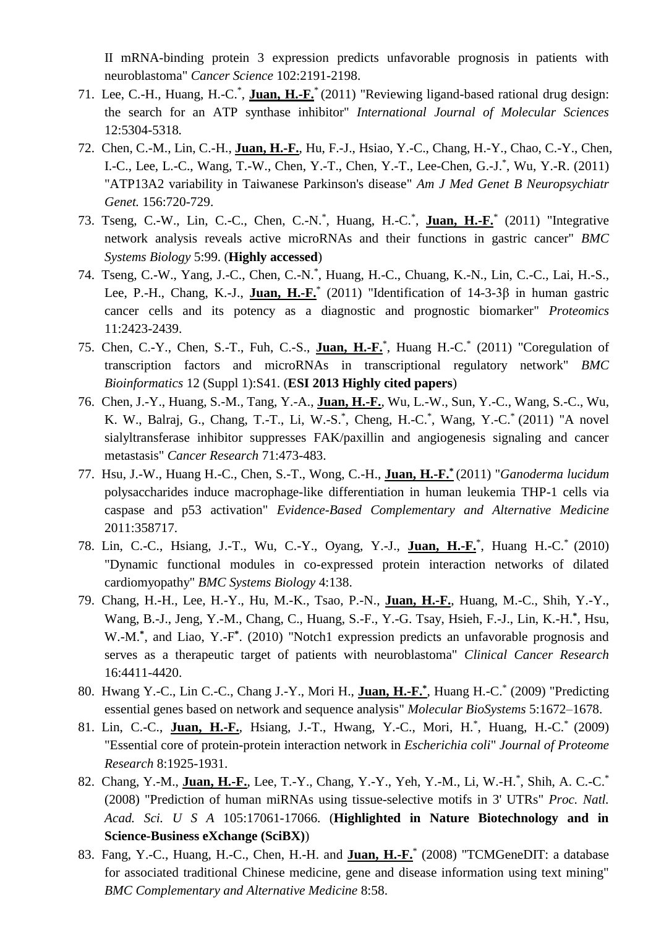II mRNA-binding protein 3 expression predicts unfavorable prognosis in patients with neuroblastoma" *Cancer Science* 102:2191-2198.

- 71. Lee, C.-H., Huang, H.-C.\* , **Juan, H.-F.**\* (2011) "Reviewing ligand-based rational drug design: the search for an ATP synthase inhibitor" *International Journal of Molecular Sciences* 12:5304-5318*.*
- 72. Chen, C.-M., Lin, C.-H., **Juan, H.-F.**, Hu, F.-J., Hsiao, Y.-C., Chang, H.-Y., Chao, C.-Y., Chen, I.-C., Lee, L.-C., Wang, T.-W., Chen, Y.-T., Chen, Y.-T., Lee-Chen, G.-J.\* , Wu, Y.-R. (2011) "ATP13A2 variability in Taiwanese Parkinson's disease" *Am J Med Genet B Neuropsychiatr Genet.* 156:720-729.
- 73. Tseng, C.-W., Lin, C.-C., Chen, C.-N.<sup>\*</sup>, Huang, H.-C.<sup>\*</sup>, Juan, H.-F.<sup>\*</sup> (2011) "Integrative network analysis reveals active microRNAs and their functions in gastric cancer" *BMC Systems Biology* 5:99. (**Highly accessed**)
- 74. Tseng, C.-W., Yang, J.-C., Chen, C.-N.\* , Huang, H.-C., Chuang, K.-N., Lin, C.-C., Lai, H.-S., Lee, P.-H., Chang, K.-J., **Juan, H.-F.** (2011) "Identification of 14-3-3β in human gastric cancer cells and its potency as a diagnostic and prognostic biomarker" *Proteomics*  11:2423-2439.
- 75. Chen, C.-Y., Chen, S.-T., Fuh, C.-S., **Juan, H.-F.**\* , Huang H.-C.\* (2011) "Coregulation of transcription factors and microRNAs in transcriptional regulatory network" *BMC Bioinformatics* 12 (Suppl 1):S41. (**ESI 2013 Highly cited papers**)
- 76. Chen, J.-Y., Huang, S.-M., Tang, Y.-A., **Juan, H.-F.**, Wu, L.-W., Sun, Y.-C., Wang, S.-C., Wu, K. W., Balraj, G., Chang, T.-T., Li, W.-S.\*, Cheng, H.-C.\*, Wang, Y.-C.\* (2011) "A novel sialyltransferase inhibitor suppresses FAK/paxillin and angiogenesis signaling and cancer metastasis" *Cancer Research* 71:473-483.
- 77. Hsu, J.-W., Huang H.-C., Chen, S.-T., Wong, C.-H., **Juan, H.-F.\*** (2011) "*Ganoderma lucidum* polysaccharides induce macrophage-like differentiation in human leukemia THP-1 cells via caspase and p53 activation" *Evidence-Based Complementary and Alternative Medicine*  2011:358717.
- 78. Lin, C.-C., Hsiang, J.-T., Wu, C.-Y., Oyang, Y.-J., **Juan, H.-F.**\* , Huang H.-C.\* (2010) "Dynamic functional modules in co-expressed protein interaction networks of dilated cardiomyopathy" *BMC Systems Biology* 4:138.
- 79. Chang, H.-H., Lee, H.-Y., Hu, M.-K., Tsao, P.-N., **Juan, H.-F.**, Huang, M.-C., Shih, Y.-Y., Wang, B.-J., Jeng, Y.-M., Chang, C., Huang, S.-F., Y.-G. Tsay, Hsieh, F.-J., Lin, K.-H.<sup>\*</sup>, Hsu, W.-M.**\*** , and Liao, Y.-F **\*** . (2010) "Notch1 expression predicts an unfavorable prognosis and serves as a therapeutic target of patients with neuroblastoma" *Clinical Cancer Research*  16:4411-4420.
- 80. Hwang Y.-C., Lin C.-C., Chang J.-Y., Mori H., **Juan, H.-F.\*** , Huang H.-C.\* (2009) "Predicting essential genes based on network and sequence analysis" *Molecular BioSystems* 5:1672–1678.
- 81. Lin, C.-C., **Juan, H.-F.**, Hsiang, J.-T., Hwang, Y.-C., Mori, H.\* , Huang, H.-C.\* (2009) "Essential core of protein-protein interaction network in *Escherichia coli*" *Journal of Proteome Research* 8:1925-1931.
- 82. Chang, Y.-M., **Juan, H.-F.**, Lee, T.-Y., Chang, Y.-Y., Yeh, Y.-M., Li, W.-H.<sup>\*</sup>, Shih, A. C.-C.<sup>\*</sup> (2008) "Prediction of human miRNAs using tissue-selective motifs in 3' UTRs" *Proc. Natl. Acad. Sci. U S A* 105:17061-17066. (**Highlighted in Nature Biotechnology and in Science-Business eXchange (SciBX)**)
- 83. Fang, Y.-C., Huang, H.-C., Chen, H.-H. and **Juan, H.-F.**\* (2008) "TCMGeneDIT: a database for associated traditional Chinese medicine, gene and disease information using text mining" *BMC Complementary and Alternative Medicine* 8:58.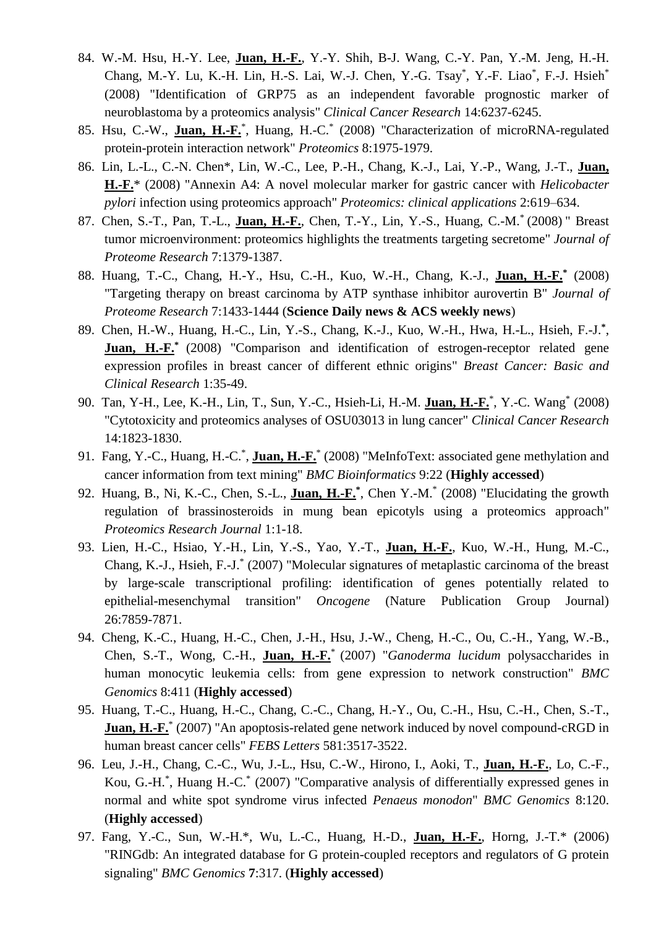- 84. W.-M. Hsu, H.-Y. Lee, **Juan, H.-F.**, Y.-Y. Shih, B-J. Wang, C.-Y. Pan, Y.-M. Jeng, H.-H. Chang, M.-Y. Lu, K.-H. Lin, H.-S. Lai, W.-J. Chen, Y.-G. Tsay<sup>\*</sup>, Y.-F. Liao<sup>\*</sup>, F.-J. Hsieh<sup>\*</sup> (2008) "Identification of GRP75 as an independent favorable prognostic marker of neuroblastoma by a proteomics analysis" *Clinical Cancer Research* 14:6237-6245.
- 85. Hsu, C.-W., **Juan, H.-F.**\* , Huang, H.-C.\* (2008) "Characterization of microRNA-regulated protein-protein interaction network" *Proteomics* 8:1975-1979.
- 86. Lin, L.-L., C.-N. Chen\*, Lin, W.-C., Lee, P.-H., Chang, K.-J., Lai, Y.-P., Wang, J.-T., **Juan, H.-F.**\* (2008) "Annexin A4: A novel molecular marker for gastric cancer with *Helicobacter pylori* infection using proteomics approach" *Proteomics: clinical applications* 2:619–634.
- 87. Chen, S.-T., Pan, T.-L., **Juan, H.-F.**, Chen, T.-Y., Lin, Y.-S., Huang, C.-M.\* (2008) " Breast tumor microenvironment: proteomics highlights the treatments targeting secretome" *Journal of Proteome Research* 7:1379-1387.
- 88. Huang, T.-C., Chang, H.-Y., Hsu, C.-H., Kuo, W.-H., Chang, K.-J., **Juan, H.-F.\*** (2008) "Targeting therapy on breast carcinoma by ATP synthase inhibitor aurovertin B" *Journal of Proteome Research* 7:1433-1444 (**Science Daily news & ACS weekly news**)
- 89. Chen, H.-W., Huang, H.-C., Lin, Y.-S., Chang, K.-J., Kuo, W.-H., Hwa, H.-L., Hsieh, F.-J.**\*** , **Juan, H.-F.**<sup>\*</sup> (2008) "Comparison and identification of estrogen-receptor related gene expression profiles in breast cancer of different ethnic origins" *Breast Cancer: Basic and Clinical Research* 1:35-49.
- 90. Tan, Y-H., Lee, K.-H., Lin, T., Sun, Y.-C., Hsieh-Li, H.-M. **Juan, H.-F.**\* , Y.-C. Wang\* (2008) "Cytotoxicity and proteomics analyses of OSU03013 in lung cancer" *Clinical Cancer Research* 14:1823-1830.
- 91. Fang, Y.-C., Huang, H.-C.<sup>\*</sup>, **Juan, H.-F.**<sup>\*</sup> (2008) "MeInfoText: associated gene methylation and cancer information from text mining" *BMC Bioinformatics* 9:22 (**Highly accessed**)
- 92. Huang, B., Ni, K.-C., Chen, S.-L., **Juan, H.-F.\*** , Chen Y.-M.\* (2008) "Elucidating the growth regulation of brassinosteroids in mung bean epicotyls using a proteomics approach" *Proteomics Research Journal* 1:1-18.
- 93. Lien, H.-C., Hsiao, Y.-H., Lin, Y.-S., Yao, Y.-T., **Juan, H.-F.**, Kuo, W.-H., Hung, M.-C., Chang, K.-J., Hsieh, F.-J.\* (2007) "Molecular signatures of metaplastic carcinoma of the breast by large-scale transcriptional profiling: identification of genes potentially related to epithelial-mesenchymal transition" *Oncogene* (Nature Publication Group Journal) 26:7859-7871.
- 94. Cheng, K.-C., Huang, H.-C., Chen, J.-H., Hsu, J.-W., Cheng, H.-C., Ou, C.-H., Yang, W.-B., Chen, S.-T., Wong, C.-H., **Juan, H.-F.**\* (2007) "*Ganoderma lucidum* polysaccharides in human monocytic leukemia cells: from gene expression to network construction" *BMC Genomics* 8:411 (**Highly accessed**)
- 95. Huang, T.-C., Huang, H.-C., Chang, C.-C., Chang, H.-Y., Ou, C.-H., Hsu, C.-H., Chen, S.-T., **Juan, H.-F.**\* (2007) "An apoptosis-related gene network induced by novel compound-cRGD in human breast cancer cells" *FEBS Letters* 581:3517-3522.
- 96. Leu, J.-H., Chang, C.-C., Wu, J.-L., Hsu, C.-W., Hirono, I., Aoki, T., **Juan, H.-F.**, Lo, C.-F., Kou, G.-H.\* , Huang H.-C.\* (2007) "Comparative analysis of differentially expressed genes in normal and white spot syndrome virus infected *Penaeus monodon*" *BMC Genomics* 8:120. (**Highly accessed**)
- 97. Fang, Y.-C., Sun, W.-H.\*, Wu, L.-C., Huang, H.-D., **Juan, H.-F.**, Horng, J.-T.\* (2006) "RINGdb: An integrated database for G protein-coupled receptors and regulators of G protein signaling" *BMC Genomics* **7**:317. (**Highly accessed**)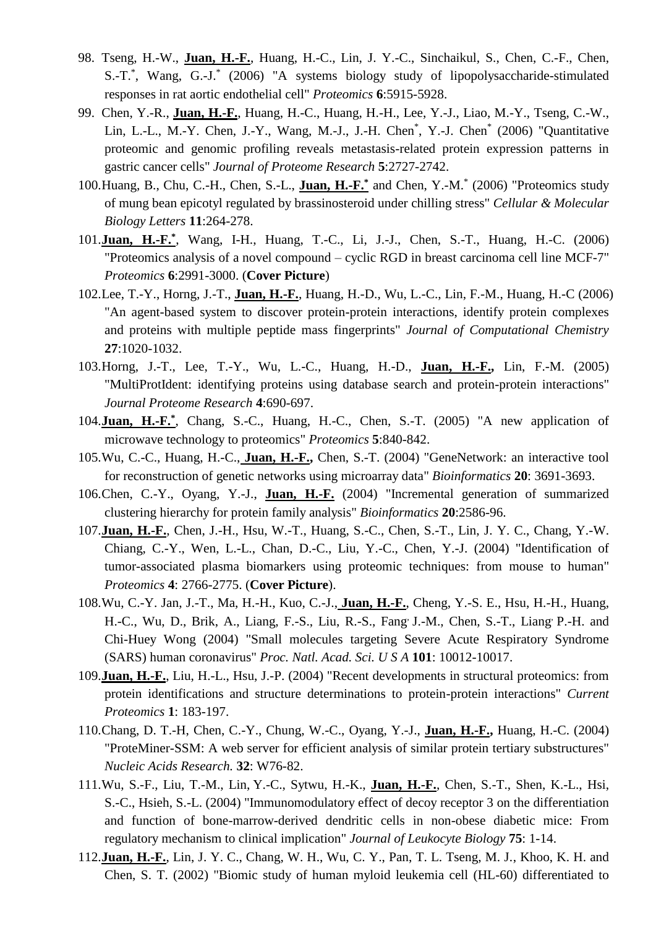- 98. Tseng, H.-W., **Juan, H.-F.**, Huang, H.-C., Lin, J. Y.-C., Sinchaikul, S., Chen, C.-F., Chen, S.-T.\* , Wang, G.-J.\* (2006) "A systems biology study of lipopolysaccharide-stimulated responses in rat aortic endothelial cell" *Proteomics* **6**:5915-5928.
- 99. Chen, Y.-R., **Juan, H.-F.**, Huang, H.-C., Huang, H.-H., Lee, Y.-J., Liao, M.-Y., Tseng, C.-W., Lin, L.-L., M.-Y. Chen, J.-Y., Wang, M.-J., J.-H. Chen\* , Y.-J. Chen\* (2006) "Quantitative proteomic and genomic profiling reveals metastasis-related protein expression patterns in gastric cancer cells" *Journal of Proteome Research* **5**:2727-2742.
- 100.Huang, B., Chu, C.-H., Chen, S.-L., **Juan, H.-F.\*** and Chen, Y.-M.\* (2006) "Proteomics study of mung bean epicotyl regulated by brassinosteroid under chilling stress" *Cellular & Molecular Biology Letters* **11**:264-278.
- 101.**Juan, H.-F.\*** , Wang, I-H., Huang, T.-C., Li, J.-J., Chen, S.-T., Huang, H.-C. (2006) "Proteomics analysis of a novel compound – cyclic RGD in breast carcinoma cell line MCF-7" *Proteomics* **6**:2991-3000. (**Cover Picture**)
- 102.Lee, T.-Y., Horng, J.-T., **Juan, H.-F.**, Huang, H.-D., Wu, L.-C., Lin, F.-M., Huang, H.-C (2006) "An agent-based system to discover protein-protein interactions, identify protein complexes and proteins with multiple peptide mass fingerprints" *Journal of Computational Chemistry* **27**:1020-1032.
- 103.Horng, J.-T., Lee, T.-Y., Wu, L.-C., Huang, H.-D., **Juan, H.-F.,** Lin, F.-M. (2005) "MultiProtIdent: identifying proteins using database search and protein-protein interactions" *Journal Proteome Research* **4**:690-697.
- 104.**Juan, H.-F.\*** , Chang, S.-C., Huang, H.-C., Chen, S.-T. (2005) "A new application of microwave technology to proteomics" *Proteomics* **5**:840-842.
- 105.Wu, C.-C., Huang, H.-C., **Juan, H.-F.,** Chen, S.-T. (2004) "GeneNetwork: an interactive tool for reconstruction of genetic networks using microarray data" *Bioinformatics* **20**: 3691-3693.
- 106.Chen, C.-Y., Oyang, Y.-J., **Juan, H.-F.** (2004) "Incremental generation of summarized clustering hierarchy for protein family analysis" *Bioinformatics* **20**:2586-96.
- 107.**Juan, H.-F.**, Chen, J.-H., Hsu, W.-T., Huang, S.-C., Chen, S.-T., Lin, J. Y. C., Chang, Y.-W. Chiang, C.-Y., Wen, L.-L., Chan, D.-C., Liu, Y.-C., Chen, Y.-J. (2004) "Identification of tumor-associated plasma biomarkers using proteomic techniques: from mouse to human" *Proteomics* **4**: 2766-2775. (**Cover Picture**).
- 108.Wu, C.-Y. Jan, J.-T., Ma, H.-H., Kuo, C.-J., **Juan, H.-F.**, Cheng, Y.-S. E., Hsu, H.-H., Huang, H.-C., Wu, D., Brik, A., Liang, F.-S., Liu, R.-S., Fang, J.-M., Chen, S.-T., Liang, P.-H. and Chi-Huey Wong (2004) "Small molecules targeting Severe Acute Respiratory Syndrome (SARS) human coronavirus" *Proc. Natl. Acad. Sci. U S A* **101**: 10012-10017.
- 109.**Juan, H.-F.**, Liu, H.-L., Hsu, J.-P. (2004) "Recent developments in structural proteomics: from protein identifications and structure determinations to protein-protein interactions" *Current Proteomics* **1**: 183-197.
- 110.Chang, D. T.-H, Chen, C.-Y., Chung, W.-C., Oyang, Y.-J., **Juan, H.-F.,** Huang, H.-C. (2004) "ProteMiner-SSM: A web server for efficient analysis of similar protein tertiary substructures" *Nucleic Acids Research.* **32**: W76-82.
- 111.Wu, S.-F., Liu, T.-M., Lin, Y.-C., Sytwu, H.-K., **Juan, H.-F.**, Chen, S.-T., Shen, K.-L., Hsi, S.-C., Hsieh, S.-L. (2004) "Immunomodulatory effect of decoy receptor 3 on the differentiation and function of bone-marrow-derived dendritic cells in non-obese diabetic mice: From regulatory mechanism to clinical implication" *Journal of Leukocyte Biology* **75**: 1-14.
- 112.**Juan, H.-F.**, Lin, J. Y. C., Chang, W. H., Wu, C. Y., Pan, T. L. Tseng, M. J., Khoo, K. H. and Chen, S. T. (2002) "Biomic study of human myloid leukemia cell (HL-60) differentiated to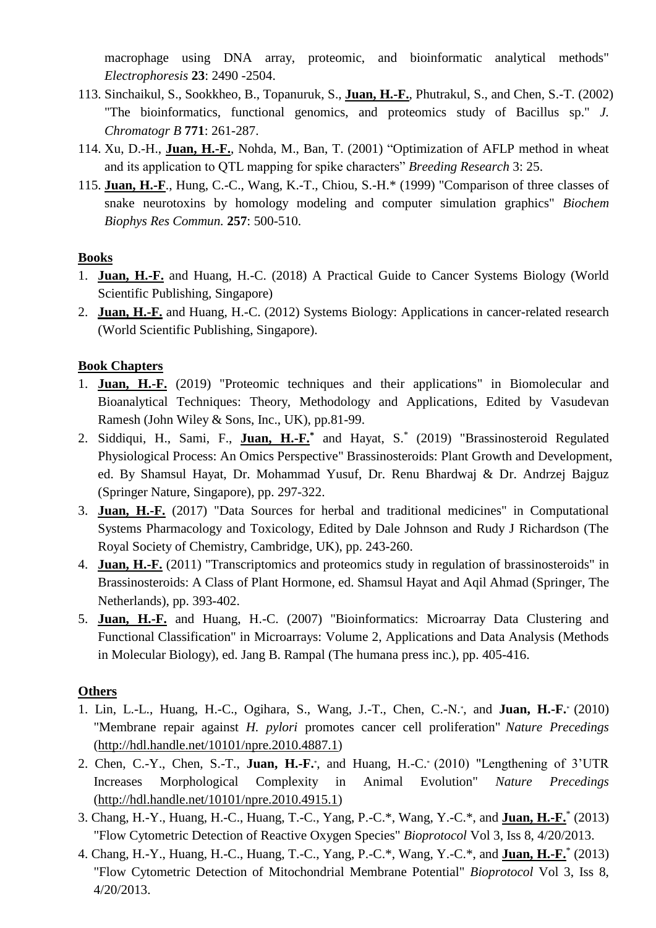macrophage using DNA array, proteomic, and bioinformatic analytical methods" *Electrophoresis* **23**: 2490 -2504.

- 113. Sinchaikul, S., Sookkheo, B., Topanuruk, S., **Juan, H.-F.**, Phutrakul, S., and Chen, S.-T. (2002) "The bioinformatics, functional genomics, and proteomics study of Bacillus sp." *J. Chromatogr B* **771**: 261-287.
- 114. Xu, D.-H., **Juan, H.-F.**, Nohda, M., Ban, T. (2001) "Optimization of AFLP method in wheat and its application to QTL mapping for spike characters" *Breeding Research* 3: 25.
- 115. **Juan, H.-F**., Hung, C.-C., Wang, K.-T., Chiou, S.-H.\* (1999) "Comparison of three classes of snake neurotoxins by homology modeling and computer simulation graphics" *Biochem Biophys Res Commun.* **257**: 500-510.

## **Books**

- 1. **Juan, H.-F.** and Huang, H.-C. (2018) A Practical Guide to Cancer Systems Biology (World Scientific Publishing, Singapore)
- 2. **Juan, H.-F.** and Huang, H.-C. (2012) Systems Biology: Applications in cancer-related research (World Scientific Publishing, Singapore).

## **Book Chapters**

- 1. **Juan, H.-F.** (2019) "Proteomic techniques and their applications" in Biomolecular and Bioanalytical Techniques: Theory, Methodology and Applications, Edited by Vasudevan Ramesh (John Wiley & Sons, Inc., UK), pp.81-99.
- 2. Siddiqui, H., Sami, F., **Juan, H.-F.\*** and Hayat, S. \* (2019) "Brassinosteroid Regulated Physiological Process: An Omics Perspective" Brassinosteroids: Plant Growth and Development, ed. By Shamsul Hayat, Dr. Mohammad Yusuf, Dr. Renu Bhardwaj & Dr. Andrzej Bajguz (Springer Nature, Singapore), pp. 297-322.
- 3. **Juan, H.-F.** (2017) "Data Sources for herbal and traditional medicines" in Computational Systems Pharmacology and Toxicology, Edited by Dale Johnson and Rudy J Richardson (The Royal Society of Chemistry, Cambridge, UK), pp. 243-260.
- 4. **Juan, H.-F.** (2011) "Transcriptomics and proteomics study in regulation of brassinosteroids" in Brassinosteroids: A Class of Plant Hormone, ed. Shamsul Hayat and Aqil Ahmad (Springer, The Netherlands), pp. 393-402.
- 5. **Juan, H.-F.** and Huang, H.-C. (2007) "Bioinformatics: Microarray Data Clustering and Functional Classification" in Microarrays: Volume 2, Applications and Data Analysis (Methods in Molecular Biology), ed. Jang B. Rampal (The humana press inc.), pp. 405-416.

## **Others**

- 1. Lin, L.-L., Huang, H.-C., Ogihara, S., Wang, J.-T., Chen, C.-N.\* , and **Juan, H.-F.**\* (2010) "Membrane repair against *H. pylori* promotes cancer cell proliferation" *Nature Precedings*  [\(http://hdl.handle.net/10101/npre.2010.4887.1\)](http://hdl.handle.net/10101/npre.2010.4887.1)
- 2. Chen, C.-Y., Chen, S.-T., **Juan, H.-F.**\* , and Huang, H.-C.\* (2010) "Lengthening of 3'UTR Increases Morphological Complexity in Animal Evolution" *Nature Precedings*  [\(http://hdl.handle.net/10101/npre.2010.4915.1\)](http://hdl.handle.net/10101/npre.2010.4915.1)
- 3. Chang, H.-Y., Huang, H.-C., Huang, T.-C., Yang, P.-C.\*, Wang, Y.-C.\*, and **Juan, H.-F.**\* (2013) "Flow Cytometric Detection of Reactive Oxygen Species" *Bioprotocol* Vol 3, Iss 8, 4/20/2013.
- 4. Chang, H.-Y., Huang, H.-C., Huang, T.-C., Yang, P.-C.\*, Wang, Y.-C.\*, and **Juan, H.-F.**\* (2013) "Flow Cytometric Detection of Mitochondrial Membrane Potential" *Bioprotocol* Vol 3, Iss 8, 4/20/2013.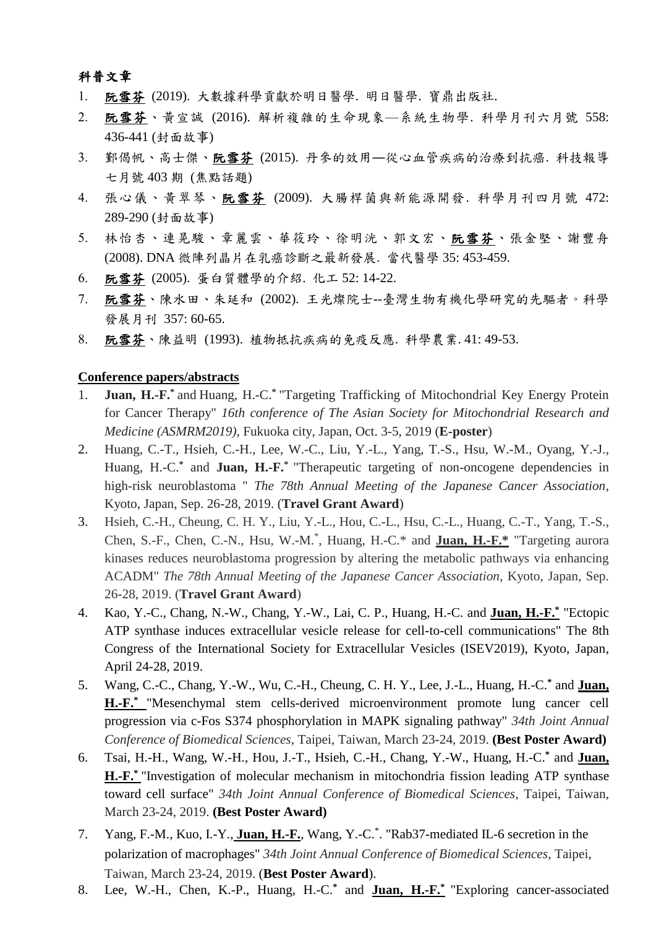## 科普文章

- 阮雪芬 (2019). 大數據科學貢獻於明日醫學. 明日醫學. 寶鼎出版社.
- 阮雪芬、黃宣誠 (2016). 解析複雜的生命現象—系統生物學. 科學月刊六月號 558: 436-441 (封面故事)
- 鄞偈帆、高士傑、阮雪芬 (2015). 丹參的效用―從心血管疾病的治療到抗癌. 科技報導 七月號 403 期 (焦點話題)
- 張心儀、黃翠琴、阮雪芬 (2009). 大腸桿菌與新能源開發. 科學月刊四月號 472: 289-290 (封面故事)
- 5. 林怡杏、連晃駿、章麗雲、華筱玲、徐明洸、郭文宏、阮雪芬、張金堅、謝豐舟 (2008). DNA 微陣列晶片在乳癌診斷之最新發展. 當代醫學 35: 453-459.
- 阮雪芬 (2005). 蛋白質體學的介紹. 化工 52: 14-22.
- 阮雪芬、陳水田、朱延和 (2002). 王光燦院士--臺灣生物有機化學研究的先驅者。科學 發展月刊 357: 60-65.
- 阮雪芬、陳益明 (1993). 植物抵抗疾病的免疫反應. 科學農業. 41: 49-53.

#### **Conference papers/abstracts**

- 1. **Juan, H.-F.\*** and Huang, H.-C.**\***  "Targeting Trafficking of Mitochondrial Key Energy Protein for Cancer Therapy" *16th conference of The Asian Society for Mitochondrial Research and Medicine (ASMRM2019)*, Fukuoka city, Japan, Oct. 3-5, 2019 (**E-poster**)
- 2. Huang, C.-T., Hsieh, C.-H., Lee, W.-C., Liu, Y.-L., Yang, T.-S., Hsu, W.-M., Oyang, Y.-J., Huang, H.-C.**\*** and **Juan, H.-F.\*** "Therapeutic targeting of non-oncogene dependencies in high-risk neuroblastoma " *The 78th Annual Meeting of the Japanese Cancer Association*, Kyoto, Japan, Sep. 26-28, 2019. (**Travel Grant Award**)
- 3. Hsieh, C.-H., Cheung, C. H. Y., Liu, Y.-L., Hou, C.-L., Hsu, C.-L., Huang, C.-T., Yang, T.-S., Chen, S.-F., Chen, C.-N., Hsu, W.-M.\* , Huang, H.-C.\* and **Juan, H.-F.\*** "Targeting aurora kinases reduces neuroblastoma progression by altering the metabolic pathways via enhancing ACADM" *The 78th Annual Meeting of the Japanese Cancer Association*, Kyoto, Japan, Sep. 26-28, 2019. (**Travel Grant Award**)
- 4. Kao, Y.-C., Chang, N.-W., Chang, Y.-W., Lai, C. P., Huang, H.-C. and **Juan, H.-F.\*** "Ectopic ATP synthase induces extracellular vesicle release for cell-to-cell communications" The 8th Congress of the International Society for Extracellular Vesicles (ISEV2019), Kyoto, Japan, April 24-28, 2019.
- 5. Wang, C.-C., Chang, Y.-W., Wu, C.-H., Cheung, C. H. Y., Lee, J.-L., Huang, H.-C.**\*** and **Juan, H.-F.\*** "Mesenchymal stem cells-derived microenvironment promote lung cancer cell progression via c-Fos S374 phosphorylation in MAPK signaling pathway" *34th Joint Annual Conference of Biomedical Sciences*, Taipei, Taiwan, March 23-24, 2019. **(Best Poster Award)**
- 6. Tsai, H.-H., Wang, W.-H., Hou, J.-T., Hsieh, C.-H., Chang, Y.-W., Huang, H.-C.**\*** and **Juan, H.-F.\*** "Investigation of molecular mechanism in mitochondria fission leading ATP synthase toward cell surface" *34th Joint Annual Conference of Biomedical Sciences*, Taipei, Taiwan, March 23-24, 2019. **(Best Poster Award)**
- 7. Yang, F.-M., Kuo, I.-Y., **Juan, H.-F.**, Wang, Y.-C. \* . "Rab37-mediated IL-6 secretion in the polarization of macrophages" *34th Joint Annual Conference of Biomedical Sciences*, Taipei, Taiwan, March 23-24, 2019. (**Best Poster Award**).
- 8. Lee, W.-H., Chen, K.-P., Huang, H.-C.**\*** and **Juan, H.-F.\*** "Exploring cancer-associated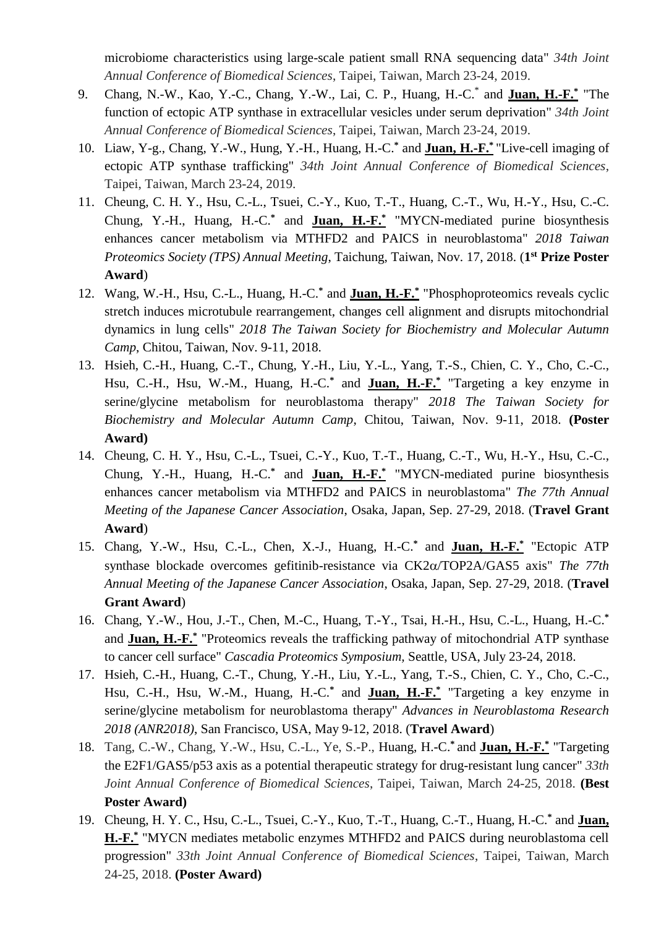microbiome characteristics using large-scale patient small RNA sequencing data" *34th Joint Annual Conference of Biomedical Sciences*, Taipei, Taiwan, March 23-24, 2019.

- 9. Chang, N.-W., Kao, Y.-C., Chang, Y.-W., Lai, C. P., Huang, H.-C.\* and **Juan, H.-F.\*** "The function of ectopic ATP synthase in extracellular vesicles under serum deprivation" *34th Joint Annual Conference of Biomedical Sciences*, Taipei, Taiwan, March 23-24, 2019.
- 10. Liaw, Y-g., Chang, Y.-W., Hung, Y.-H., Huang, H.-C. **\*** and **Juan, H.-F.\*** "Live-cell imaging of ectopic ATP synthase trafficking" *34th Joint Annual Conference of Biomedical Sciences*, Taipei, Taiwan, March 23-24, 2019.
- 11. Cheung, C. H. Y., Hsu, C.-L., Tsuei, C.-Y., Kuo, T.-T., Huang, C.-T., Wu, H.-Y., Hsu, C.-C. Chung, Y.-H., Huang, H.-C.**\*** and **Juan, H.-F.\*** "MYCN-mediated purine biosynthesis enhances cancer metabolism via MTHFD2 and PAICS in neuroblastoma" *2018 Taiwan Proteomics Society (TPS) Annual Meeting*, Taichung, Taiwan, Nov. 17, 2018. (**1 st Prize Poster Award**)
- 12. Wang, W.-H., Hsu, C.-L., Huang, H.-C.**\*** and **Juan, H.-F.\*** "Phosphoproteomics reveals cyclic stretch induces microtubule rearrangement, changes cell alignment and disrupts mitochondrial dynamics in lung cells" *2018 The Taiwan Society for Biochemistry and Molecular Autumn Camp*, Chitou, Taiwan, Nov. 9-11, 2018.
- 13. Hsieh, C.-H., Huang, C.-T., Chung, Y.-H., Liu, Y.-L., Yang, T.-S., Chien, C. Y., Cho, C.-C., Hsu, C.-H., Hsu, W.-M., Huang, H.-C.**\*** and **Juan, H.-F.\*** "Targeting a key enzyme in serine/glycine metabolism for neuroblastoma therapy" *2018 The Taiwan Society for Biochemistry and Molecular Autumn Camp*, Chitou, Taiwan, Nov. 9-11, 2018. **(Poster Award)**
- 14. Cheung, C. H. Y., Hsu, C.-L., Tsuei, C.-Y., Kuo, T.-T., Huang, C.-T., Wu, H.-Y., Hsu, C.-C., Chung, Y.-H., Huang, H.-C.**\*** and **Juan, H.-F.\*** "MYCN-mediated purine biosynthesis enhances cancer metabolism via MTHFD2 and PAICS in neuroblastoma" *The 77th Annual Meeting of the Japanese Cancer Association*, Osaka, Japan, Sep. 27-29, 2018. (**Travel Grant Award**)
- 15. Chang, Y.-W., Hsu, C.-L., Chen, X.-J., Huang, H.-C.**\*** and **Juan, H.-F.\*** "Ectopic ATP synthase blockade overcomes gefitinib-resistance via CK2 $\alpha$ /TOP2A/GAS5 axis" *The 77th Annual Meeting of the Japanese Cancer Association*, Osaka, Japan, Sep. 27-29, 2018. (**Travel Grant Award**)
- 16. Chang, Y.-W., Hou, J.-T., Chen, M.-C., Huang, T.-Y., Tsai, H.-H., Hsu, C.-L., Huang, H.-C.**\*** and **Juan, H.-F.\*** "Proteomics reveals the trafficking pathway of mitochondrial ATP synthase to cancer cell surface" *Cascadia Proteomics Symposium,* Seattle, USA, July 23-24, 2018.
- 17. Hsieh, C.-H., Huang, C.-T., Chung, Y.-H., Liu, Y.-L., Yang, T.-S., Chien, C. Y., Cho, C.-C., Hsu, C.-H., Hsu, W.-M., Huang, H.-C.**\*** and **Juan, H.-F.\*** "Targeting a key enzyme in serine/glycine metabolism for neuroblastoma therapy" *Advances in Neuroblastoma Research 2018 (ANR2018)*, San Francisco, USA, May 9-12, 2018. (**Travel Award**)
- 18. Tang, C.-W., Chang, Y.-W., Hsu, C.-L., Ye, S.-P., Huang, H.-C.**\*** and **Juan, H.-F.\*** "Targeting the E2F1/GAS5/p53 axis as a potential therapeutic strategy for drug-resistant lung cancer" *33th Joint Annual Conference of Biomedical Sciences*, Taipei, Taiwan, March 24-25, 2018. **(Best Poster Award)**
- 19. Cheung, H. Y. C., Hsu, C.-L., Tsuei, C.-Y., Kuo, T.-T., Huang, C.-T., Huang, H.-C.**\*** and **Juan, H.-F.\*** "MYCN mediates metabolic enzymes MTHFD2 and PAICS during neuroblastoma cell progression" *33th Joint Annual Conference of Biomedical Sciences*, Taipei, Taiwan, March 24-25, 2018. **(Poster Award)**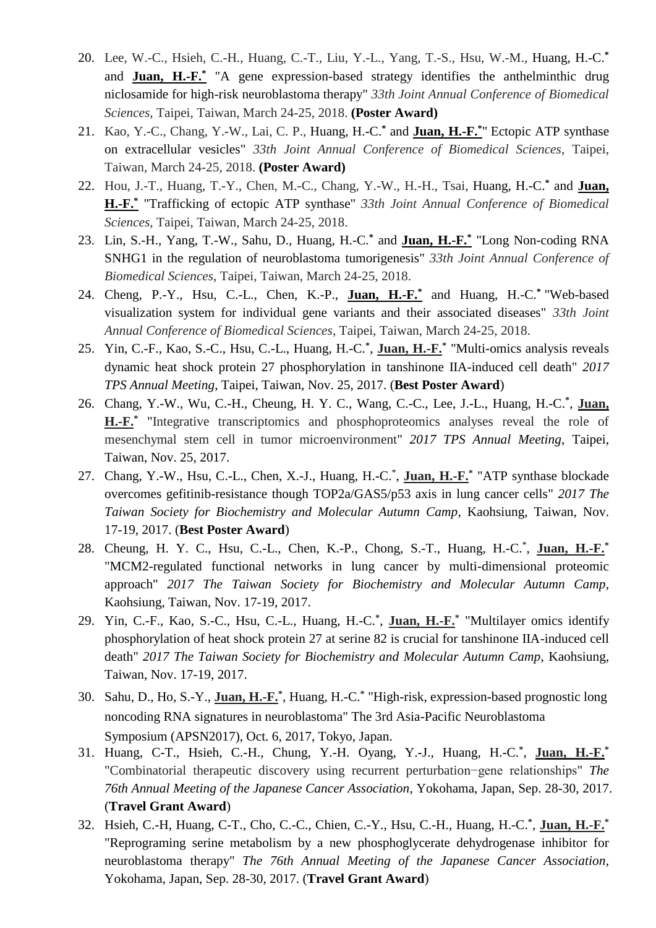- 20. Lee, W.-C., Hsieh, C.-H., Huang, C.-T., Liu, Y.-L., Yang, T.-S., Hsu, W.-M., Huang, H.-C.**\*** and **Juan, H.-F.\*** "A gene expression-based strategy identifies the anthelminthic drug niclosamide for high-risk neuroblastoma therapy" *33th Joint Annual Conference of Biomedical Sciences*, Taipei, Taiwan, March 24-25, 2018. **(Poster Award)**
- 21. Kao, Y.-C., Chang, Y.-W., Lai*,* C. P., Huang, H.-C.**\*** and **Juan, H.-F.\*** " Ectopic ATP synthase on extracellular vesicles" *33th Joint Annual Conference of Biomedical Sciences*, Taipei, Taiwan, March 24-25, 2018. **(Poster Award)**
- 22. Hou, J.-T., Huang, T.-Y., Chen, M.-C., Chang, Y.-W., H.-H., Tsai, Huang, H.-C.**\*** and **Juan, H.-F.\*** "Trafficking of ectopic ATP synthase" *33th Joint Annual Conference of Biomedical Sciences*, Taipei, Taiwan, March 24-25, 2018.
- 23. Lin, S.-H., Yang, T.-W., Sahu, D., Huang, H.-C.**\*** and **Juan, H.-F.\*** "Long Non-coding RNA SNHG1 in the regulation of neuroblastoma tumorigenesis" *33th Joint Annual Conference of Biomedical Sciences*, Taipei, Taiwan, March 24-25, 2018.
- 24. Cheng, P.-Y., Hsu, C.-L., Chen, K.-P., **Juan, H.-F.\*** and Huang, H.-C.**\*** "Web-based visualization system for individual gene variants and their associated diseases" *33th Joint Annual Conference of Biomedical Sciences*, Taipei, Taiwan, March 24-25, 2018.
- 25. Yin, C.-F., Kao, S.-C., Hsu, C.-L., Huang, H.-C.**\*** , **Juan, H.-F.\*** "Multi-omics analysis reveals dynamic heat shock protein 27 phosphorylation in tanshinone IIA-induced cell death" *2017 TPS Annual Meeting*, Taipei, Taiwan, Nov. 25, 2017. (**Best Poster Award**)
- 26. Chang, Y.-W., Wu, C.-H., Cheung, H. Y. C., Wang, C.-C., Lee, J.-L., Huang, H.-C.**\*** , **Juan,**  H.-F.<sup>\*</sup> "Integrative transcriptomics and phosphoproteomics analyses reveal the role of mesenchymal stem cell in tumor microenvironment" *2017 TPS Annual Meeting*, Taipei, Taiwan, Nov. 25, 2017.
- 27. Chang, Y.-W., Hsu, C.-L., Chen, X.-J., Huang, H.-C.\* , **Juan, H.-F.\*** "ATP synthase blockade overcomes gefitinib-resistance though TOP2a/GAS5/p53 axis in lung cancer cells" *2017 The Taiwan Society for Biochemistry and Molecular Autumn Camp*, Kaohsiung, Taiwan, Nov. 17-19, 2017. (**Best Poster Award**)
- 28. Cheung, H. Y. C., Hsu, C.-L., Chen, K.-P., Chong, S.-T., Huang, H.-C.\* , **Juan, H.-F.\***  "MCM2-regulated functional networks in lung cancer by multi-dimensional proteomic approach" *2017 The Taiwan Society for Biochemistry and Molecular Autumn Camp*, Kaohsiung, Taiwan, Nov. 17-19, 2017.
- 29. Yin, C.-F., Kao, S.-C., Hsu, C.-L., Huang, H.-C.**\*** , **Juan, H.-F.\*** "Multilayer omics identify phosphorylation of heat shock protein 27 at serine 82 is crucial for tanshinone IIA-induced cell death" *2017 The Taiwan Society for Biochemistry and Molecular Autumn Camp*, Kaohsiung, Taiwan, Nov. 17-19, 2017.
- 30. Sahu, D., Ho, S.-Y., **Juan, H.-F.\*** , Huang, H.-C.**\*** "High-risk, expression-based prognostic long noncoding RNA signatures in neuroblastoma" The 3rd Asia-Pacific Neuroblastoma Symposium (APSN2017), Oct. 6, 2017, Tokyo, Japan.
- 31. Huang, C-T., Hsieh, C.-H., Chung, Y.-H. Oyang, Y.-J., Huang, H.-C.**\*** , **Juan, H.-F.\*** "Combinatorial therapeutic discovery using recurrent perturbation−gene relationships" *The 76th Annual Meeting of the Japanese Cancer Association*, Yokohama, Japan, Sep. 28-30, 2017. (**Travel Grant Award**)
- 32. Hsieh, C.-H, Huang, C-T., Cho, C.-C., Chien, C.-Y., Hsu, C.-H., Huang, H.-C.**\*** , **Juan, H.-F.\*** "Reprograming serine metabolism by a new phosphoglycerate dehydrogenase inhibitor for neuroblastoma therapy" *The 76th Annual Meeting of the Japanese Cancer Association*, Yokohama, Japan, Sep. 28-30, 2017. (**Travel Grant Award**)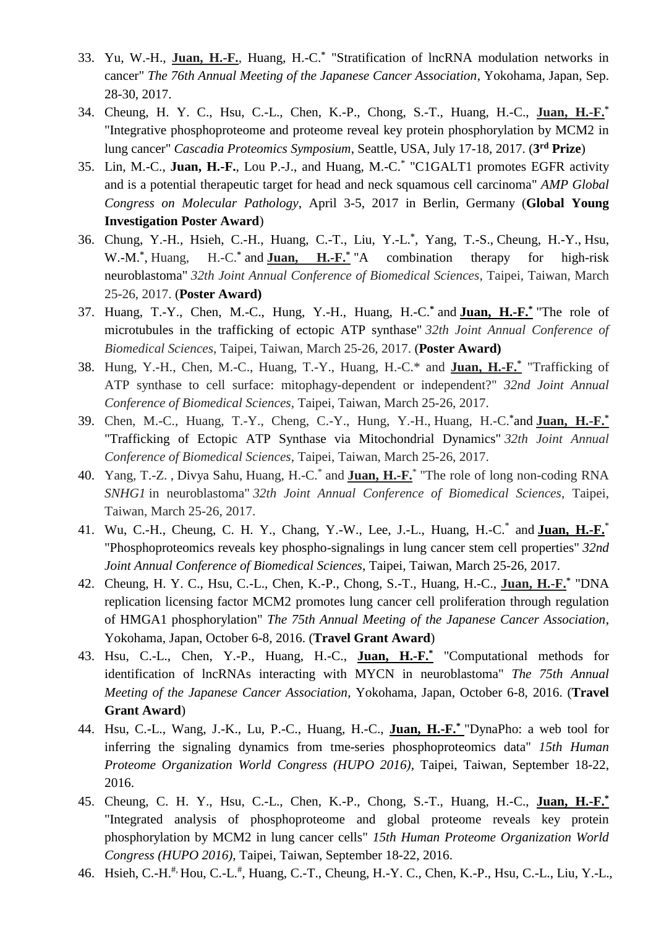- 33. Yu, W.-H., **Juan, H.-F.**, Huang, H.-C.**\*** "Stratification of lncRNA modulation networks in cancer" *The 76th Annual Meeting of the Japanese Cancer Association*, Yokohama, Japan, Sep. 28-30, 2017.
- 34. Cheung, H. Y. C., Hsu, C.-L., Chen, K.-P., Chong, S.-T., Huang, H.-C., **Juan, H.-F.\*** "Integrative phosphoproteome and proteome reveal key protein phosphorylation by MCM2 in lung cancer" *Cascadia Proteomics Symposium*, Seattle, USA, July 17-18, 2017. (**3 rd Prize**)
- 35. Lin, M.-C., **Juan, H.-F.**, Lou P.-J., and Huang, M.-C.\* "C1GALT1 promotes EGFR activity and is a potential therapeutic target for head and neck squamous cell carcinoma" *AMP Global Congress on Molecular Pathology*, April 3-5, 2017 in Berlin, Germany (**Global Young Investigation Poster Award**)
- 36. Chung, Y.-H., Hsieh, C.-H., Huang, C.-T., Liu, Y.-L.**\*** , Yang, T.-S., Cheung, H.-Y., Hsu, W.-M.**\*** , Huang, H.-C.**\*** and **Juan, H.-F.\*** combination therapy for high-risk neuroblastoma" *32th Joint Annual Conference of Biomedical Sciences*, Taipei, Taiwan, March 25-26, 2017. (**Poster Award)**
- 37. Huang, T.-Y., Chen, M.-C., Hung, Y.-H., Huang, H.-C.**\*** and **Juan, H.-F.\*** "The role of microtubules in the trafficking of ectopic ATP synthase" *32th Joint Annual Conference of Biomedical Sciences*, Taipei, Taiwan, March 25-26, 2017. (**Poster Award)**
- 38. Hung, Y.-H., Chen, M.-C., Huang, T.-Y., Huang, H.-C.\* and **Juan, H.-F.\*** "Trafficking of ATP synthase to cell surface: mitophagy-dependent or independent?" *32nd Joint Annual Conference of Biomedical Sciences*, Taipei, Taiwan, March 25-26, 2017.
- 39. Chen, M.-C., Huang, T.-Y., Cheng, C.-Y., Hung, Y.-H., Huang, H.-C.**\***and **Juan, H.-F.\*** "Trafficking of Ectopic ATP Synthase via Mitochondrial Dynamics" *32th Joint Annual Conference of Biomedical Sciences*, Taipei, Taiwan, March 25-26, 2017.
- 40. Yang, T.-Z. , Divya Sahu, Huang, H.-C.\* and **Juan, H.-F.**\* "The role of long non-coding RNA *SNHG1* in neuroblastoma" *32th Joint Annual Conference of Biomedical Sciences*, Taipei, Taiwan, March 25-26, 2017.
- 41. Wu, C.-H., Cheung, C. H. Y., Chang, Y.-W., Lee, J.-L., Huang, H.-C.\* and **Juan, H.-F.**\* "Phosphoproteomics reveals key phospho-signalings in lung cancer stem cell properties" *32nd Joint Annual Conference of Biomedical Sciences*, Taipei, Taiwan, March 25-26, 2017.
- 42. Cheung, H. Y. C., Hsu, C.-L., Chen, K.-P., Chong, S.-T., Huang, H.-C., **Juan, H.-F.\*** "DNA replication licensing factor MCM2 promotes lung cancer cell proliferation through regulation of HMGA1 phosphorylation" *The 75th Annual Meeting of the Japanese Cancer Association*, Yokohama, Japan, October 6-8, 2016. (**Travel Grant Award**)
- 43. Hsu, C.-L., Chen, Y.-P., Huang, H.-C., **Juan, H.-F.\*** "Computational methods for identification of lncRNAs interacting with MYCN in neuroblastoma" *The 75th Annual Meeting of the Japanese Cancer Association*, Yokohama, Japan, October 6-8, 2016. (**Travel Grant Award**)
- 44. Hsu, C.-L., Wang, J.-K., Lu, P.-C., Huang, H.-C., **Juan, H.-F.\*** "DynaPho: a web tool for inferring the signaling dynamics from tme-series phosphoproteomics data" *15th Human Proteome Organization World Congress (HUPO 2016)*, Taipei, Taiwan, September 18-22, 2016.
- 45. Cheung, C. H. Y., Hsu, C.-L., Chen, K.-P., Chong, S.-T., Huang, H.-C., **Juan, H.-F.\*** "Integrated analysis of phosphoproteome and global proteome reveals key protein phosphorylation by MCM2 in lung cancer cells" *15th Human Proteome Organization World Congress (HUPO 2016)*, Taipei, Taiwan, September 18-22, 2016.
- 46. Hsieh, C.-H.<sup>#,</sup> Hou, C.-L.<sup>#</sup>, Huang, C.-T., Cheung, H.-Y. C., Chen, K.-P., Hsu, C.-L., Liu, Y.-L.,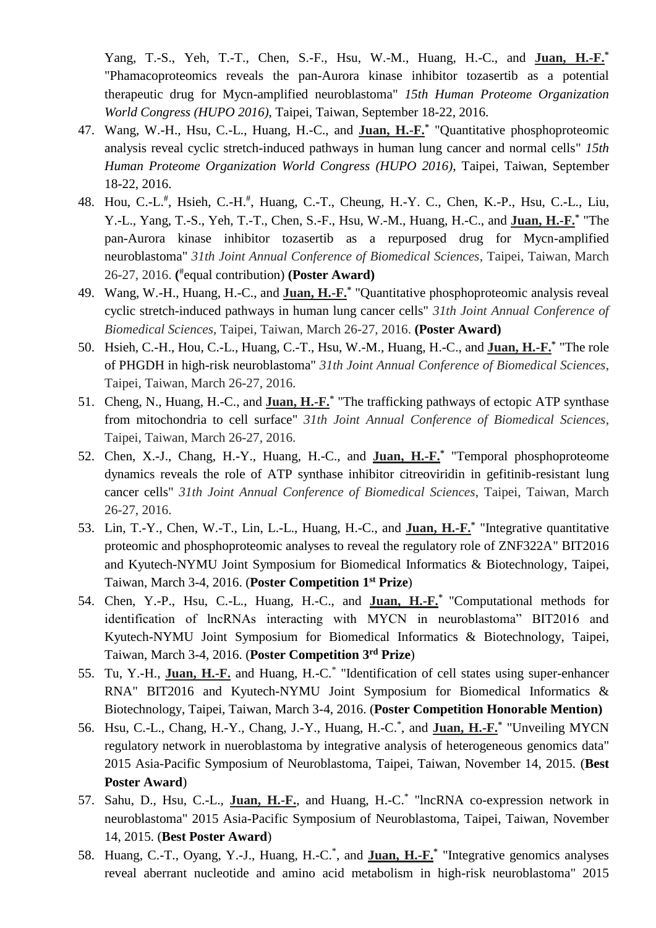Yang, T.-S., Yeh, T.-T., Chen, S.-F., Hsu, W.-M., Huang, H.-C., and **Juan, H.-F.\*** "Phamacoproteomics reveals the pan-Aurora kinase inhibitor tozasertib as a potential therapeutic drug for Mycn-amplified neuroblastoma" *15th Human Proteome Organization World Congress (HUPO 2016)*, Taipei, Taiwan, September 18-22, 2016.

- 47. Wang, W.-H., Hsu, C.-L., Huang, H.-C., and **Juan, H.-F.\*** "Quantitative phosphoproteomic analysis reveal cyclic stretch-induced pathways in human lung cancer and normal cells" *15th Human Proteome Organization World Congress (HUPO 2016)*, Taipei, Taiwan, September 18-22, 2016.
- 48. Hou, C.-L.<sup>#</sup>, Hsieh, C.-H.<sup>#</sup>, Huang, C.-T., Cheung, H.-Y. C., Chen, K.-P., Hsu, C.-L., Liu, Y.-L., Yang, T.-S., Yeh, T.-T., Chen, S.-F., Hsu, W.-M., Huang, H.-C., and **Juan, H.-F.\*** "The pan-Aurora kinase inhibitor tozasertib as a repurposed drug for Mycn-amplified neuroblastoma" *31th Joint Annual Conference of Biomedical Sciences*, Taipei, Taiwan, March 26-27, 2016. **(** # equal contribution) **(Poster Award)**
- 49. Wang, W.-H., Huang, H.-C., and **Juan, H.-F.\*** "Quantitative phosphoproteomic analysis reveal cyclic stretch-induced pathways in human lung cancer cells" *31th Joint Annual Conference of Biomedical Sciences*, Taipei, Taiwan, March 26-27, 2016. **(Poster Award)**
- 50. Hsieh, C.-H., Hou, C.-L., Huang, C.-T., Hsu, W.-M., Huang, H.-C., and **Juan, H.-F.\*** "The role of PHGDH in high-risk neuroblastoma" *31th Joint Annual Conference of Biomedical Sciences*, Taipei, Taiwan, March 26-27, 2016.
- 51. Cheng, N., Huang, H.-C., and **Juan, H.-F.\*** "The trafficking pathways of ectopic ATP synthase from mitochondria to cell surface" *31th Joint Annual Conference of Biomedical Sciences*, Taipei, Taiwan, March 26-27, 2016.
- 52. Chen, X.-J., Chang, H.-Y., Huang, H.-C., and **Juan, H.-F.\*** "Temporal phosphoproteome dynamics reveals the role of ATP synthase inhibitor citreoviridin in gefitinib-resistant lung cancer cells" *31th Joint Annual Conference of Biomedical Sciences*, Taipei, Taiwan, March 26-27, 2016.
- 53. Lin, T.-Y., Chen, W.-T., Lin, L.-L., Huang, H.-C., and **Juan, H.-F.\*** "Integrative quantitative proteomic and phosphoproteomic analyses to reveal the regulatory role of ZNF322A" BIT2016 and Kyutech-NYMU Joint Symposium for Biomedical Informatics & Biotechnology, Taipei, Taiwan, March 3-4, 2016. (**Poster Competition 1 st Prize**)
- 54. Chen, Y.-P., Hsu, C.-L., Huang, H.-C., and **Juan, H.-F.\*** "Computational methods for identification of lncRNAs interacting with MYCN in neuroblastoma" BIT2016 and Kyutech-NYMU Joint Symposium for Biomedical Informatics & Biotechnology, Taipei, Taiwan, March 3-4, 2016. (**Poster Competition 3 rd Prize**)
- 55. Tu, Y.-H., **Juan, H.-F.** and Huang, H.-C.\* "Identification of cell states using super-enhancer RNA" BIT2016 and Kyutech-NYMU Joint Symposium for Biomedical Informatics & Biotechnology, Taipei, Taiwan, March 3-4, 2016. (**Poster Competition Honorable Mention)**
- 56. Hsu, C.-L., Chang, H.-Y., Chang, J.-Y., Huang, H.-C.\* , and **Juan, H.-F.\*** "Unveiling MYCN regulatory network in nueroblastoma by integrative analysis of heterogeneous genomics data" 2015 Asia-Pacific Symposium of Neuroblastoma, Taipei, Taiwan, November 14, 2015. (**Best Poster Award**)
- 57. Sahu, D., Hsu, C.-L., **Juan, H.-F.**, and Huang, H.-C.\* "lncRNA co-expression network in neuroblastoma" 2015 Asia-Pacific Symposium of Neuroblastoma, Taipei, Taiwan, November 14, 2015. (**Best Poster Award**)
- 58. Huang, C.-T., Oyang, Y.-J., Huang, H.-C.\* , and **Juan, H.-F.\*** "Integrative genomics analyses reveal aberrant nucleotide and amino acid metabolism in high-risk neuroblastoma" 2015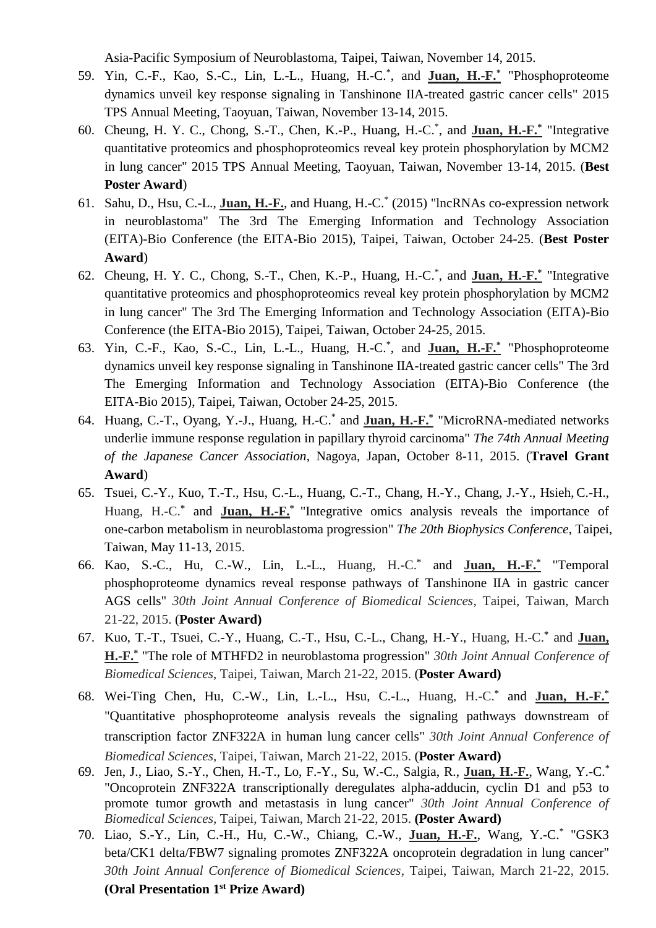Asia-Pacific Symposium of Neuroblastoma, Taipei, Taiwan, November 14, 2015.

- 59. Yin, C.-F., Kao, S.-C., Lin, L.-L., Huang, H.-C.\* , and **Juan, H.-F.\*** "Phosphoproteome dynamics unveil key response signaling in Tanshinone IIA-treated gastric cancer cells" 2015 TPS Annual Meeting, Taoyuan, Taiwan, November 13-14, 2015.
- 60. Cheung, H. Y. C., Chong, S.-T., Chen, K.-P., Huang, H.-C.\* , and **Juan, H.-F.\*** "Integrative quantitative proteomics and phosphoproteomics reveal key protein phosphorylation by MCM2 in lung cancer" 2015 TPS Annual Meeting, Taoyuan, Taiwan, November 13-14, 2015. (**Best Poster Award**)
- 61. Sahu, D., Hsu, C.-L., **Juan, H.-F.**, and Huang, H.-C.\* (2015) "lncRNAs co-expression network in neuroblastoma" The 3rd The Emerging Information and Technology Association (EITA)-Bio Conference (the EITA-Bio 2015), Taipei, Taiwan, October 24-25. (**Best Poster Award**)
- 62. Cheung, H. Y. C., Chong, S.-T., Chen, K.-P., Huang, H.-C.\* , and **Juan, H.-F.\*** "Integrative quantitative proteomics and phosphoproteomics reveal key protein phosphorylation by MCM2 in lung cancer" The 3rd The Emerging Information and Technology Association (EITA)-Bio Conference (the EITA-Bio 2015), Taipei, Taiwan, October 24-25, 2015.
- 63. Yin, C.-F., Kao, S.-C., Lin, L.-L., Huang, H.-C.\* , and **Juan, H.-F.\*** "Phosphoproteome dynamics unveil key response signaling in Tanshinone IIA-treated gastric cancer cells" The 3rd The Emerging Information and Technology Association (EITA)-Bio Conference (the EITA-Bio 2015), Taipei, Taiwan, October 24-25, 2015.
- 64. Huang, C.-T., Oyang, Y.-J., Huang, H.-C.\* and **Juan, H.-F.\*** "MicroRNA-mediated networks underlie immune response regulation in papillary thyroid carcinoma" *The 74th Annual Meeting of the Japanese Cancer Association*, Nagoya, Japan, October 8-11, 2015. (**Travel Grant Award**)
- 65. Tsuei, C.-Y., Kuo, T.-T., Hsu, C.-L., Huang, C.-T., Chang, H.-Y., Chang, J.-Y., Hsieh, C.-H., Huang, H.-C.**\*** and **Juan, H.-F.\*** "Integrative omics analysis reveals the importance of one-carbon metabolism in neuroblastoma progression" *The 20th Biophysics Conference*, Taipei, Taiwan, May 11-13, 2015.
- 66. Kao, S.-C., Hu, C.-W., Lin, L.-L., Huang, H.-C.**\*** and **Juan, H.-F.\*** "Temporal phosphoproteome dynamics reveal response pathways of Tanshinone IIA in gastric cancer AGS cells" *30th Joint Annual Conference of Biomedical Sciences*, Taipei, Taiwan, March 21-22, 2015. (**Poster Award)**
- 67. Kuo, T.-T., Tsuei, C.-Y., Huang, C.-T., Hsu, C.-L., Chang, H.-Y., Huang, H.-C.**\*** and **Juan, H.-F.\*** "The role of MTHFD2 in neuroblastoma progression" *30th Joint Annual Conference of Biomedical Sciences*, Taipei, Taiwan, March 21-22, 2015. (**Poster Award)**
- 68. Wei-Ting Chen, Hu, C.-W., Lin, L.-L., Hsu, C.-L., Huang, H.-C.**\*** and **Juan, H.-F.\*** "Quantitative phosphoproteome analysis reveals the signaling pathways downstream of transcription factor ZNF322A in human lung cancer cells" *30th Joint Annual Conference of Biomedical Sciences*, Taipei, Taiwan, March 21-22, 2015. (**Poster Award)**
- 69. Jen, J., Liao, S.-Y., Chen, H.-T., Lo, F.-Y., Su, W.-C., Salgia, R., **Juan, H.-F.**, Wang, Y.-C.\* "Oncoprotein ZNF322A transcriptionally deregulates alpha-adducin, cyclin D1 and p53 to promote tumor growth and metastasis in lung cancer" *30th Joint Annual Conference of Biomedical Sciences*, Taipei, Taiwan, March 21-22, 2015. **(Poster Award)**
- 70. Liao, S.-Y., Lin, C.-H., Hu, C.-W., Chiang, C.-W., **Juan, H.-F.**, Wang, Y.-C.\* "GSK3 beta/CK1 delta/FBW7 signaling promotes ZNF322A oncoprotein degradation in lung cancer" *30th Joint Annual Conference of Biomedical Sciences*, Taipei, Taiwan, March 21-22, 2015. **(Oral Presentation 1 st Prize Award)**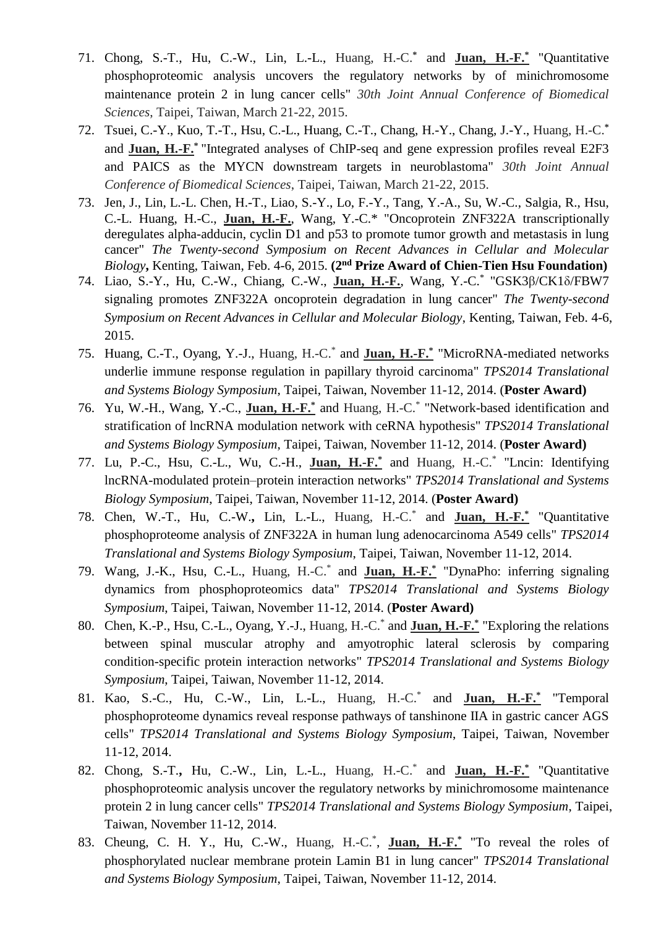- 71. Chong, S.-T., Hu, C.-W., Lin, L.-L., Huang, H.-C.**\*** and **Juan, H.-F.\*** "Quantitative phosphoproteomic analysis uncovers the regulatory networks by of minichromosome maintenance protein 2 in lung cancer cells" *30th Joint Annual Conference of Biomedical Sciences*, Taipei, Taiwan, March 21-22, 2015.
- 72. Tsuei, C.-Y., Kuo, T.-T., Hsu, C.-L., Huang, C.-T., Chang, H.-Y., Chang, J.-Y., Huang, H.-C.**\*** and **Juan, H.-F.\*** "Integrated analyses of ChIP-seq and gene expression profiles reveal E2F3 and PAICS as the MYCN downstream targets in neuroblastoma" *30th Joint Annual Conference of Biomedical Sciences*, Taipei, Taiwan, March 21-22, 2015.
- 73. Jen, J., Lin, L.-L. Chen, H.-T., Liao, S.-Y., Lo, F.-Y., Tang, Y.-A., Su, W.-C., Salgia, R., Hsu, C.-L. Huang, H.-C., **Juan, H.-F.**, Wang, Y.-C.\* "Oncoprotein ZNF322A transcriptionally deregulates alpha-adducin, cyclin D1 and p53 to promote tumor growth and metastasis in lung cancer" *The Twenty-second Symposium on Recent Advances in Cellular and Molecular Biology***,** Kenting, Taiwan, Feb. 4-6, 2015. **(2nd Prize Award of Chien-Tien Hsu Foundation)**
- 74. Liao, S.-Y., Hu, C.-W., Chiang, C.-W., **Juan, H.-F.**, Wang, Y.-C.\* "GSK3β/CK1δ/FBW7 signaling promotes ZNF322A oncoprotein degradation in lung cancer" *The Twenty-second Symposium on Recent Advances in Cellular and Molecular Biology*, Kenting, Taiwan, Feb. 4-6, 2015.
- 75. Huang, C.-T., Oyang, Y.-J., Huang, H.-C.\* and **Juan, H.-F.\*** "MicroRNA-mediated networks underlie immune response regulation in papillary thyroid carcinoma" *TPS2014 Translational and Systems Biology Symposium*, Taipei, Taiwan, November 11-12, 2014. (**Poster Award)**
- 76. Yu, W.-H., Wang, Y.-C., **Juan, H.-F.\*** and Huang, H.-C.\* "Network-based identification and stratification of lncRNA modulation network with ceRNA hypothesis" *TPS2014 Translational and Systems Biology Symposium*, Taipei, Taiwan, November 11-12, 2014. (**Poster Award)**
- 77. Lu, P.-C., Hsu, C.-L., Wu, C.-H., **Juan, H.-F.\*** and Huang, H.-C.\* "Lncin: Identifying lncRNA-modulated protein–protein interaction networks" *TPS2014 Translational and Systems Biology Symposium*, Taipei, Taiwan, November 11-12, 2014. (**Poster Award)**
- 78. Chen, W.-T., Hu, C.-W.**,** Lin, L.-L., Huang, H.-C.\* and **Juan, H.-F.\*** "Quantitative phosphoproteome analysis of ZNF322A in human lung adenocarcinoma A549 cells" *TPS2014 Translational and Systems Biology Symposium*, Taipei, Taiwan, November 11-12, 2014.
- 79. Wang, J.-K., Hsu, C.-L., Huang, H.-C.\* and **Juan, H.-F.\*** "DynaPho: inferring signaling dynamics from phosphoproteomics data" *TPS2014 Translational and Systems Biology Symposium*, Taipei, Taiwan, November 11-12, 2014. (**Poster Award)**
- 80. Chen, K.-P., Hsu, C.-L., Oyang, Y.-J., Huang, H.-C.\* and **Juan, H.-F.\*** "Exploring the relations between spinal muscular atrophy and amyotrophic lateral sclerosis by comparing condition-specific protein interaction networks" *TPS2014 Translational and Systems Biology Symposium*, Taipei, Taiwan, November 11-12, 2014.
- 81. Kao, S.-C., Hu, C.-W., Lin, L.-L., Huang, H.-C.\* and **Juan, H.-F.\*** "Temporal phosphoproteome dynamics reveal response pathways of tanshinone IIA in gastric cancer AGS cells" *TPS2014 Translational and Systems Biology Symposium*, Taipei, Taiwan, November 11-12, 2014.
- 82. Chong, S.-T.**,** Hu, C.-W., Lin, L.-L., Huang, H.-C.\* and **Juan, H.-F.\*** "Quantitative phosphoproteomic analysis uncover the regulatory networks by minichromosome maintenance protein 2 in lung cancer cells" *TPS2014 Translational and Systems Biology Symposium*, Taipei, Taiwan, November 11-12, 2014.
- 83. Cheung, C. H. Y., Hu, C.-W., Huang, H.-C.\* , **Juan, H.-F.\*** "To reveal the roles of phosphorylated nuclear membrane protein Lamin B1 in lung cancer" *TPS2014 Translational and Systems Biology Symposium*, Taipei, Taiwan, November 11-12, 2014.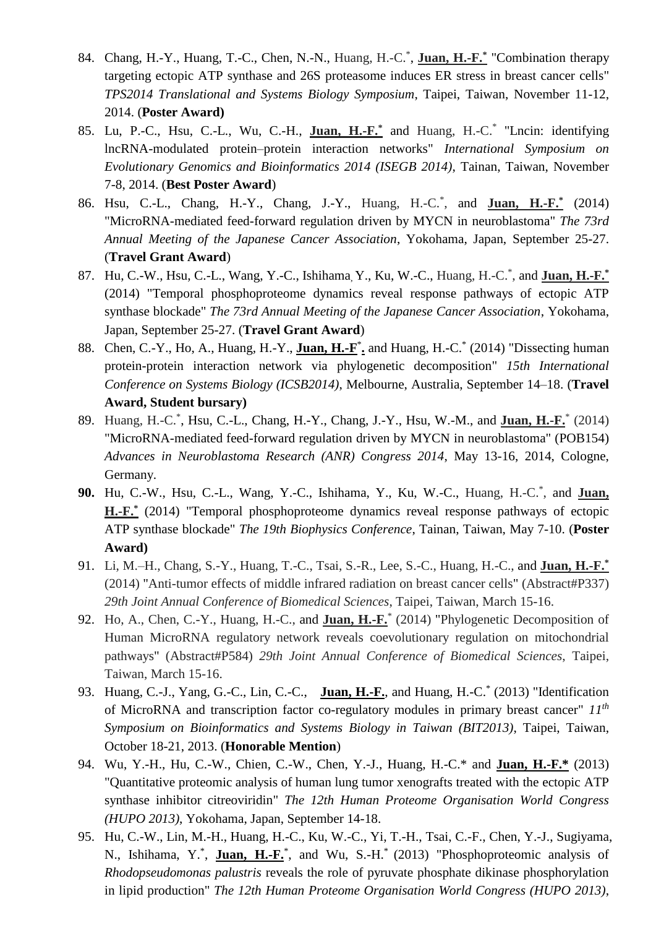- 84. Chang, H.-Y., Huang, T.-C., Chen, N.-N., Huang, H.-C.\* , **Juan, H.-F.\*** "Combination therapy targeting ectopic ATP synthase and 26S proteasome induces ER stress in breast cancer cells" *TPS2014 Translational and Systems Biology Symposium*, Taipei, Taiwan, November 11-12, 2014. (**Poster Award)**
- 85. Lu, P.-C., Hsu, C.-L., Wu, C.-H., **Juan, H.-F.\*** and Huang, H.-C.\* "Lncin: identifying lncRNA-modulated protein–protein interaction networks" *International Symposium on Evolutionary Genomics and Bioinformatics 2014 (ISEGB 2014)*, Tainan, Taiwan, November 7-8, 2014. (**Best Poster Award**)
- 86. Hsu, C.-L., Chang, H.-Y., Chang, J.-Y., Huang, H.-C.\* , and **Juan, H.-F.\*** (2014) "MicroRNA-mediated feed-forward regulation driven by MYCN in neuroblastoma" *The 73rd Annual Meeting of the Japanese Cancer Association*, Yokohama, Japan, September 25-27. (**Travel Grant Award**)
- 87. Hu, C.-W., Hsu, C.-L., Wang, Y.-C., Ishihama, Y., Ku, W.-C., Huang, H.-C.\* , and **Juan, H.-F.\*** (2014) "Temporal phosphoproteome dynamics reveal response pathways of ectopic ATP synthase blockade" *The 73rd Annual Meeting of the Japanese Cancer Association*, Yokohama, Japan, September 25-27. (**Travel Grant Award**)
- 88. Chen, C.-Y., Ho, A., Huang, H.-Y., **Juan, H.-F** \* **.** and Huang, H.-C.\* (2014) "Dissecting human protein-protein interaction network via phylogenetic decomposition" *15th International Conference on Systems Biology (ICSB2014)*, Melbourne, Australia, September 14–18. (**Travel Award, Student bursary)**
- 89. Huang, H.-C.\* , Hsu, C.-L., Chang, H.-Y., Chang, J.-Y., Hsu, W.-M., and **Juan, H.-F.**\* (2014) "MicroRNA-mediated feed-forward regulation driven by MYCN in neuroblastoma" (POB154) *Advances in Neuroblastoma Research (ANR) Congress 2014*, May 13-16, 2014, Cologne, Germany.
- **90.** Hu, C.-W., Hsu, C.-L., Wang, Y.-C., Ishihama, Y., Ku, W.-C., Huang, H.-C.\* , and **Juan, H.-F.\*** (2014) "Temporal phosphoproteome dynamics reveal response pathways of ectopic ATP synthase blockade" *The 19th Biophysics Conference*, Tainan, Taiwan, May 7-10. (**Poster Award)**
- 91. Li, M.–H., Chang, S.-Y., Huang, T.-C., Tsai, S.-R., Lee, S.-C., Huang, H.-C., and **Juan, H.-F.\*** (2014) "Anti-tumor effects of middle infrared radiation on breast cancer cells" (Abstract#P337) *29th Joint Annual Conference of Biomedical Sciences*, Taipei, Taiwan, March 15-16.
- 92. Ho, A., Chen, C.-Y., Huang, H.-C., and **Juan, H.-F.**\* (2014) "Phylogenetic Decomposition of Human MicroRNA regulatory network reveals coevolutionary regulation on mitochondrial pathways" (Abstract#P584) *29th Joint Annual Conference of Biomedical Sciences*, Taipei, Taiwan, March 15-16.
- 93. Huang, C.-J., Yang, G.-C., Lin, C.-C., **Juan, H.-F.**, and Huang, H.-C.\* (2013) "Identification of MicroRNA and transcription factor co-regulatory modules in primary breast cancer" *11th Symposium on Bioinformatics and Systems Biology in Taiwan (BIT2013)*, Taipei, Taiwan, October 18-21, 2013. (**Honorable Mention**)
- 94. Wu, Y.-H., Hu, C.-W., Chien, C.-W., Chen, Y.-J., Huang, H.-C.\* and **Juan, H.-F.\*** (2013) "Quantitative proteomic analysis of human lung tumor xenografts treated with the ectopic ATP synthase inhibitor citreoviridin" *The 12th Human Proteome Organisation World Congress (HUPO 2013)*, Yokohama, Japan, September 14-18.
- 95. Hu, C.-W., Lin, M.-H., Huang, H.-C., Ku, W.-C., Yi, T.-H., Tsai, C.-F., Chen, Y.-J., Sugiyama, N., Ishihama, Y.<sup>\*</sup>, Juan, H.-F.<sup>\*</sup>, and Wu, S.-H.<sup>\*</sup> (2013) "Phosphoproteomic analysis of *Rhodopseudomonas palustris* reveals the role of pyruvate phosphate dikinase phosphorylation in lipid production" *The 12th Human Proteome Organisation World Congress (HUPO 2013)*,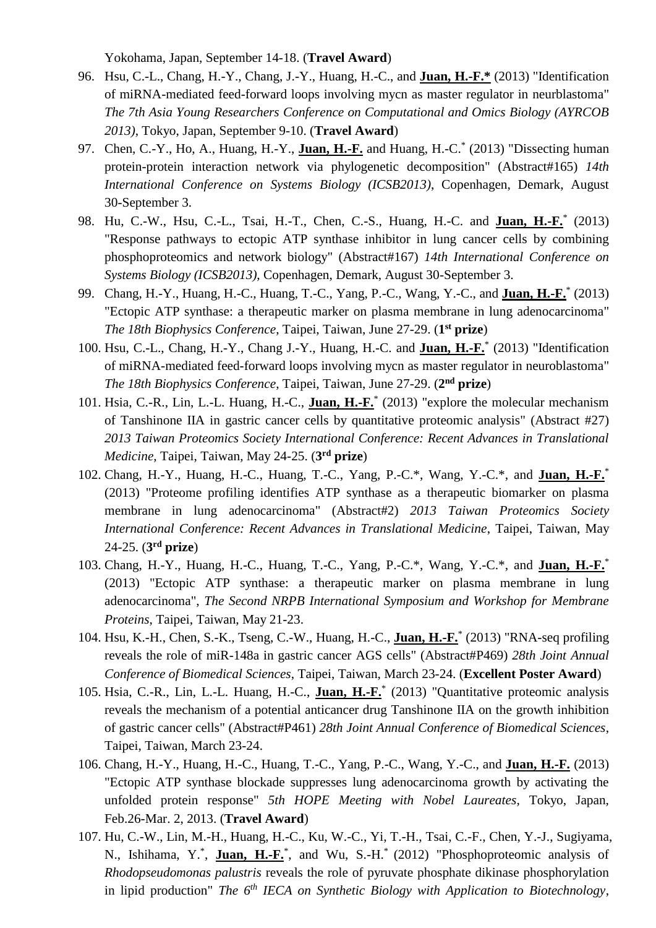Yokohama, Japan, September 14-18. (**Travel Award**)

- 96. Hsu, C.-L., Chang, H.-Y., Chang, J.-Y., Huang, H.-C., and **Juan, H.-F.\*** (2013) "Identification of miRNA-mediated feed-forward loops involving mycn as master regulator in neurblastoma" *The 7th Asia Young Researchers Conference on Computational and Omics Biology (AYRCOB 2013)*, Tokyo, Japan, September 9-10. (**Travel Award**)
- 97. Chen, C.-Y., Ho, A., Huang, H.-Y., **Juan, H.-F.** and Huang, H.-C.\* (2013) "Dissecting human protein-protein interaction network via phylogenetic decomposition" (Abstract#165) *14th International Conference on Systems Biology (ICSB2013)*, Copenhagen, Demark, August 30-September 3.
- 98. Hu, C.-W., Hsu, C.-L., Tsai, H.-T., Chen, C.-S., Huang, H.-C. and **Juan, H.-F.**\* (2013) "Response pathways to ectopic ATP synthase inhibitor in lung cancer cells by combining phosphoproteomics and network biology" (Abstract#167) *14th International Conference on Systems Biology (ICSB2013)*, Copenhagen, Demark, August 30-September 3.
- 99. Chang, H.-Y., Huang, H.-C., Huang, T.-C., Yang, P.-C., Wang, Y.-C., and **Juan, H.-F.**\* (2013) "Ectopic ATP synthase: a therapeutic marker on plasma membrane in lung adenocarcinoma" *The 18th Biophysics Conference*, Taipei, Taiwan, June 27-29. (**1 st prize**)
- 100. Hsu, C.-L., Chang, H.-Y., Chang J.-Y., Huang, H.-C. and **Juan, H.-F.**\* (2013) "Identification of miRNA-mediated feed-forward loops involving mycn as master regulator in neuroblastoma" *The 18th Biophysics Conference*, Taipei, Taiwan, June 27-29. (2<sup>nd</sup> prize)
- 101. Hsia, C.-R., Lin, L.-L. Huang, H.-C., **Juan, H.-F.**\* (2013) "explore the molecular mechanism of Tanshinone IIA in gastric cancer cells by quantitative proteomic analysis" (Abstract #27) *2013 Taiwan Proteomics Society International Conference: Recent Advances in Translational Medicine*, Taipei, Taiwan, May 24-25. (**3 rd prize**)
- 102. Chang, H.-Y., Huang, H.-C., Huang, T.-C., Yang, P.-C.\*, Wang, Y.-C.\*, and **Juan, H.-F.**\* (2013) "Proteome profiling identifies ATP synthase as a therapeutic biomarker on plasma membrane in lung adenocarcinoma" (Abstract#2) *2013 Taiwan Proteomics Society International Conference: Recent Advances in Translational Medicine*, Taipei, Taiwan, May 24-25. (**3 rd prize**)
- 103. Chang, H.-Y., Huang, H.-C., Huang, T.-C., Yang, P.-C.\*, Wang, Y.-C.\*, and **Juan, H.-F.**\* (2013) "Ectopic ATP synthase: a therapeutic marker on plasma membrane in lung adenocarcinoma", *The Second NRPB International Symposium and Workshop for Membrane Proteins*, Taipei, Taiwan, May 21-23.
- 104. Hsu, K.-H., Chen, S.-K., Tseng, C.-W., Huang, H.-C., **Juan, H.-F.**\* (2013) "RNA-seq profiling reveals the role of miR-148a in gastric cancer AGS cells" (Abstract#P469) *28th Joint Annual Conference of Biomedical Sciences*, Taipei, Taiwan, March 23-24. (**Excellent Poster Award**)
- 105. Hsia, C.-R., Lin, L.-L. Huang, H.-C., **Juan, H.-F.**\* (2013) "Quantitative proteomic analysis reveals the mechanism of a potential anticancer drug Tanshinone IIA on the growth inhibition of gastric cancer cells" (Abstract#P461) *28th Joint Annual Conference of Biomedical Sciences*, Taipei, Taiwan, March 23-24.
- 106. Chang, H.-Y., Huang, H.-C., Huang, T.-C., Yang, P.-C., Wang, Y.-C., and **Juan, H.-F.** (2013) "Ectopic ATP synthase blockade suppresses lung adenocarcinoma growth by activating the unfolded protein response" *5th HOPE Meeting with Nobel Laureates*, Tokyo, Japan, Feb.26-Mar. 2, 2013. (**Travel Award**)
- 107. Hu, C.-W., Lin, M.-H., Huang, H.-C., Ku, W.-C., Yi, T.-H., Tsai, C.-F., Chen, Y.-J., Sugiyama, N., Ishihama, Y.<sup>\*</sup>, Juan, H.-F.<sup>\*</sup>, and Wu, S.-H.<sup>\*</sup> (2012) "Phosphoproteomic analysis of *Rhodopseudomonas palustris* reveals the role of pyruvate phosphate dikinase phosphorylation in lipid production" *The 6th IECA on Synthetic Biology with Application to Biotechnology*,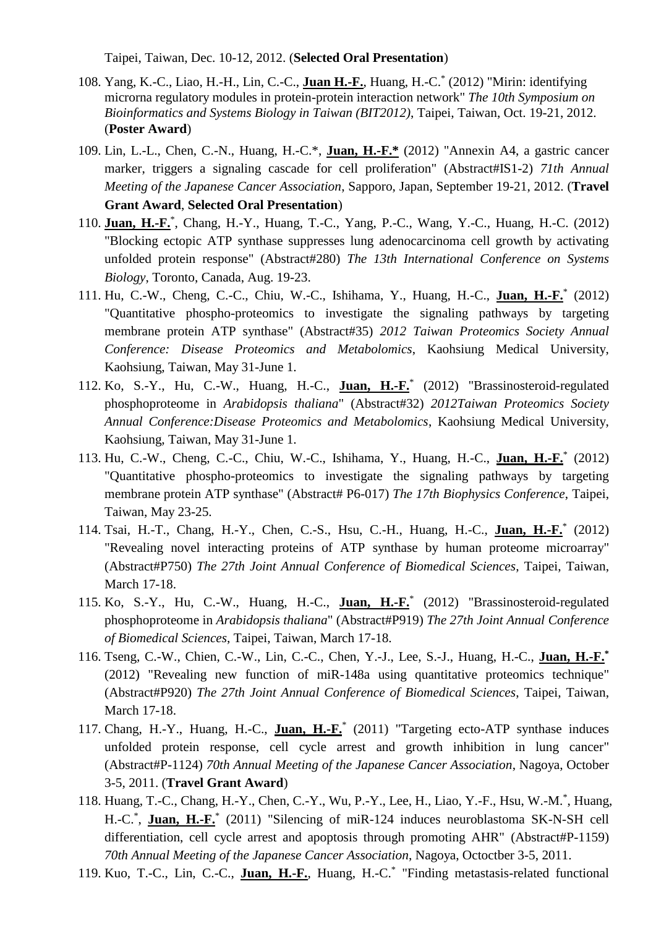Taipei, Taiwan, Dec. 10-12, 2012. (**Selected Oral Presentation**)

- 108. Yang, K.-C., Liao, H.-H., Lin, C.-C., **Juan H.-F.**, Huang, H.-C.\* (2012) "Mirin: identifying microrna regulatory modules in protein-protein interaction network" *The 10th Symposium on Bioinformatics and Systems Biology in Taiwan (BIT2012)*, Taipei, Taiwan, Oct. 19-21, 2012. (**Poster Award**)
- 109. Lin, L.-L., Chen, C.-N., Huang, H.-C.\*, **Juan, H.-F.\*** (2012) "Annexin A4, a gastric cancer marker, triggers a signaling cascade for cell proliferation" (Abstract#IS1-2) *71th Annual Meeting of the Japanese Cancer Association*, Sapporo, Japan, September 19-21, 2012. (**Travel Grant Award**, **Selected Oral Presentation**)
- 110. **Juan, H.-F.**\* , Chang, H.-Y., Huang, T.-C., Yang, P.-C., Wang, Y.-C., Huang, H.-C. (2012) "Blocking ectopic ATP synthase suppresses lung adenocarcinoma cell growth by activating unfolded protein response" (Abstract#280) *The 13th International Conference on Systems Biology*, Toronto, Canada, Aug. 19-23.
- 111. Hu, C.-W., Cheng, C.-C., Chiu, W.-C., Ishihama, Y., Huang, H.-C., **Juan, H.-F.**\* (2012) "Quantitative phospho-proteomics to investigate the signaling pathways by targeting membrane protein ATP synthase" (Abstract#35) *2012 Taiwan Proteomics Society Annual Conference: Disease Proteomics and Metabolomics*, Kaohsiung Medical University, Kaohsiung, Taiwan, May 31-June 1.
- 112. Ko, S.-Y., Hu, C.-W., Huang, H.-C., **Juan, H.-F.**\* (2012) "Brassinosteroid-regulated phosphoproteome in *Arabidopsis thaliana*" (Abstract#32) *2012Taiwan Proteomics Society Annual Conference:Disease Proteomics and Metabolomics*, Kaohsiung Medical University, Kaohsiung, Taiwan, May 31-June 1.
- 113. Hu, C.-W., Cheng, C.-C., Chiu, W.-C., Ishihama, Y., Huang, H.-C., **Juan, H.-F.**\* (2012) "Quantitative phospho-proteomics to investigate the signaling pathways by targeting membrane protein ATP synthase" (Abstract# P6-017) *The 17th Biophysics Conference*, Taipei, Taiwan, May 23-25.
- 114. Tsai, H.-T., Chang, H.-Y., Chen, C.-S., Hsu, C.-H., Huang, H.-C., **Juan, H.-F.**\* (2012) "Revealing novel interacting proteins of ATP synthase by human proteome microarray" (Abstract#P750) *The 27th Joint Annual Conference of Biomedical Sciences*, Taipei, Taiwan, March 17-18.
- 115. Ko, S.-Y., Hu, C.-W., Huang, H.-C., **Juan, H.-F.**\* (2012) "Brassinosteroid-regulated phosphoproteome in *Arabidopsis thaliana*" (Abstract#P919) *The 27th Joint Annual Conference of Biomedical Sciences*, Taipei, Taiwan, March 17-18.
- 116. Tseng, C.-W., Chien, C.-W., Lin, C.-C., Chen, Y.-J., Lee, S.-J., Huang, H.-C., **Juan, H.-F.\*** (2012) "Revealing new function of miR-148a using quantitative proteomics technique" (Abstract#P920) *The 27th Joint Annual Conference of Biomedical Sciences*, Taipei, Taiwan, March 17-18.
- 117. Chang, H.-Y., Huang, H.-C., **Juan, H.-F.**\* (2011) "Targeting ecto-ATP synthase induces unfolded protein response, cell cycle arrest and growth inhibition in lung cancer" (Abstract#P-1124) *70th Annual Meeting of the Japanese Cancer Association*, Nagoya, October 3-5, 2011. (**Travel Grant Award**)
- 118. Huang, T.-C., Chang, H.-Y., Chen, C.-Y., Wu, P.-Y., Lee, H., Liao, Y.-F., Hsu, W.-M.\* , Huang, H.-C.<sup>\*</sup>, **Juan, H.-F.**<sup>\*</sup> (2011) "Silencing of miR-124 induces neuroblastoma SK-N-SH cell differentiation, cell cycle arrest and apoptosis through promoting AHR" (Abstract#P-1159) *70th Annual Meeting of the Japanese Cancer Association*, Nagoya, Octoctber 3-5, 2011.
- 119. Kuo, T.-C., Lin, C.-C., **Juan, H.-F.**, Huang, H.-C.\* "Finding metastasis-related functional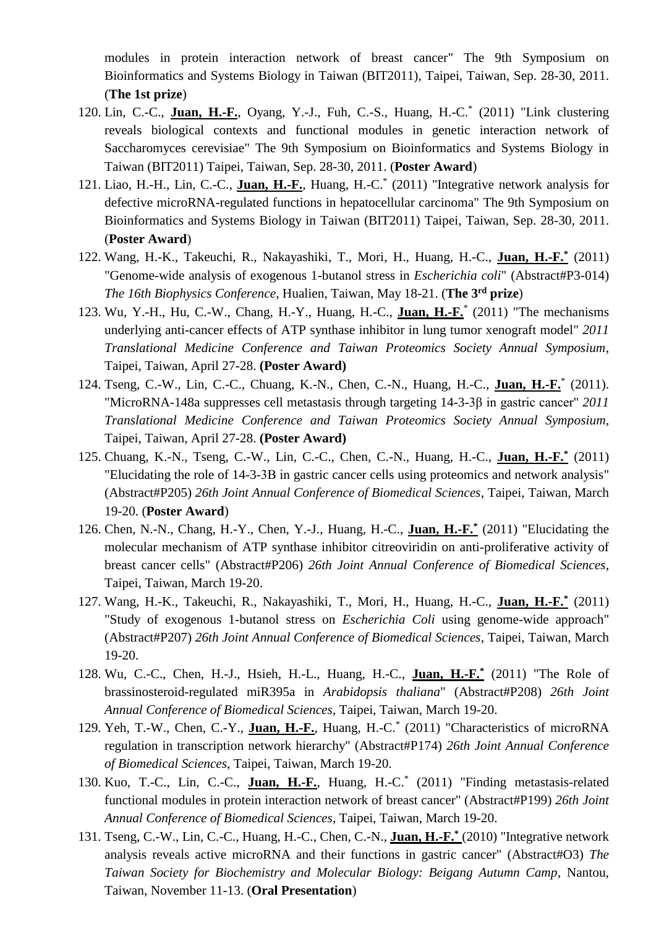modules in protein interaction network of breast cancer" The 9th Symposium on Bioinformatics and Systems Biology in Taiwan (BIT2011), Taipei, Taiwan, Sep. 28-30, 2011. (**The 1st prize**)

- 120. Lin, C.-C., **Juan, H.-F.**, Oyang, Y.-J., Fuh, C.-S., Huang, H.-C.\* (2011) "Link clustering reveals biological contexts and functional modules in genetic interaction network of Saccharomyces cerevisiae" The 9th Symposium on Bioinformatics and Systems Biology in Taiwan (BIT2011) Taipei, Taiwan, Sep. 28-30, 2011. (**Poster Award**)
- 121. Liao, H.-H., Lin, C.-C., **Juan, H.-F.**, Huang, H.-C.\* (2011) "Integrative network analysis for defective microRNA-regulated functions in hepatocellular carcinoma" The 9th Symposium on Bioinformatics and Systems Biology in Taiwan (BIT2011) Taipei, Taiwan, Sep. 28-30, 2011. (**Poster Award**)
- 122. Wang, H.-K., Takeuchi, R., Nakayashiki, T., Mori, H., Huang, H.-C., **Juan, H.-F.\*** (2011) "Genome-wide analysis of exogenous 1-butanol stress in *Escherichia coli*" (Abstract#P3-014) *The 16th Biophysics Conference*, Hualien, Taiwan, May 18-21. (**The 3rd prize**)
- 123. Wu, Y.-H., Hu, C.-W., Chang, H.-Y., Huang, H.-C., **Juan, H.-F.**\* (2011) "The mechanisms underlying anti-cancer effects of ATP synthase inhibitor in lung tumor xenograft model" *2011 Translational Medicine Conference and Taiwan Proteomics Society Annual Symposium*, Taipei, Taiwan, April 27-28. **(Poster Award)**
- 124. Tseng, C.-W., Lin, C.-C., Chuang, K.-N., Chen, C.-N., Huang, H.-C., **Juan, H.-F.**\* (2011). "MicroRNA-148a suppresses cell metastasis through targeting 14-3-3β in gastric cancer" *2011 Translational Medicine Conference and Taiwan Proteomics Society Annual Symposium*, Taipei, Taiwan, April 27-28. **(Poster Award)**
- 125. Chuang, K.-N., Tseng, C.-W., Lin, C.-C., Chen, C.-N., Huang, H.-C., **Juan, H.-F.\*** (2011) "Elucidating the role of 14-3-3Β in gastric cancer cells using proteomics and network analysis" (Abstract#P205) *26th Joint Annual Conference of Biomedical Sciences*, Taipei, Taiwan, March 19-20. (**Poster Award**)
- 126. Chen, N.-N., Chang, H.-Y., Chen, Y.-J., Huang, H.-C., **Juan, H.-F.\*** (2011) "Elucidating the molecular mechanism of ATP synthase inhibitor citreoviridin on anti-proliferative activity of breast cancer cells" (Abstract#P206) *26th Joint Annual Conference of Biomedical Sciences*, Taipei, Taiwan, March 19-20.
- 127. Wang, H.-K., Takeuchi, R., Nakayashiki, T., Mori, H., Huang, H.-C., **Juan, H.-F.\*** (2011) "Study of exogenous 1-butanol stress on *Escherichia Coli* using genome-wide approach" (Abstract#P207) *26th Joint Annual Conference of Biomedical Sciences*, Taipei, Taiwan, March 19-20.
- 128. Wu, C.-C., Chen, H.-J., Hsieh, H.-L., Huang, H.-C., **Juan, H.-F.\*** (2011) "The Role of brassinosteroid-regulated miR395a in *Arabidopsis thaliana*" (Abstract#P208) *26th Joint Annual Conference of Biomedical Sciences*, Taipei, Taiwan, March 19-20.
- 129. Yeh, T.-W., Chen, C.-Y., **Juan, H.-F.**, Huang, H.-C.\* (2011) "Characteristics of microRNA regulation in transcription network hierarchy" (Abstract#P174) *26th Joint Annual Conference of Biomedical Sciences*, Taipei, Taiwan, March 19-20.
- 130. Kuo, T.-C., Lin, C.-C., **Juan, H.-F.**, Huang, H.-C.\* (2011) "Finding metastasis-related functional modules in protein interaction network of breast cancer" (Abstract#P199) *26th Joint Annual Conference of Biomedical Sciences*, Taipei, Taiwan, March 19-20.
- 131. Tseng, C.-W., Lin, C.-C., Huang, H.-C., Chen, C.-N., **Juan, H.-F.\*** (2010) "Integrative network analysis reveals active microRNA and their functions in gastric cancer" (Abstract#O3) *The Taiwan Society for Biochemistry and Molecular Biology: Beigang Autumn Camp*, Nantou, Taiwan, November 11-13. (**Oral Presentation**)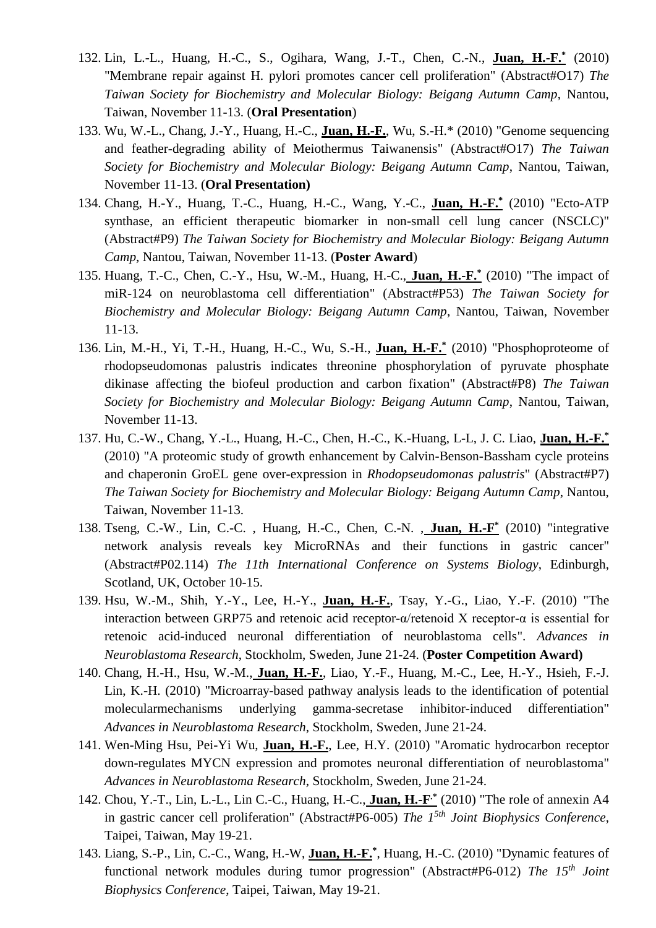- 132. Lin, L.-L., Huang, H.-C., S., Ogihara, Wang, J.-T., Chen, C.-N., **Juan, H.-F.\*** (2010) "Membrane repair against H. pylori promotes cancer cell proliferation" (Abstract#O17) *The Taiwan Society for Biochemistry and Molecular Biology: Beigang Autumn Camp*, Nantou, Taiwan, November 11-13. (**Oral Presentation**)
- 133. Wu, W.-L., Chang, J.-Y., Huang, H.-C., **Juan, H.-F.**, Wu, S.-H.\* (2010) "Genome sequencing and feather-degrading ability of Meiothermus Taiwanensis" (Abstract#O17) *The Taiwan Society for Biochemistry and Molecular Biology: Beigang Autumn Camp*, Nantou, Taiwan, November 11-13. (**Oral Presentation)**
- 134. Chang, H.-Y., Huang, T.-C., Huang, H.-C., Wang, Y.-C., **Juan, H.-F.\*** (2010) "Ecto-ATP synthase, an efficient therapeutic biomarker in non-small cell lung cancer (NSCLC)" (Abstract#P9) *The Taiwan Society for Biochemistry and Molecular Biology: Beigang Autumn Camp*, Nantou, Taiwan, November 11-13. (**Poster Award**)
- 135. Huang, T.-C., Chen, C.-Y., Hsu, W.-M., Huang, H.-C., **Juan, H.-F.\*** (2010) "The impact of miR-124 on neuroblastoma cell differentiation" (Abstract#P53) *The Taiwan Society for Biochemistry and Molecular Biology: Beigang Autumn Camp*, Nantou, Taiwan, November 11-13.
- 136. Lin, M.-H., Yi, T.-H., Huang, H.-C., Wu, S.-H., **Juan, H.-F.\*** (2010) "Phosphoproteome of rhodopseudomonas palustris indicates threonine phosphorylation of pyruvate phosphate dikinase affecting the biofeul production and carbon fixation" (Abstract#P8) *The Taiwan Society for Biochemistry and Molecular Biology: Beigang Autumn Camp*, Nantou, Taiwan, November 11-13.
- 137. Hu, C.-W., Chang, Y.-L., Huang, H.-C., Chen, H.-C., K.-Huang, L-L, J. C. Liao, **Juan, H.-F.\*** (2010) "A proteomic study of growth enhancement by Calvin-Benson-Bassham cycle proteins and chaperonin GroEL gene over-expression in *Rhodopseudomonas palustris*" (Abstract#P7) *The Taiwan Society for Biochemistry and Molecular Biology: Beigang Autumn Camp*, Nantou, Taiwan, November 11-13.
- 138. Tseng, C.-W., Lin, C.-C. , Huang, H.-C., Chen, C.-N. , **Juan, H.-F \*** (2010) "integrative network analysis reveals key MicroRNAs and their functions in gastric cancer" (Abstract#P02.114) *The 11th International Conference on Systems Biology*, Edinburgh, Scotland, UK, October 10-15.
- 139. Hsu, W.-M., Shih, Y.-Y., Lee, H.-Y., **Juan, H.-F.**, Tsay, Y.-G., Liao, Y.-F. (2010) "The interaction between GRP75 and retenoic acid receptor-α/retenoid X receptor-α is essential for retenoic acid-induced neuronal differentiation of neuroblastoma cells". *Advances in Neuroblastoma Research*, Stockholm, Sweden, June 21-24. (**Poster Competition Award)**
- 140. Chang, H.-H., Hsu, W.-M., **Juan, H.-F.**, Liao, Y.-F., Huang, M.-C., Lee, H.-Y., Hsieh, F.-J. Lin, K.-H. (2010) "Microarray-based pathway analysis leads to the identification of potential molecularmechanisms underlying gamma-secretase inhibitor-induced differentiation" *Advances in Neuroblastoma Research*, Stockholm, Sweden, June 21-24.
- 141. Wen-Ming Hsu, Pei-Yi Wu, **Juan, H.-F.**, Lee, H.Y. (2010) "Aromatic hydrocarbon receptor down-regulates MYCN expression and promotes neuronal differentiation of neuroblastoma" *Advances in Neuroblastoma Research*, Stockholm, Sweden, June 21-24.
- 142. Chou, Y.-T., Lin, L.-L., Lin C.-C., Huang, H.-C., **Juan, H.-F .\*** (2010) "The role of annexin A4 in gastric cancer cell proliferation" (Abstract#P6-005) *The 15th Joint Biophysics Conference*, Taipei, Taiwan, May 19-21.
- 143. Liang, S.-P., Lin, C.-C., Wang, H.-W, **Juan, H.-F.\*** , Huang, H.-C. (2010) "Dynamic features of functional network modules during tumor progression" (Abstract#P6-012) *The 15th Joint Biophysics Conference*, Taipei, Taiwan, May 19-21.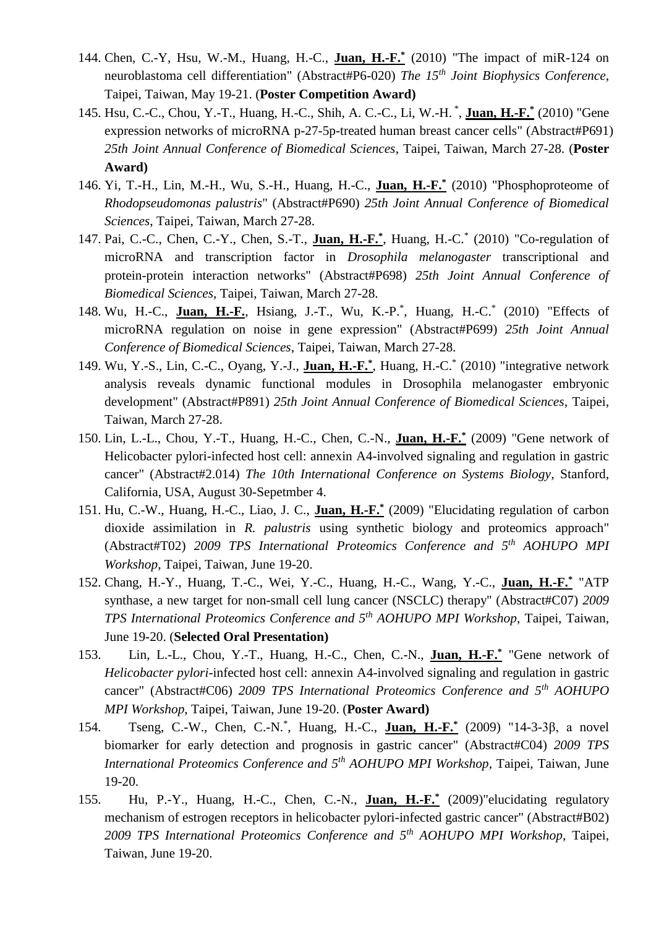- 144. Chen, C.-Y, Hsu, W.-M., Huang, H.-C., **Juan, H.-F.\*** (2010) "The impact of miR-124 on neuroblastoma cell differentiation" (Abstract#P6-020) *The 15th Joint Biophysics Conference*, Taipei, Taiwan, May 19-21. (**Poster Competition Award)**
- 145. Hsu, C.-C., Chou, Y.-T., Huang, H.-C., Shih, A. C.-C., Li, W.-H. \* , **Juan, H.-F.\*** (2010) "Gene expression networks of microRNA p-27-5p-treated human breast cancer cells" (Abstract#P691) *25th Joint Annual Conference of Biomedical Sciences*, Taipei, Taiwan, March 27-28. (**Poster Award)**
- 146. Yi, T.-H., Lin, M.-H., Wu, S.-H., Huang, H.-C., **Juan, H.-F.\*** (2010) "Phosphoproteome of *Rhodopseudomonas palustris*" (Abstract#P690) *25th Joint Annual Conference of Biomedical Sciences*, Taipei, Taiwan, March 27-28.
- 147. Pai, C.-C., Chen, C.-Y., Chen, S.-T., **Juan, H.-F.\*** , Huang, H.-C.\* (2010) "Co-regulation of microRNA and transcription factor in *Drosophila melanogaster* transcriptional and protein-protein interaction networks" (Abstract#P698) *25th Joint Annual Conference of Biomedical Sciences*, Taipei, Taiwan, March 27-28.
- 148. Wu, H.-C., **Juan, H.-F.**, Hsiang, J.-T., Wu, K.-P.<sup>\*</sup>, Huang, H.-C.<sup>\*</sup> (2010) "Effects of microRNA regulation on noise in gene expression" (Abstract#P699) *25th Joint Annual Conference of Biomedical Sciences*, Taipei, Taiwan, March 27-28.
- 149. Wu, Y.-S., Lin, C.-C., Oyang, Y.-J., **Juan, H.-F.\*** , Huang, H.-C.\* (2010) "integrative network analysis reveals dynamic functional modules in Drosophila melanogaster embryonic development" (Abstract#P891) *25th Joint Annual Conference of Biomedical Sciences*, Taipei, Taiwan, March 27-28.
- 150. Lin, L.-L., Chou, Y.-T., Huang, H.-C., Chen, C.-N., **Juan, H.-F.\*** (2009) "Gene network of Helicobacter pylori-infected host cell: annexin A4-involved signaling and regulation in gastric cancer" (Abstract#2.014) *The 10th International Conference on Systems Biology*, Stanford, California, USA, August 30-Sepetmber 4.
- 151. Hu, C.-W., Huang, H.-C., Liao, J. C., **Juan, H.-F.\*** (2009) "Elucidating regulation of carbon dioxide assimilation in *R. palustris* using synthetic biology and proteomics approach" (Abstract#T02) *2009 TPS International Proteomics Conference and 5th AOHUPO MPI Workshop*, Taipei, Taiwan, June 19-20.
- 152. Chang, H.-Y., Huang, T.-C., Wei, Y.-C., Huang, H.-C., Wang, Y.-C., **Juan, H.-F.\*** "ATP synthase, a new target for non-small cell lung cancer (NSCLC) therapy" (Abstract#C07) *2009 TPS International Proteomics Conference and 5th AOHUPO MPI Workshop*, Taipei, Taiwan, June 19-20. (**Selected Oral Presentation)**
- 153. Lin, L.-L., Chou, Y.-T., Huang, H.-C., Chen, C.-N., **Juan, H.-F.\*** "Gene network of *Helicobacter pylori*-infected host cell: annexin A4-involved signaling and regulation in gastric cancer" (Abstract#C06) *2009 TPS International Proteomics Conference and 5th AOHUPO MPI Workshop*, Taipei, Taiwan, June 19-20. (**Poster Award)**
- 154. Tseng, C.-W., Chen, C.-N.\* , Huang, H.-C., **Juan, H.-F.\*** (2009) "14-3-3β, a novel biomarker for early detection and prognosis in gastric cancer" (Abstract#C04) *2009 TPS International Proteomics Conference and 5th AOHUPO MPI Workshop*, Taipei, Taiwan, June 19-20.
- 155. Hu, P.-Y., Huang, H.-C., Chen, C.-N., **Juan, H.-F.\*** (2009)"elucidating regulatory mechanism of estrogen receptors in helicobacter pylori-infected gastric cancer" (Abstract#B02) *2009 TPS International Proteomics Conference and 5th AOHUPO MPI Workshop*, Taipei, Taiwan, June 19-20.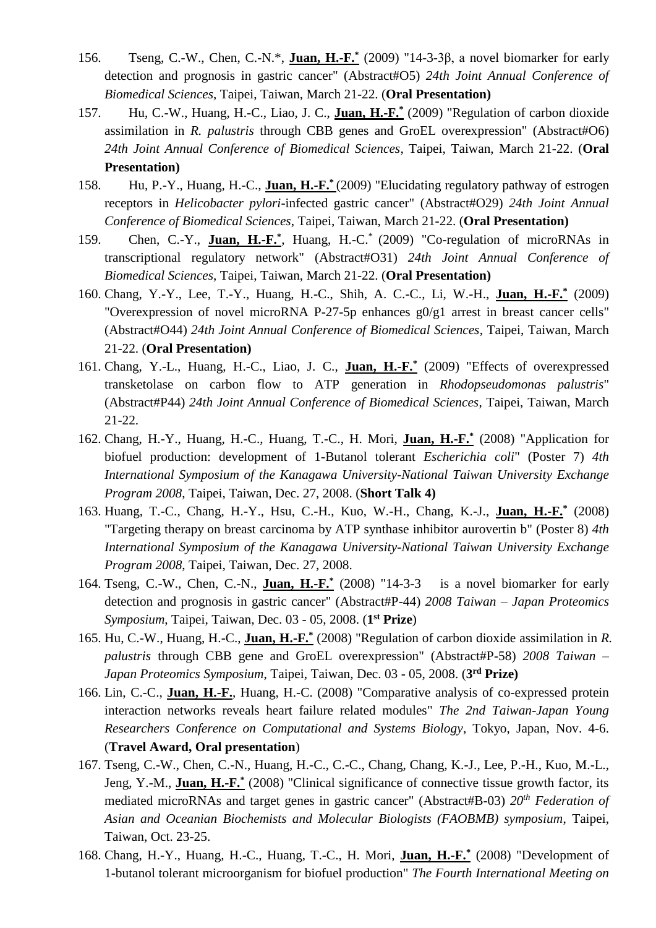- 156. Tseng, C.-W., Chen, C.-N.\*, **Juan, H.-F.\*** (2009) "14-3-3β, a novel biomarker for early detection and prognosis in gastric cancer" (Abstract#O5) *24th Joint Annual Conference of Biomedical Sciences*, Taipei, Taiwan, March 21-22. (**Oral Presentation)**
- 157. Hu, C.-W., Huang, H.-C., Liao, J. C., **Juan, H.-F.\*** (2009) "Regulation of carbon dioxide assimilation in *R. palustris* through CBB genes and GroEL overexpression" (Abstract#O6) *24th Joint Annual Conference of Biomedical Sciences*, Taipei, Taiwan, March 21-22. (**Oral Presentation)**
- 158. Hu, P.-Y., Huang, H.-C., **Juan, H.-F.\*** (2009) "Elucidating regulatory pathway of estrogen receptors in *Helicobacter pylori*-infected gastric cancer" (Abstract#O29) *24th Joint Annual Conference of Biomedical Sciences*, Taipei, Taiwan, March 21-22. (**Oral Presentation)**
- 159. Chen, C.-Y., **Juan, H.-F.**<sup>\*</sup>, Huang, H.-C.<sup>\*</sup> (2009) "Co-regulation of microRNAs in transcriptional regulatory network" (Abstract#O31) *24th Joint Annual Conference of Biomedical Sciences*, Taipei, Taiwan, March 21-22. (**Oral Presentation)**
- 160. Chang, Y.-Y., Lee, T.-Y., Huang, H.-C., Shih, A. C.-C., Li, W.-H., **Juan, H.-F.\*** (2009) "Overexpression of novel microRNA P-27-5p enhances g0/g1 arrest in breast cancer cells" (Abstract#O44) *24th Joint Annual Conference of Biomedical Sciences*, Taipei, Taiwan, March 21-22. (**Oral Presentation)**
- 161. Chang, Y.-L., Huang, H.-C., Liao, J. C., **Juan, H.-F.\*** (2009) "Effects of overexpressed transketolase on carbon flow to ATP generation in *Rhodopseudomonas palustris*" (Abstract#P44) *24th Joint Annual Conference of Biomedical Sciences*, Taipei, Taiwan, March 21-22.
- 162. Chang, H.-Y., Huang, H.-C., Huang, T.-C., H. Mori, **Juan, H.-F.\*** (2008) "Application for biofuel production: development of 1-Butanol tolerant *Escherichia coli*" (Poster 7) *4th International Symposium of the Kanagawa University-National Taiwan University Exchange Program 2008*, Taipei, Taiwan, Dec. 27, 2008. (**Short Talk 4)**
- 163. Huang, T.-C., Chang, H.-Y., Hsu, C.-H., Kuo, W.-H., Chang, K.-J., **Juan, H.-F.\*** (2008) "Targeting therapy on breast carcinoma by ATP synthase inhibitor aurovertin b" (Poster 8) *4th International Symposium of the Kanagawa University-National Taiwan University Exchange Program 2008*, Taipei, Taiwan, Dec. 27, 2008.
- 164. Tseng, C.-W., Chen, C.-N., **Juan, H.-F.\*** (2008) "14-3-3 is a novel biomarker for early detection and prognosis in gastric cancer" (Abstract#P-44) *2008 Taiwan – Japan Proteomics Symposium*, Taipei, Taiwan, Dec. 03 - 05, 2008. (**1 st Prize**)
- 165. Hu, C.-W., Huang, H.-C., **Juan, H.-F.\*** (2008) "Regulation of carbon dioxide assimilation in *R. palustris* through CBB gene and GroEL overexpression" (Abstract#P-58) *2008 Taiwan – Japan Proteomics Symposium*, Taipei, Taiwan, Dec. 03 - 05, 2008. (**3 rd Prize)**
- 166. Lin, C.-C., **Juan, H.-F.**, Huang, H.-C. (2008) "Comparative analysis of co-expressed protein interaction networks reveals heart failure related modules" *The 2nd Taiwan-Japan Young Researchers Conference on Computational and Systems Biology*, Tokyo, Japan, Nov. 4-6. (**Travel Award, Oral presentation**)
- 167. Tseng, C.-W., Chen, C.-N., Huang, H.-C., C.-C., Chang, Chang, K.-J., Lee, P.-H., Kuo, M.-L., Jeng, Y.-M., **Juan, H.-F.\*** (2008) "Clinical significance of connective tissue growth factor, its mediated microRNAs and target genes in gastric cancer" (Abstract#B-03) *20th Federation of Asian and Oceanian Biochemists and Molecular Biologists (FAOBMB) symposium*, Taipei, Taiwan, Oct. 23-25.
- 168. Chang, H.-Y., Huang, H.-C., Huang, T.-C., H. Mori, **Juan, H.-F.\*** (2008) "Development of 1-butanol tolerant microorganism for biofuel production" *The Fourth International Meeting on*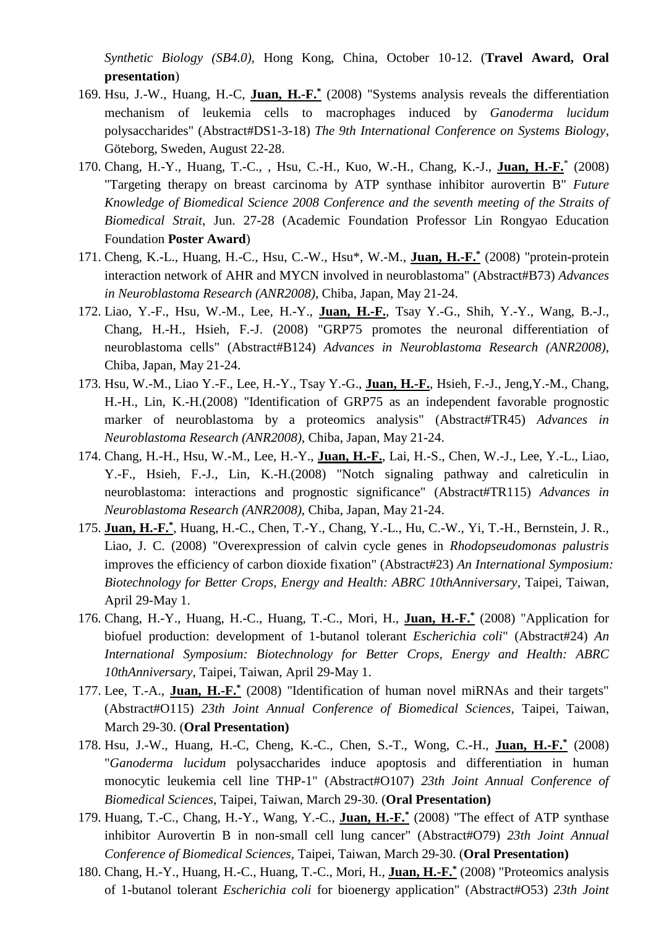*Synthetic Biology (SB4.0),* Hong Kong, China, October 10-12. (**Travel Award, Oral presentation**)

- 169. Hsu, J.-W., Huang, H.-C, **Juan, H.-F.\*** (2008) "Systems analysis reveals the differentiation mechanism of leukemia cells to macrophages induced by *Ganoderma lucidum* polysaccharides" (Abstract#DS1-3-18) *The 9th International Conference on Systems Biology*, Göteborg, Sweden, August 22-28.
- 170. Chang, H.-Y., Huang, T.-C., , Hsu, C.-H., Kuo, W.-H., Chang, K.-J., **Juan, H.-F.**\* (2008) "Targeting therapy on breast carcinoma by ATP synthase inhibitor aurovertin B" *Future Knowledge of Biomedical Science 2008 Conference and the seventh meeting of the Straits of Biomedical Strait*, Jun. 27-28 (Academic Foundation Professor Lin Rongyao Education Foundation **Poster Award**)
- 171. Cheng, K.-L., Huang, H.-C., Hsu, C.-W., Hsu\*, W.-M., **Juan, H.-F.\*** (2008) "protein-protein interaction network of AHR and MYCN involved in neuroblastoma" (Abstract#B73) *Advances in Neuroblastoma Research (ANR2008)*, Chiba, Japan, May 21-24.
- 172. Liao, Y.-F., Hsu, W.-M., Lee, H.-Y., **Juan, H.-F.**, Tsay Y.-G., Shih, Y.-Y., Wang, B.-J., Chang, H.-H., Hsieh, F.-J. (2008) "GRP75 promotes the neuronal differentiation of neuroblastoma cells" (Abstract#B124) *Advances in Neuroblastoma Research (ANR2008)*, Chiba, Japan, May 21-24.
- 173. Hsu, W.-M., Liao Y.-F., Lee, H.-Y., Tsay Y.-G., **Juan, H.-F.**, Hsieh, F.-J., Jeng,Y.-M., Chang, H.-H., Lin, K.-H.(2008) "Identification of GRP75 as an independent favorable prognostic marker of neuroblastoma by a proteomics analysis" (Abstract#TR45) *Advances in Neuroblastoma Research (ANR2008)*, Chiba, Japan, May 21-24.
- 174. Chang, H.-H., Hsu, W.-M., Lee, H.-Y., **Juan, H.-F.**, Lai, H.-S., Chen, W.-J., Lee, Y.-L., Liao, Y.-F., Hsieh, F.-J., Lin, K.-H.(2008) "Notch signaling pathway and calreticulin in neuroblastoma: interactions and prognostic significance" (Abstract#TR115) *Advances in Neuroblastoma Research (ANR2008)*, Chiba, Japan, May 21-24.
- 175. **Juan, H.-F.**<sup>\*</sup>, Huang, H.-C., Chen, T.-Y., Chang, Y.-L., Hu, C.-W., Yi, T.-H., Bernstein, J. R., Liao, J. C. (2008) "Overexpression of calvin cycle genes in *Rhodopseudomonas palustris*  improves the efficiency of carbon dioxide fixation" (Abstract#23) *An International Symposium: Biotechnology for Better Crops, Energy and Health: ABRC 10thAnniversary*, Taipei, Taiwan, April 29-May 1.
- 176. Chang, H.-Y., Huang, H.-C., Huang, T.-C., Mori, H., **Juan, H.-F.\*** (2008) "Application for biofuel production: development of 1-butanol tolerant *Escherichia coli*" (Abstract#24) *An International Symposium: Biotechnology for Better Crops, Energy and Health: ABRC 10thAnniversary*, Taipei, Taiwan, April 29-May 1.
- 177. Lee, T.-A., **Juan, H.-F.\*** (2008) "Identification of human novel miRNAs and their targets" (Abstract#O115) *23th Joint Annual Conference of Biomedical Sciences*, Taipei, Taiwan, March 29-30. (**Oral Presentation)**
- 178. Hsu, J.-W., Huang, H.-C, Cheng, K.-C., Chen, S.-T., Wong, C.-H., **Juan, H.-F.\*** (2008) "*Ganoderma lucidum* polysaccharides induce apoptosis and differentiation in human monocytic leukemia cell line THP-1" (Abstract#O107) *23th Joint Annual Conference of Biomedical Sciences*, Taipei, Taiwan, March 29-30. (**Oral Presentation)**
- 179. Huang, T.-C., Chang, H.-Y., Wang, Y.-C., **Juan, H.-F.\*** (2008) "The effect of ATP synthase inhibitor Aurovertin B in non-small cell lung cancer" (Abstract#O79) *23th Joint Annual Conference of Biomedical Sciences*, Taipei, Taiwan, March 29-30. (**Oral Presentation)**
- 180. Chang, H.-Y., Huang, H.-C., Huang, T.-C., Mori, H., **Juan, H.-F.\*** (2008) "Proteomics analysis of 1-butanol tolerant *Escherichia coli* for bioenergy application" (Abstract#O53) *23th Joint*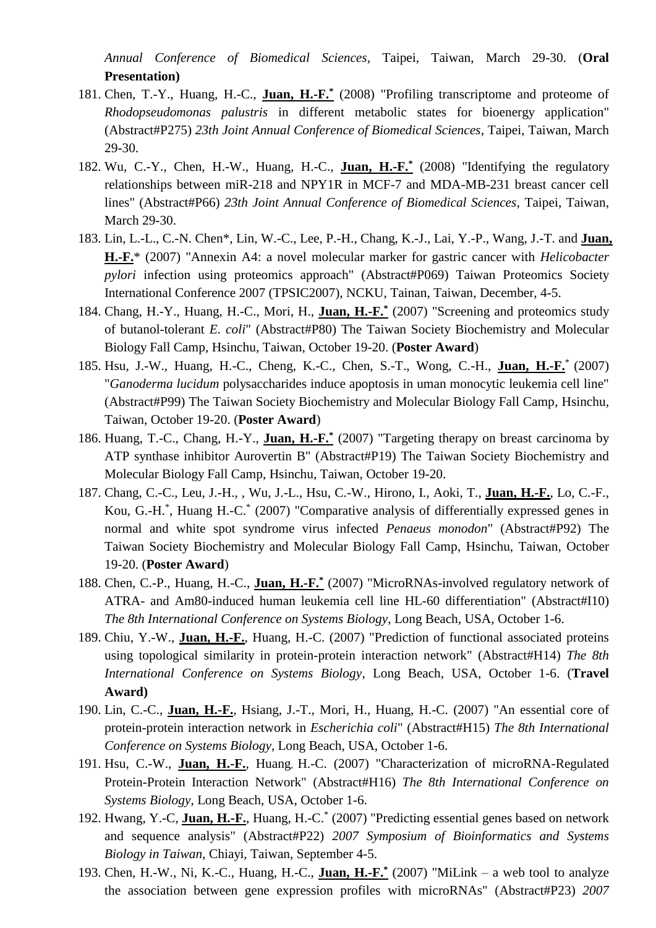*Annual Conference of Biomedical Sciences*, Taipei, Taiwan, March 29-30. (**Oral Presentation)**

- 181. Chen, T.-Y., Huang, H.-C., **Juan, H.-F.\*** (2008) "Profiling transcriptome and proteome of *Rhodopseudomonas palustris* in different metabolic states for bioenergy application" (Abstract#P275) *23th Joint Annual Conference of Biomedical Sciences*, Taipei, Taiwan, March 29-30.
- 182. Wu, C.-Y., Chen, H.-W., Huang, H.-C., **Juan, H.-F.\*** (2008) "Identifying the regulatory relationships between miR-218 and NPY1R in MCF-7 and MDA-MB-231 breast cancer cell lines" (Abstract#P66) *23th Joint Annual Conference of Biomedical Sciences*, Taipei, Taiwan, March 29-30.
- 183. Lin, L.-L., C.-N. Chen\*, Lin, W.-C., Lee, P.-H., Chang, K.-J., Lai, Y.-P., Wang, J.-T. and **Juan, H.-F.**\* (2007) "Annexin A4: a novel molecular marker for gastric cancer with *Helicobacter pylori* infection using proteomics approach" (Abstract#P069) Taiwan Proteomics Society International Conference 2007 (TPSIC2007), NCKU, Tainan, Taiwan, December, 4-5.
- 184. Chang, H.-Y., Huang, H.-C., Mori, H., **Juan, H.-F.\*** (2007) "Screening and proteomics study of butanol-tolerant *E. coli*" (Abstract#P80) The Taiwan Society Biochemistry and Molecular Biology Fall Camp, Hsinchu, Taiwan, October 19-20. (**Poster Award**)
- 185. Hsu, J.-W., Huang, H.-C., Cheng, K.-C., Chen, S.-T., Wong, C.-H., **Juan, H.-F.**\* (2007) "*Ganoderma lucidum* polysaccharides induce apoptosis in uman monocytic leukemia cell line" (Abstract#P99) The Taiwan Society Biochemistry and Molecular Biology Fall Camp, Hsinchu, Taiwan, October 19-20. (**Poster Award**)
- 186. Huang, T.-C., Chang, H.-Y., **Juan, H.-F.\*** (2007) "Targeting therapy on breast carcinoma by ATP synthase inhibitor Aurovertin B" (Abstract#P19) The Taiwan Society Biochemistry and Molecular Biology Fall Camp, Hsinchu, Taiwan, October 19-20.
- 187. Chang, C.-C., Leu, J.-H., , Wu, J.-L., Hsu, C.-W., Hirono, I., Aoki, T., **Juan, H.-F.**, Lo, C.-F., Kou, G.-H.\* , Huang H.-C.\* (2007) "Comparative analysis of differentially expressed genes in normal and white spot syndrome virus infected *Penaeus monodon*" (Abstract#P92) The Taiwan Society Biochemistry and Molecular Biology Fall Camp, Hsinchu, Taiwan, October 19-20. (**Poster Award**)
- 188. Chen, C.-P., Huang, H.-C., **Juan, H.-F.\*** (2007) "MicroRNAs-involved regulatory network of ATRA- and Am80-induced human leukemia cell line HL-60 differentiation" (Abstract#I10) *The 8th International Conference on Systems Biology*, Long Beach, USA, October 1-6.
- 189. Chiu, Y.-W., **Juan, H.-F.**, Huang, H.-C. (2007) "Prediction of functional associated proteins using topological similarity in protein-protein interaction network" (Abstract#H14) *The 8th International Conference on Systems Biology*, Long Beach, USA, October 1-6. (**Travel Award)**
- 190. Lin, C.-C., **Juan, H.-F.**, Hsiang, J.-T., Mori, H., Huang, H.-C. (2007) "An essential core of protein-protein interaction network in *Escherichia coli*" (Abstract#H15) *The 8th International Conference on Systems Biology*, Long Beach, USA, October 1-6.
- 191. Hsu, C.-W., **Juan, H.-F.**, Huang, H.-C. (2007) "Characterization of microRNA-Regulated Protein-Protein Interaction Network" (Abstract#H16) *The 8th International Conference on Systems Biology*, Long Beach, USA, October 1-6.
- 192. Hwang, Y.-C, **Juan, H.-F.**, Huang, H.-C.\* (2007) "Predicting essential genes based on network and sequence analysis" (Abstract#P22) *2007 Symposium of Bioinformatics and Systems Biology in Taiwan*, Chiayi, Taiwan, September 4-5.
- 193. Chen, H.-W., Ni, K.-C., Huang, H.-C., **Juan, H.-F.\*** (2007) "MiLink a web tool to analyze the association between gene expression profiles with microRNAs" (Abstract#P23) *2007*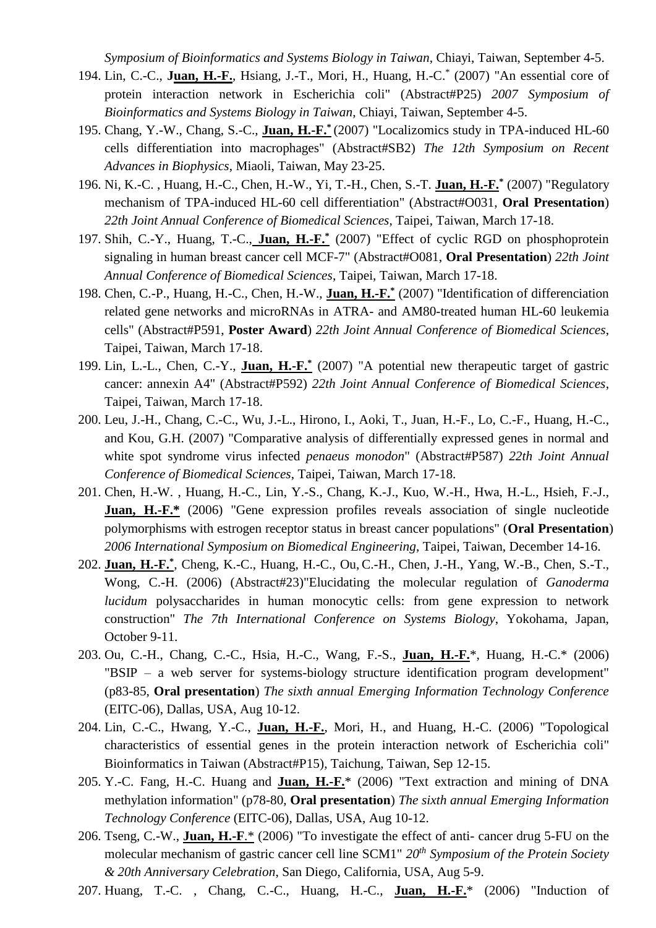*Symposium of Bioinformatics and Systems Biology in Taiwan*, Chiayi, Taiwan, September 4-5.

- 194. Lin, C.-C., **Juan, H.-F.**, Hsiang, J.-T., Mori, H., Huang, H.-C.\* (2007) "An essential core of protein interaction network in Escherichia coli" (Abstract#P25) *2007 Symposium of Bioinformatics and Systems Biology in Taiwan*, Chiayi, Taiwan, September 4-5.
- 195. Chang, Y.-W., Chang, S.-C., **Juan, H.-F.\*** (2007) "Localizomics study in TPA-induced HL-60 cells differentiation into macrophages" (Abstract#SB2) *The 12th Symposium on Recent Advances in Biophysics*, Miaoli, Taiwan, May 23-25.
- 196. Ni, K.-C. , Huang, H.-C., Chen, H.-W., Yi, T.-H., Chen, S.-T. **Juan, H.-F.\*** (2007) "Regulatory mechanism of TPA-induced HL-60 cell differentiation" (Abstract#O031, **Oral Presentation**) *22th Joint Annual Conference of Biomedical Sciences*, Taipei, Taiwan, March 17-18.
- 197. Shih, C.-Y., Huang, T.-C., **Juan, H.-F.\*** (2007) "Effect of cyclic RGD on phosphoprotein signaling in human breast cancer cell MCF-7" (Abstract#O081, **Oral Presentation**) *22th Joint Annual Conference of Biomedical Sciences*, Taipei, Taiwan, March 17-18.
- 198. Chen, C.-P., Huang, H.-C., Chen, H.-W., **Juan, H.-F.\*** (2007) "Identification of differenciation related gene networks and microRNAs in ATRA- and AM80-treated human HL-60 leukemia cells" (Abstract#P591, **Poster Award**) *22th Joint Annual Conference of Biomedical Sciences*, Taipei, Taiwan, March 17-18.
- 199. Lin, L.-L., Chen, C.-Y., **Juan, H.-F.\*** (2007) "A potential new therapeutic target of gastric cancer: annexin A4" (Abstract#P592) *22th Joint Annual Conference of Biomedical Sciences*, Taipei, Taiwan, March 17-18.
- 200. Leu, J.-H., Chang, C.-C., Wu, J.-L., Hirono, I., Aoki, T., Juan, H.-F., Lo, C.-F., Huang, H.-C., and Kou, G.H. (2007) "Comparative analysis of differentially expressed genes in normal and white spot syndrome virus infected *penaeus monodon*" (Abstract#P587) *22th Joint Annual Conference of Biomedical Sciences*, Taipei, Taiwan, March 17-18.
- 201. Chen, H.-W. , Huang, H.-C., Lin, Y.-S., Chang, K.-J., Kuo, W.-H., Hwa, H.-L., Hsieh, F.-J., **Juan, H.-F.\*** (2006) "Gene expression profiles reveals association of single nucleotide polymorphisms with estrogen receptor status in breast cancer populations" (**Oral Presentation**) *2006 International Symposium on Biomedical Engineering*, Taipei, Taiwan, December 14-16.
- 202. **Juan, H.-F.**<sup>\*</sup>, Cheng, K.-C., Huang, H.-C., Ou, C.-H., Chen, J.-H., Yang, W.-B., Chen, S.-T., Wong, C.-H. (2006) (Abstract#23)"Elucidating the molecular regulation of *Ganoderma lucidum* polysaccharides in human monocytic cells: from gene expression to network construction" *The 7th International Conference on Systems Biology*, Yokohama, Japan, October 9-11.
- 203. Ou, C.-H., Chang, C.-C., Hsia, H.-C., Wang, F.-S., **Juan, H.-F.**\*, Huang, H.-C.\* (2006) "BSIP – a web server for systems-biology structure identification program development" (p83-85, **Oral presentation**) *The sixth annual Emerging Information Technology Conference* (EITC-06), Dallas, USA, Aug 10-12.
- 204. Lin, C.-C., Hwang, Y.-C., **Juan, H.-F.**, Mori, H., and Huang, H.-C. (2006) "Topological characteristics of essential genes in the protein interaction network of Escherichia coli" Bioinformatics in Taiwan (Abstract#P15), Taichung, Taiwan, Sep 12-15.
- 205. Y.-C. Fang, H.-C. Huang and **Juan, H.-F.**\* (2006) "Text extraction and mining of DNA methylation information" (p78-80, **Oral presentation**) *The sixth annual Emerging Information Technology Conference* (EITC-06), Dallas, USA, Aug 10-12.
- 206. Tseng, C.-W., **Juan, H.-F**.\* (2006) "To investigate the effect of anti- cancer drug 5-FU on the molecular mechanism of gastric cancer cell line SCM1" *20th Symposium of the Protein Society & 20th Anniversary Celebration*, San Diego, California, USA, Aug 5-9.
- 207. Huang, T.-C. , Chang, C.-C., Huang, H.-C., **Juan, H.-F.**\* (2006) "Induction of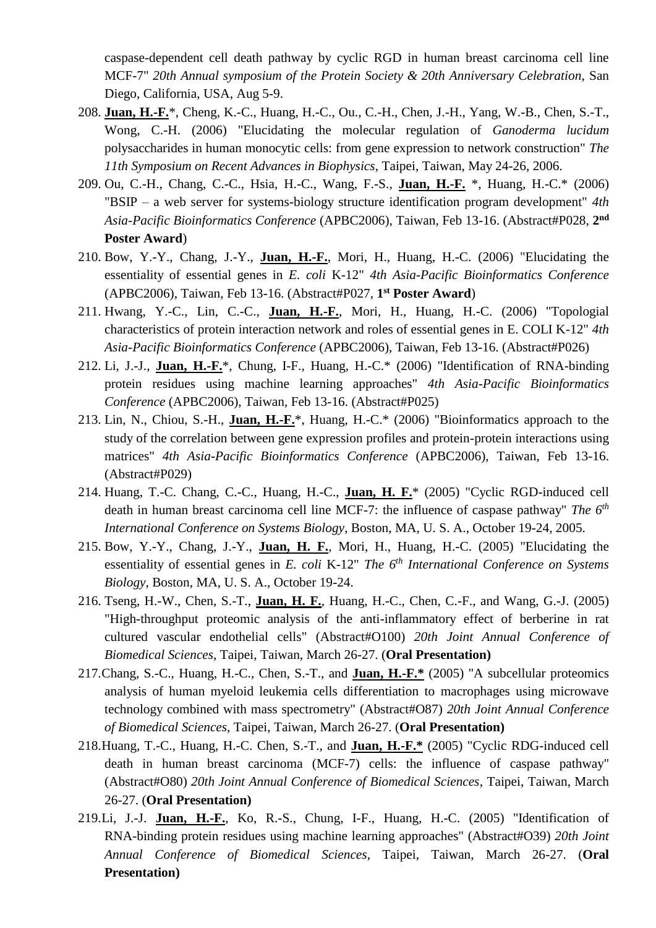caspase-dependent cell death pathway by cyclic RGD in human breast carcinoma cell line MCF-7" *20th Annual symposium of the Protein Society & 20th Anniversary Celebration*, San Diego, California, USA, Aug 5-9.

- 208. **Juan, H.-F.**\*, Cheng, K.-C., Huang, H.-C., Ou., C.-H., Chen, J.-H., Yang, W.-B., Chen, S.-T., Wong, C.-H. (2006) "Elucidating the molecular regulation of *Ganoderma lucidum* polysaccharides in human monocytic cells: from gene expression to network construction" *The 11th Symposium on Recent Advances in Biophysics*, Taipei, Taiwan, May 24-26, 2006.
- 209. Ou, C.-H., Chang, C.-C., Hsia, H.-C., Wang, F.-S., **Juan, H.-F.** \*, Huang, H.-C.\* (2006) "BSIP – a web server for systems-biology structure identification program development" *4th Asia-Pacific Bioinformatics Conference* (APBC2006), Taiwan, Feb 13-16. (Abstract#P028, **2 nd Poster Award**)
- 210. Bow, Y.-Y., Chang, J.-Y., **Juan, H.-F.**, Mori, H., Huang, H.-C. (2006) "Elucidating the essentiality of essential genes in *E. coli* K-12" *4th Asia-Pacific Bioinformatics Conference* (APBC2006), Taiwan, Feb 13-16. (Abstract#P027, **1 st Poster Award**)
- 211. Hwang, Y.-C., Lin, C.-C., **Juan, H.-F.**, Mori, H., Huang, H.-C. (2006) "Topologial characteristics of protein interaction network and roles of essential genes in E. COLI K-12" *4th Asia-Pacific Bioinformatics Conference* (APBC2006), Taiwan, Feb 13-16. (Abstract#P026)
- 212. Li, J.-J., **Juan, H.-F.**\*, Chung, I-F., Huang, H.-C.\* (2006) "Identification of RNA-binding protein residues using machine learning approaches" *4th Asia-Pacific Bioinformatics Conference* (APBC2006), Taiwan, Feb 13-16. (Abstract#P025)
- 213. Lin, N., Chiou, S.-H., **Juan, H.-F.**\*, Huang, H.-C.\* (2006) "Bioinformatics approach to the study of the correlation between gene expression profiles and protein-protein interactions using matrices" *4th Asia-Pacific Bioinformatics Conference* (APBC2006), Taiwan, Feb 13-16. (Abstract#P029)
- 214. Huang, T.-C. Chang, C.-C., Huang, H.-C., **Juan, H. F.**\* (2005) "Cyclic RGD-induced cell death in human breast carcinoma cell line MCF-7: the influence of caspase pathway" *The 6th International Conference on Systems Biology*, Boston, MA, U. S. A., October 19-24, 2005.
- 215. Bow, Y.-Y., Chang, J.-Y., **Juan, H. F.**, Mori, H., Huang, H.-C. (2005) "Elucidating the essentiality of essential genes in *E. coli* K-12" *The 6th International Conference on Systems Biology*, Boston, MA, U. S. A., October 19-24.
- 216. Tseng, H.-W., Chen, S.-T., **Juan, H. F.**, Huang, H.-C., Chen, C.-F., and Wang, G.-J. (2005) "High-throughput proteomic analysis of the anti-inflammatory effect of berberine in rat cultured vascular endothelial cells" (Abstract#O100) *20th Joint Annual Conference of Biomedical Sciences*, Taipei, Taiwan, March 26-27. (**Oral Presentation)**
- 217.Chang, S.-C., Huang, H.-C., Chen, S.-T., and **Juan, H.-F.\*** (2005) "A subcellular proteomics analysis of human myeloid leukemia cells differentiation to macrophages using microwave technology combined with mass spectrometry" (Abstract#O87) *20th Joint Annual Conference of Biomedical Sciences*, Taipei, Taiwan, March 26-27. (**Oral Presentation)**
- 218.Huang, T.-C., Huang, H.-C. Chen, S.-T., and **Juan, H.-F.\*** (2005) "Cyclic RDG-induced cell death in human breast carcinoma (MCF-7) cells: the influence of caspase pathway" (Abstract#O80) *20th Joint Annual Conference of Biomedical Sciences*, Taipei, Taiwan, March 26-27. (**Oral Presentation)**
- 219.Li, J.-J. **Juan, H.-F.**, Ko, R.-S., Chung, I-F., Huang, H.-C. (2005) "Identification of RNA-binding protein residues using machine learning approaches" (Abstract#O39) *20th Joint Annual Conference of Biomedical Sciences*, Taipei, Taiwan, March 26-27. (**Oral Presentation)**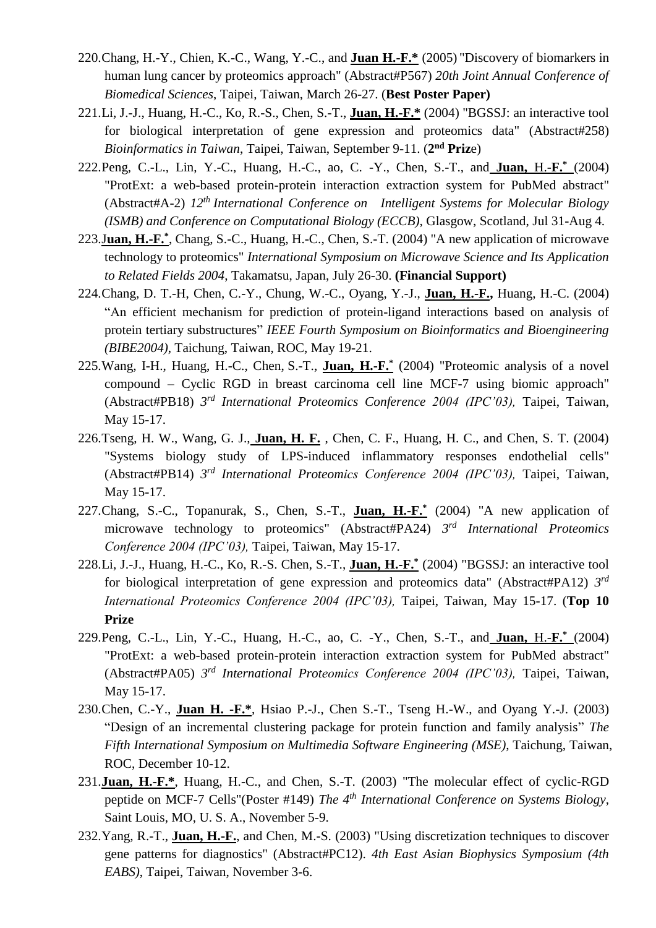- 220.Chang, H.-Y., Chien, K.-C., Wang, Y.-C., and **Juan H.-F.\*** (2005) "Discovery of biomarkers in human lung cancer by proteomics approach" (Abstract#P567) *20th Joint Annual Conference of Biomedical Sciences*, Taipei, Taiwan, March 26-27. (**Best Poster Paper)**
- 221.Li, J.-J., Huang, H.-C., Ko, R.-S., Chen, S.-T., **Juan, H.-F.\*** (2004) "BGSSJ: an interactive tool for biological interpretation of gene expression and proteomics data" (Abstract#258) *Bioinformatics in Taiwan*, Taipei, Taiwan, September 9-11. (**2 nd Priz**e)
- 222.Peng, C.-L., Lin, Y.-C., Huang, H.-C., ao, C. -Y., Chen, S.-T., and **Juan,** H.-**F.\*** (2004) "ProtExt: a web-based protein-protein interaction extraction system for PubMed abstract" (Abstract#A-2) *12th International Conference on Intelligent Systems for Molecular Biology (ISMB) and Conference on Computational Biology (ECCB),* Glasgow, Scotland, Jul 31-Aug 4.
- 223.J**uan, H.-F.\*** , Chang, S.-C., Huang, H.-C., Chen, S.-T. (2004) "A new application of microwave technology to proteomics" *International Symposium on Microwave Science and Its Application to Related Fields 2004*, Takamatsu, Japan, July 26-30. **(Financial Support)**
- 224.Chang, D. T.-H, Chen, C.-Y., Chung, W.-C., Oyang, Y.-J., **Juan, H.-F.,** Huang, H.-C. (2004) "An efficient mechanism for prediction of protein-ligand interactions based on analysis of protein tertiary substructures" *IEEE Fourth Symposium on Bioinformatics and Bioengineering (BIBE2004)*, Taichung, Taiwan, ROC, May 19-21.
- 225.Wang, I-H., Huang, H.-C., Chen, S.-T., **Juan, H.-F.\*** (2004) "Proteomic analysis of a novel compound – Cyclic RGD in breast carcinoma cell line MCF-7 using biomic approach" (Abstract#PB18) *3 rd International Proteomics Conference 2004 (IPC'03),* Taipei, Taiwan, May 15-17.
- 226.Tseng, H. W., Wang, G. J., **Juan, H. F.** , Chen, C. F., Huang, H. C., and Chen, S. T. (2004) "Systems biology study of LPS-induced inflammatory responses endothelial cells" (Abstract#PB14) *3 rd International Proteomics Conference 2004 (IPC'03),* Taipei, Taiwan, May 15-17.
- 227.Chang, S.-C., Topanurak, S., Chen, S.-T., **Juan, H.-F.\*** (2004) "A new application of microwave technology to proteomics" (Abstract#PA24) *3 rd International Proteomics Conference 2004 (IPC'03),* Taipei, Taiwan, May 15-17.
- 228.Li, J.-J., Huang, H.-C., Ko, R.-S. Chen, S.-T., **Juan, H.-F.\*** (2004) "BGSSJ: an interactive tool for biological interpretation of gene expression and proteomics data" (Abstract#PA12) 3<sup>rd</sup> *International Proteomics Conference 2004 (IPC'03),* Taipei, Taiwan, May 15-17. (**Top 10 Prize**
- 229.Peng, C.-L., Lin, Y.-C., Huang, H.-C., ao, C. -Y., Chen, S.-T., and **Juan,** H.-**F.\*** (2004) "ProtExt: a web-based protein-protein interaction extraction system for PubMed abstract" (Abstract#PA05) *3 rd International Proteomics Conference 2004 (IPC'03),* Taipei, Taiwan, May 15-17.
- 230.Chen, C.-Y., **Juan H. -F.\***, Hsiao P.-J., Chen S.-T., Tseng H.-W., and Oyang Y.-J. (2003) "Design of an incremental clustering package for protein function and family analysis" *The Fifth International Symposium on Multimedia Software Engineering (MSE)*, Taichung, Taiwan, ROC, December 10-12.
- 231.**Juan, H.-F.\***, Huang, H.-C., and Chen, S.-T. (2003) "The molecular effect of cyclic-RGD peptide on MCF-7 Cells"(Poster #149) *The 4th International Conference on Systems Biology*, Saint Louis, MO, U. S. A., November 5-9.
- 232.Yang, R.-T., **Juan, H.-F.**, and Chen, M.-S. (2003) "Using discretization techniques to discover gene patterns for diagnostics" (Abstract#PC12). *4th East Asian Biophysics Symposium (4th EABS)*, Taipei, Taiwan, November 3-6.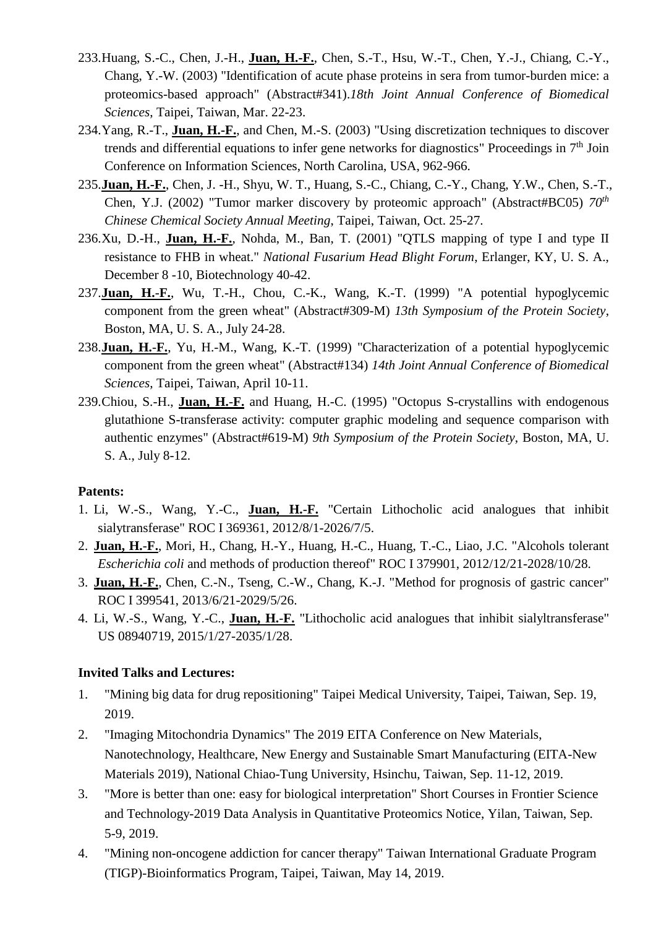- 233.Huang, S.-C., Chen, J.-H., **Juan, H.-F.**, Chen, S.-T., Hsu, W.-T., Chen, Y.-J., Chiang, C.-Y., Chang, Y.-W. (2003) "Identification of acute phase proteins in sera from tumor-burden mice: a proteomics-based approach" (Abstract#341).*18th Joint Annual Conference of Biomedical Sciences*, Taipei, Taiwan, Mar. 22-23.
- 234.Yang, R.-T., **Juan, H.-F.**, and Chen, M.-S. (2003) "Using discretization techniques to discover trends and differential equations to infer gene networks for diagnostics" Proceedings in 7<sup>th</sup> Join Conference on Information Sciences, North Carolina, USA, 962-966.
- 235.**Juan, H.-F.**, Chen, J. -H., Shyu, W. T., Huang, S.-C., Chiang, C.-Y., Chang, Y.W., Chen, S.-T., Chen, Y.J. (2002) "Tumor marker discovery by proteomic approach" (Abstract#BC05) *70th Chinese Chemical Society Annual Meeting*, Taipei, Taiwan, Oct. 25-27.
- 236.Xu, D.-H., **Juan, H.-F.**, Nohda, M., Ban, T. (2001) "QTLS mapping of type I and type II resistance to FHB in wheat." *National Fusarium Head Blight Forum*, Erlanger, KY, U. S. A., December 8 -10, Biotechnology 40-42.
- 237.**Juan, H.**-**F.**, Wu, T.-H., Chou, C.-K., Wang, K.-T. (1999) "A potential hypoglycemic component from the green wheat" (Abstract#309-M) *13th Symposium of the Protein Society*, Boston, MA, U. S. A., July 24-28.
- 238.**Juan, H.**-**F.**, Yu, H.-M., Wang, K.-T. (1999) "Characterization of a potential hypoglycemic component from the green wheat" (Abstract#134) *14th Joint Annual Conference of Biomedical Sciences*, Taipei, Taiwan, April 10-11.
- 239.Chiou, S.-H., **Juan, H.**-**F.** and Huang, H.-C. (1995) "Octopus S-crystallins with endogenous glutathione S-transferase activity: computer graphic modeling and sequence comparison with authentic enzymes" (Abstract#619-M) *9th Symposium of the Protein Society*, Boston, MA, U. S. A., July 8-12.

### **Patents:**

- 1. Li, W.-S., Wang, Y.-C., **Juan, H.**-**F.** "Certain Lithocholic acid analogues that inhibit sialytransferase" ROC I 369361, 2012/8/1-2026/7/5.
- 2. **Juan, H.**-**F.**, Mori, H., Chang, H.-Y., Huang, H.-C., Huang, T.-C., Liao, J.C. "Alcohols tolerant *Escherichia coli* and methods of production thereof" ROC I 379901, 2012/12/21-2028/10/28.
- 3. **Juan, H.**-**F.**, Chen, C.-N., Tseng, C.-W., Chang, K.-J. "Method for prognosis of gastric cancer" ROC I 399541, 2013/6/21-2029/5/26.
- 4. Li, W.-S., Wang, Y.-C., **Juan, H.**-**F.** "Lithocholic acid analogues that inhibit sialyltransferase" US 08940719, 2015/1/27-2035/1/28.

### **Invited Talks and Lectures:**

- 1. "Mining big data for drug repositioning" Taipei Medical University, Taipei, Taiwan, Sep. 19, 2019.
- 2. "Imaging Mitochondria Dynamics" The 2019 EITA Conference on New Materials, Nanotechnology, Healthcare, New Energy and Sustainable Smart Manufacturing (EITA-New Materials 2019), National Chiao-Tung University, Hsinchu, Taiwan, Sep. 11-12, 2019.
- 3. "More is better than one: easy for biological interpretation" Short Courses in Frontier Science and Technology-2019 Data Analysis in Quantitative Proteomics Notice, Yilan, Taiwan, Sep. 5-9, 2019.
- 4. "Mining non-oncogene addiction for cancer therapy" Taiwan International Graduate Program (TIGP)-Bioinformatics Program, Taipei, Taiwan, May 14, 2019.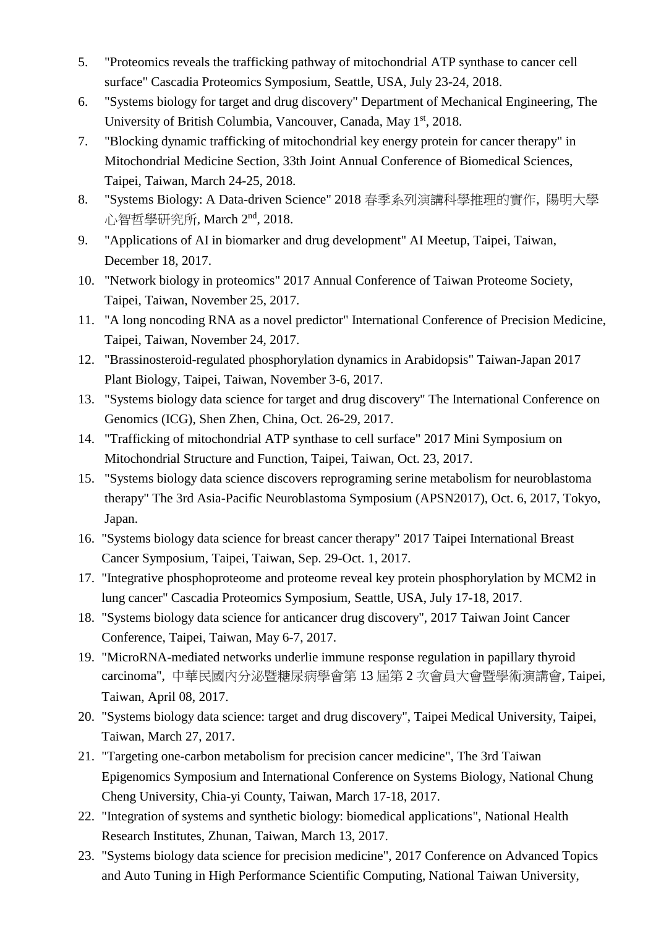- 5. "Proteomics reveals the trafficking pathway of mitochondrial ATP synthase to cancer cell surface" Cascadia Proteomics Symposium, Seattle, USA, July 23-24, 2018.
- 6. "Systems biology for target and drug discovery" Department of Mechanical Engineering, The University of British Columbia, Vancouver, Canada, May 1<sup>st</sup>, 2018.
- 7. "Blocking dynamic trafficking of mitochondrial key energy protein for cancer therapy" in Mitochondrial Medicine Section, 33th Joint Annual Conference of Biomedical Sciences, Taipei, Taiwan, March 24-25, 2018.
- 8. "Systems Biology: A Data-driven Science" 2018 春季系列演講科學推理的實作, 陽明大學 心智哲學研究所, March 2nd, 2018.
- 9. "Applications of AI in biomarker and drug development" AI Meetup, Taipei, Taiwan, December 18, 2017.
- 10. "Network biology in proteomics" 2017 Annual Conference of Taiwan Proteome Society, Taipei, Taiwan, November 25, 2017.
- 11. "A long noncoding RNA as a novel predictor" International Conference of Precision Medicine, Taipei, Taiwan, November 24, 2017.
- 12. "Brassinosteroid-regulated phosphorylation dynamics in Arabidopsis" Taiwan-Japan 2017 Plant Biology, Taipei, Taiwan, November 3-6, 2017.
- 13. "Systems biology data science for target and drug discovery" The International Conference on Genomics (ICG), Shen Zhen, China, Oct. 26-29, 2017.
- 14. "Trafficking of mitochondrial ATP synthase to cell surface" 2017 Mini Symposium on Mitochondrial Structure and Function, Taipei, Taiwan, Oct. 23, 2017.
- 15. "Systems biology data science discovers reprograming serine metabolism for neuroblastoma therapy" The 3rd Asia-Pacific Neuroblastoma Symposium (APSN2017), Oct. 6, 2017, Tokyo, Japan.
- 16. "Systems biology data science for breast cancer therapy" 2017 Taipei International Breast Cancer Symposium, Taipei, Taiwan, Sep. 29-Oct. 1, 2017.
- 17. "Integrative phosphoproteome and proteome reveal key protein phosphorylation by MCM2 in lung cancer" Cascadia Proteomics Symposium, Seattle, USA, July 17-18, 2017.
- 18. "Systems biology data science for anticancer drug discovery", 2017 Taiwan Joint Cancer Conference, Taipei, Taiwan, May 6-7, 2017.
- 19. "MicroRNA-mediated networks underlie immune response regulation in papillary thyroid carcinoma", 中華民國內分泌暨糖尿病學會第 13 屆第 2 次會員大會暨學術演講會, Taipei, Taiwan, April 08, 2017.
- 20. "Systems biology data science: target and drug discovery", Taipei Medical University, Taipei, Taiwan, March 27, 2017.
- 21. "Targeting one-carbon metabolism for precision cancer medicine", The 3rd Taiwan Epigenomics Symposium and International Conference on Systems Biology, National Chung Cheng University, Chia-yi County, Taiwan, March 17-18, 2017.
- 22. "Integration of systems and synthetic biology: biomedical applications", National Health Research Institutes, Zhunan, Taiwan, March 13, 2017.
- 23. "Systems biology data science for precision medicine", 2017 Conference on Advanced Topics and Auto Tuning in High Performance Scientific Computing, National Taiwan University,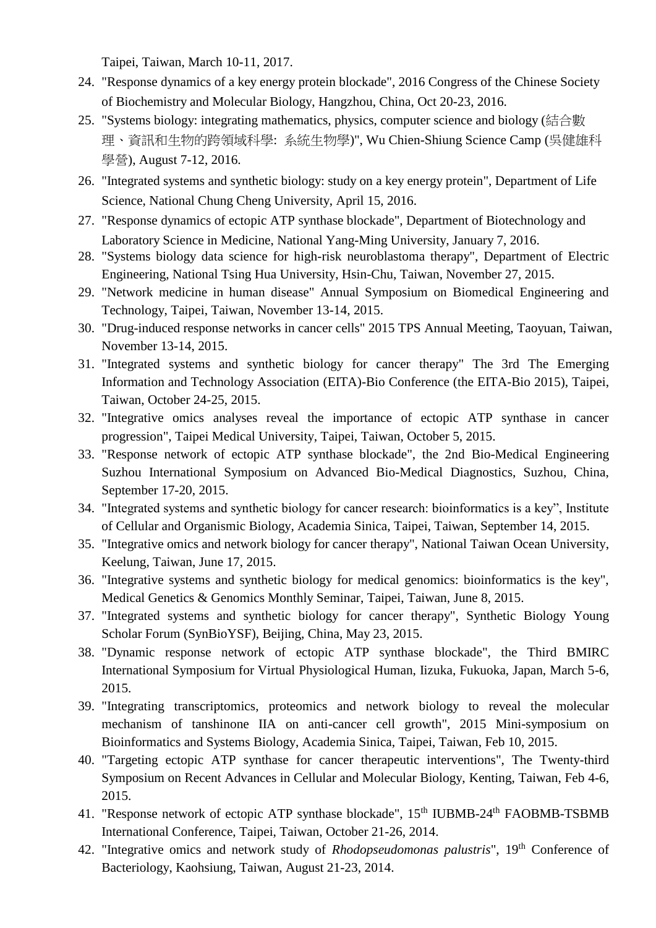Taipei, Taiwan, March 10-11, 2017.

- 24. "Response dynamics of a key energy protein blockade", 2016 Congress of the Chinese Society of Biochemistry and Molecular Biology, Hangzhou, China, Oct 20-23, 2016.
- 25. "Systems biology: integrating mathematics, physics, computer science and biology (結合數 理、資訊和生物的跨領域科學: 系統生物學)", Wu Chien-Shiung Science Camp (吳健雄科 學營), August 7-12, 2016.
- 26. "Integrated systems and synthetic biology: study on a key energy protein", Department of Life Science, National Chung Cheng University, April 15, 2016.
- 27. "Response dynamics of ectopic ATP synthase blockade", Department of Biotechnology and Laboratory Science in Medicine, National Yang-Ming University, January 7, 2016.
- 28. "Systems biology data science for high-risk neuroblastoma therapy", Department of Electric Engineering, National Tsing Hua University, Hsin-Chu, Taiwan, November 27, 2015.
- 29. "Network medicine in human disease" Annual Symposium on Biomedical Engineering and Technology, Taipei, Taiwan, November 13-14, 2015.
- 30. "Drug-induced response networks in cancer cells" 2015 TPS Annual Meeting, Taoyuan, Taiwan, November 13-14, 2015.
- 31. "Integrated systems and synthetic biology for cancer therapy" The 3rd The Emerging Information and Technology Association (EITA)-Bio Conference (the EITA-Bio 2015), Taipei, Taiwan, October 24-25, 2015.
- 32. "Integrative omics analyses reveal the importance of ectopic ATP synthase in cancer progression", Taipei Medical University, Taipei, Taiwan, October 5, 2015.
- 33. "Response network of ectopic ATP synthase blockade", the 2nd Bio-Medical Engineering Suzhou International Symposium on Advanced Bio-Medical Diagnostics, Suzhou, China, September 17-20, 2015.
- 34. "Integrated systems and synthetic biology for cancer research: bioinformatics is a key", Institute of Cellular and Organismic Biology, Academia Sinica, Taipei, Taiwan, September 14, 2015.
- 35. "Integrative omics and network biology for cancer therapy", National Taiwan Ocean University, Keelung, Taiwan, June 17, 2015.
- 36. "Integrative systems and synthetic biology for medical genomics: bioinformatics is the key", Medical Genetics & Genomics Monthly Seminar, Taipei, Taiwan, June 8, 2015.
- 37. "Integrated systems and synthetic biology for cancer therapy", Synthetic Biology Young Scholar Forum (SynBioYSF), Beijing, China, May 23, 2015.
- 38. "Dynamic response network of ectopic ATP synthase blockade", the Third BMIRC International Symposium for Virtual Physiological Human, Iizuka, Fukuoka, Japan, March 5-6, 2015.
- 39. "Integrating transcriptomics, proteomics and network biology to reveal the molecular mechanism of tanshinone IIA on anti-cancer cell growth", 2015 Mini-symposium on Bioinformatics and Systems Biology, Academia Sinica, Taipei, Taiwan, Feb 10, 2015.
- 40. "Targeting ectopic ATP synthase for cancer therapeutic interventions", The Twenty-third Symposium on Recent Advances in Cellular and Molecular Biology, Kenting, Taiwan, Feb 4-6, 2015.
- 41. "Response network of ectopic ATP synthase blockade", 15<sup>th</sup> IUBMB-24<sup>th</sup> FAOBMB-TSBMB International Conference, Taipei, Taiwan, October 21-26, 2014.
- 42. "Integrative omics and network study of *Rhodopseudomonas palustris*", 19<sup>th</sup> Conference of Bacteriology, Kaohsiung, Taiwan, August 21-23, 2014.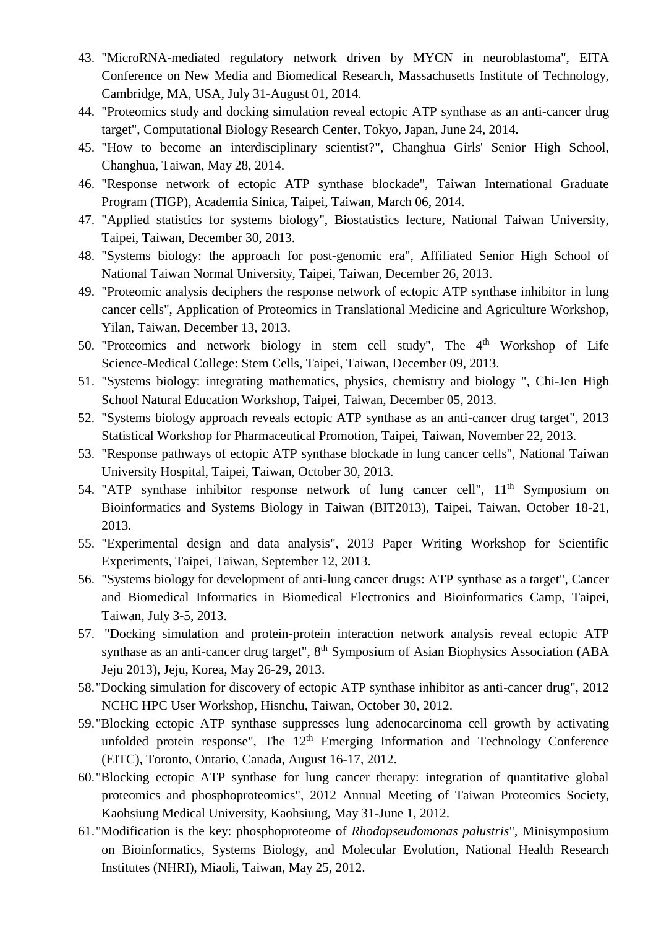- 43. "MicroRNA-mediated regulatory network driven by MYCN in neuroblastoma", EITA Conference on New Media and Biomedical Research, Massachusetts Institute of Technology, Cambridge, MA, USA, July 31-August 01, 2014.
- 44. "Proteomics study and docking simulation reveal ectopic ATP synthase as an anti-cancer drug target", Computational Biology Research Center, Tokyo, Japan, June 24, 2014.
- 45. "How to become an interdisciplinary scientist?", Changhua Girls' Senior High School, Changhua, Taiwan, May 28, 2014.
- 46. "Response network of ectopic ATP synthase blockade", Taiwan International Graduate Program (TIGP), Academia Sinica, Taipei, Taiwan, March 06, 2014.
- 47. "Applied statistics for systems biology", Biostatistics lecture, National Taiwan University, Taipei, Taiwan, December 30, 2013.
- 48. "Systems biology: the approach for post-genomic era", Affiliated Senior High School of National Taiwan Normal University, Taipei, Taiwan, December 26, 2013.
- 49. "Proteomic analysis deciphers the response network of ectopic ATP synthase inhibitor in lung cancer cells", Application of Proteomics in Translational Medicine and Agriculture Workshop, Yilan, Taiwan, December 13, 2013.
- 50. "Proteomics and network biology in stem cell study", The  $4<sup>th</sup>$  Workshop of Life Science-Medical College: Stem Cells, Taipei, Taiwan, December 09, 2013.
- 51. "Systems biology: integrating mathematics, physics, chemistry and biology ", Chi-Jen High School Natural Education Workshop, Taipei, Taiwan, December 05, 2013.
- 52. "Systems biology approach reveals ectopic ATP synthase as an anti-cancer drug target", 2013 Statistical Workshop for Pharmaceutical Promotion, Taipei, Taiwan, November 22, 2013.
- 53. "Response pathways of ectopic ATP synthase blockade in lung cancer cells", National Taiwan University Hospital, Taipei, Taiwan, October 30, 2013.
- 54. "ATP synthase inhibitor response network of lung cancer cell",  $11<sup>th</sup>$  Symposium on Bioinformatics and Systems Biology in Taiwan (BIT2013), Taipei, Taiwan, October 18-21, 2013.
- 55. "Experimental design and data analysis", 2013 Paper Writing Workshop for Scientific Experiments, Taipei, Taiwan, September 12, 2013.
- 56. "Systems biology for development of anti-lung cancer drugs: ATP synthase as a target", Cancer and Biomedical Informatics in Biomedical Electronics and Bioinformatics Camp, Taipei, Taiwan, July 3-5, 2013.
- 57. "Docking simulation and protein-protein interaction network analysis reveal ectopic ATP synthase as an anti-cancer drug target", 8<sup>th</sup> Symposium of Asian Biophysics Association (ABA Jeju 2013), Jeju, Korea, May 26-29, 2013.
- 58."Docking simulation for discovery of ectopic ATP synthase inhibitor as anti-cancer drug", 2012 NCHC HPC User Workshop, Hisnchu, Taiwan, October 30, 2012.
- 59."Blocking ectopic ATP synthase suppresses lung adenocarcinoma cell growth by activating unfolded protein response", The  $12<sup>th</sup>$  Emerging Information and Technology Conference (EITC), Toronto, Ontario, Canada, August 16-17, 2012.
- 60."Blocking ectopic ATP synthase for lung cancer therapy: integration of quantitative global proteomics and phosphoproteomics", 2012 Annual Meeting of Taiwan Proteomics Society, Kaohsiung Medical University, Kaohsiung, May 31-June 1, 2012.
- 61."Modification is the key: phosphoproteome of *Rhodopseudomonas palustris*", Minisymposium on Bioinformatics, Systems Biology, and Molecular Evolution, National Health Research Institutes (NHRI), Miaoli, Taiwan, May 25, 2012.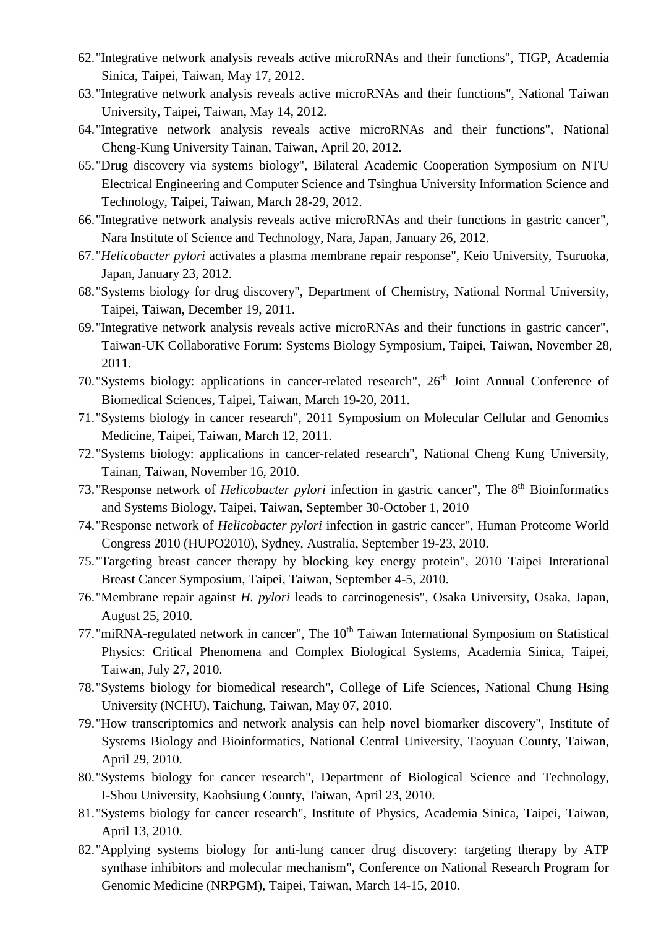- 62."Integrative network analysis reveals active microRNAs and their functions", TIGP, Academia Sinica, Taipei, Taiwan, May 17, 2012.
- 63."Integrative network analysis reveals active microRNAs and their functions", National Taiwan University, Taipei, Taiwan, May 14, 2012.
- 64."Integrative network analysis reveals active microRNAs and their functions", National Cheng-Kung University Tainan, Taiwan, April 20, 2012.
- 65."Drug discovery via systems biology", Bilateral Academic Cooperation Symposium on NTU Electrical Engineering and Computer Science and Tsinghua University Information Science and Technology, Taipei, Taiwan, March 28-29, 2012.
- 66."Integrative network analysis reveals active microRNAs and their functions in gastric cancer", Nara Institute of Science and Technology, Nara, Japan, January 26, 2012.
- 67."*Helicobacter pylori* activates a plasma membrane repair response", Keio University, Tsuruoka, Japan, January 23, 2012.
- 68."Systems biology for drug discovery", Department of Chemistry, National Normal University, Taipei, Taiwan, December 19, 2011.
- 69."Integrative network analysis reveals active microRNAs and their functions in gastric cancer", Taiwan-UK Collaborative Forum: Systems Biology Symposium, Taipei, Taiwan, November 28, 2011.
- 70."Systems biology: applications in cancer-related research", 26<sup>th</sup> Joint Annual Conference of Biomedical Sciences, Taipei, Taiwan, March 19-20, 2011.
- 71."Systems biology in cancer research", 2011 Symposium on Molecular Cellular and Genomics Medicine, Taipei, Taiwan, March 12, 2011.
- 72."Systems biology: applications in cancer-related research", National Cheng Kung University, Tainan, Taiwan, November 16, 2010.
- 73. "Response network of *Helicobacter pylori* infection in gastric cancer", The 8<sup>th</sup> Bioinformatics and Systems Biology, Taipei, Taiwan, September 30-October 1, 2010
- 74."Response network of *Helicobacter pylori* infection in gastric cancer", Human Proteome World Congress 2010 (HUPO2010), Sydney, Australia, September 19-23, 2010.
- 75."Targeting breast cancer therapy by blocking key energy protein", 2010 Taipei Interational Breast Cancer Symposium, Taipei, Taiwan, September 4-5, 2010.
- 76."Membrane repair against *H. pylori* leads to carcinogenesis", Osaka University, Osaka, Japan, August 25, 2010.
- 77. "miRNA-regulated network in cancer", The 10<sup>th</sup> Taiwan International Symposium on Statistical Physics: Critical Phenomena and Complex Biological Systems, Academia Sinica, Taipei, Taiwan, July 27, 2010.
- 78."Systems biology for biomedical research", College of Life Sciences, National Chung Hsing University (NCHU), Taichung, Taiwan, May 07, 2010.
- 79."How transcriptomics and network analysis can help novel biomarker discovery", Institute of Systems Biology and Bioinformatics, National Central University, Taoyuan County, Taiwan, April 29, 2010.
- 80."Systems biology for cancer research", Department of Biological Science and Technology, I-Shou University, Kaohsiung County, Taiwan, April 23, 2010.
- 81."Systems biology for cancer research", Institute of Physics, Academia Sinica, Taipei, Taiwan, April 13, 2010.
- 82."Applying systems biology for anti-lung cancer drug discovery: targeting therapy by ATP synthase inhibitors and molecular mechanism", Conference on National Research Program for Genomic Medicine (NRPGM), Taipei, Taiwan, March 14-15, 2010.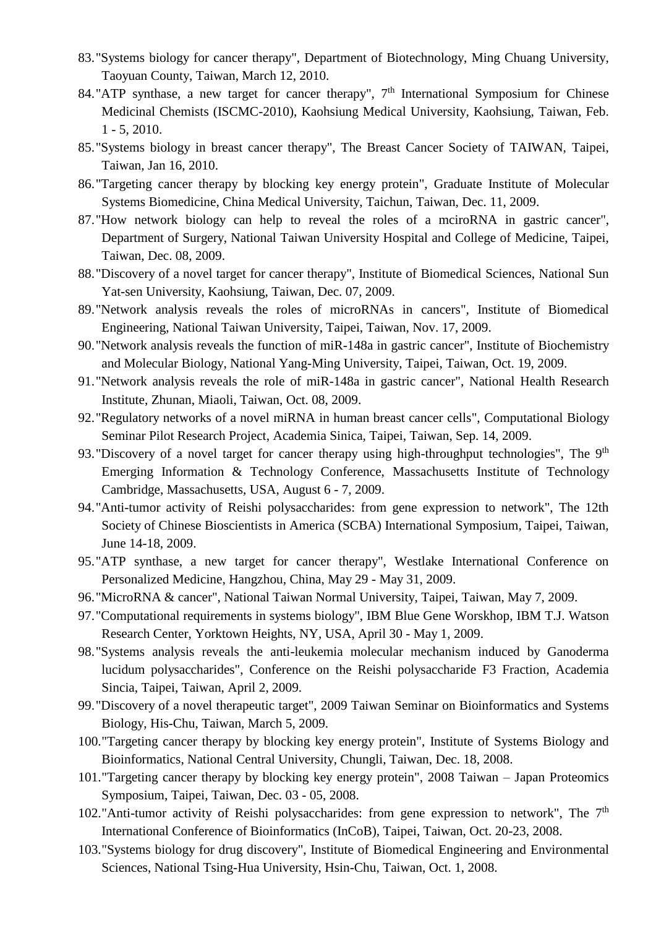- 83."Systems biology for cancer therapy", Department of Biotechnology, Ming Chuang University, Taoyuan County, Taiwan, March 12, 2010.
- 84."ATP synthase, a new target for cancer therapy",  $7<sup>th</sup>$  International Symposium for Chinese Medicinal Chemists (ISCMC-2010), Kaohsiung Medical University, Kaohsiung, Taiwan, Feb. 1 - 5, 2010.
- 85."Systems biology in breast cancer therapy", The Breast Cancer Society of TAIWAN, Taipei, Taiwan, Jan 16, 2010.
- 86."Targeting cancer therapy by blocking key energy protein", Graduate Institute of Molecular Systems Biomedicine, China Medical University, Taichun, Taiwan, Dec. 11, 2009.
- 87."How network biology can help to reveal the roles of a mciroRNA in gastric cancer", Department of Surgery, National Taiwan University Hospital and College of Medicine, Taipei, Taiwan, Dec. 08, 2009.
- 88."Discovery of a novel target for cancer therapy", Institute of Biomedical Sciences, National Sun Yat-sen University, Kaohsiung, Taiwan, Dec. 07, 2009.
- 89."Network analysis reveals the roles of microRNAs in cancers", Institute of Biomedical Engineering, National Taiwan University, Taipei, Taiwan, Nov. 17, 2009.
- 90."Network analysis reveals the function of miR-148a in gastric cancer", Institute of Biochemistry and Molecular Biology, National Yang-Ming University, Taipei, Taiwan, Oct. 19, 2009.
- 91."Network analysis reveals the role of miR-148a in gastric cancer", National Health Research Institute, Zhunan, Miaoli, Taiwan, Oct. 08, 2009.
- 92."Regulatory networks of a novel miRNA in human breast cancer cells", Computational Biology Seminar Pilot Research Project, Academia Sinica, Taipei, Taiwan, Sep. 14, 2009.
- 93. "Discovery of a novel target for cancer therapy using high-throughput technologies", The 9<sup>th</sup> Emerging Information & Technology Conference, Massachusetts Institute of Technology Cambridge, Massachusetts, USA, August 6 - 7, 2009.
- 94."Anti-tumor activity of Reishi polysaccharides: from gene expression to network", The 12th Society of Chinese Bioscientists in America (SCBA) International Symposium, Taipei, Taiwan, June 14-18, 2009.
- 95."ATP synthase, a new target for cancer therapy", Westlake International Conference on Personalized Medicine, Hangzhou, China, May 29 - May 31, 2009.
- 96."MicroRNA & cancer", National Taiwan Normal University, Taipei, Taiwan, May 7, 2009.
- 97."Computational requirements in systems biology", IBM Blue Gene Worskhop, IBM T.J. Watson Research Center, Yorktown Heights, NY, USA, April 30 - May 1, 2009.
- 98."Systems analysis reveals the anti-leukemia molecular mechanism induced by Ganoderma lucidum polysaccharides", Conference on the Reishi polysaccharide F3 Fraction, Academia Sincia, Taipei, Taiwan, April 2, 2009.
- 99."Discovery of a novel therapeutic target", 2009 Taiwan Seminar on Bioinformatics and Systems Biology, His-Chu, Taiwan, March 5, 2009.
- 100."Targeting cancer therapy by blocking key energy protein", Institute of Systems Biology and Bioinformatics, National Central University, Chungli, Taiwan, Dec. 18, 2008.
- 101."Targeting cancer therapy by blocking key energy protein", 2008 Taiwan Japan Proteomics Symposium, Taipei, Taiwan, Dec. 03 - 05, 2008.
- 102."Anti-tumor activity of Reishi polysaccharides: from gene expression to network", The  $7<sup>th</sup>$ International Conference of Bioinformatics (InCoB), Taipei, Taiwan, Oct. 20-23, 2008.
- 103."Systems biology for drug discovery", Institute of Biomedical Engineering and Environmental Sciences, National Tsing-Hua University, Hsin-Chu, Taiwan, Oct. 1, 2008.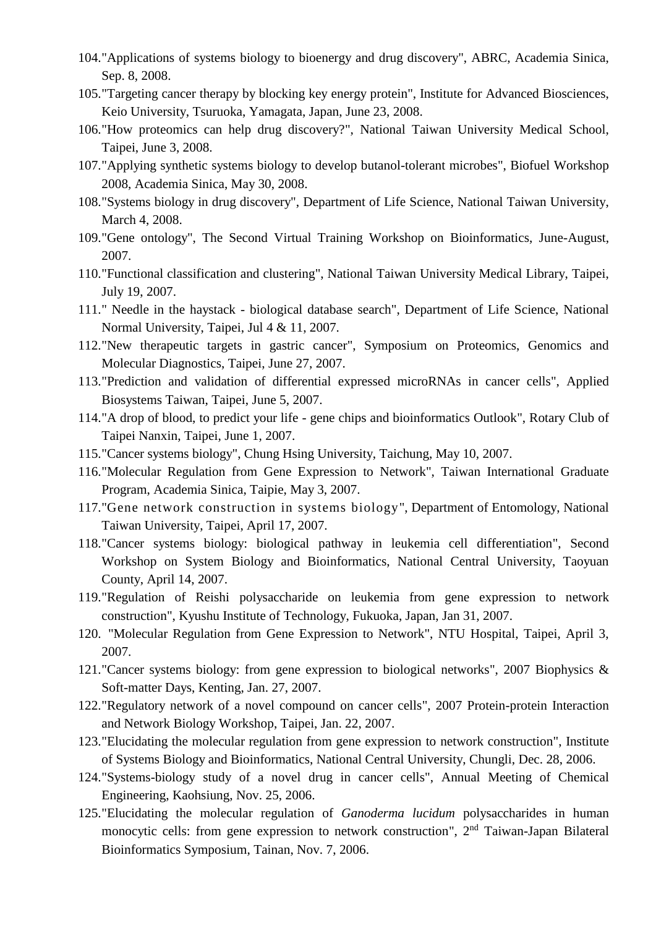- 104."Applications of systems biology to bioenergy and drug discovery", ABRC, Academia Sinica, Sep. 8, 2008.
- 105."Targeting cancer therapy by blocking key energy protein", Institute for Advanced Biosciences, Keio University, Tsuruoka, Yamagata, Japan, June 23, 2008.
- 106."How proteomics can help drug discovery?", National Taiwan University Medical School, Taipei, June 3, 2008.
- 107."Applying synthetic systems biology to develop butanol-tolerant microbes", Biofuel Workshop 2008, Academia Sinica, May 30, 2008.
- 108."Systems biology in drug discovery", Department of Life Science, National Taiwan University, March 4, 2008.
- 109."Gene ontology", The Second Virtual Training Workshop on Bioinformatics, June-August, 2007.
- 110."Functional classification and clustering", National Taiwan University Medical Library, Taipei, July 19, 2007.
- 111." Needle in the haystack biological database search", Department of Life Science, National Normal University, Taipei, Jul 4 & 11, 2007.
- 112."New therapeutic targets in gastric cancer", Symposium on Proteomics, Genomics and Molecular Diagnostics, Taipei, June 27, 2007.
- 113."Prediction and validation of differential expressed microRNAs in cancer cells", Applied Biosystems Taiwan, Taipei, June 5, 2007.
- 114."A drop of blood, to predict your life gene chips and bioinformatics Outlook", Rotary Club of Taipei Nanxin, Taipei, June 1, 2007.
- 115."Cancer systems biology", Chung Hsing University, Taichung, May 10, 2007.
- 116."Molecular Regulation from Gene Expression to Network", Taiwan International Graduate Program, Academia Sinica, Taipie, May 3, 2007.
- 117."Gene network construction in systems biology", Department of Entomology, National Taiwan University, Taipei, April 17, 2007.
- 118."Cancer systems biology: biological pathway in leukemia cell differentiation", Second Workshop on System Biology and Bioinformatics, National Central University, Taoyuan County, April 14, 2007.
- 119."Regulation of Reishi polysaccharide on leukemia from gene expression to network construction", Kyushu Institute of Technology, Fukuoka, Japan, Jan 31, 2007.
- 120. "Molecular Regulation from Gene Expression to Network", NTU Hospital, Taipei, April 3, 2007.
- 121."Cancer systems biology: from gene expression to biological networks", 2007 Biophysics & Soft-matter Days, Kenting, Jan. 27, 2007.
- 122."Regulatory network of a novel compound on cancer cells", 2007 Protein-protein Interaction and Network Biology Workshop, Taipei, Jan. 22, 2007.
- 123."Elucidating the molecular regulation from gene expression to network construction", Institute of Systems Biology and Bioinformatics, National Central University, Chungli, Dec. 28, 2006.
- 124."Systems-biology study of a novel drug in cancer cells", Annual Meeting of Chemical Engineering, Kaohsiung, Nov. 25, 2006.
- 125."Elucidating the molecular regulation of *Ganoderma lucidum* polysaccharides in human monocytic cells: from gene expression to network construction", 2nd Taiwan-Japan Bilateral Bioinformatics Symposium, Tainan, Nov. 7, 2006.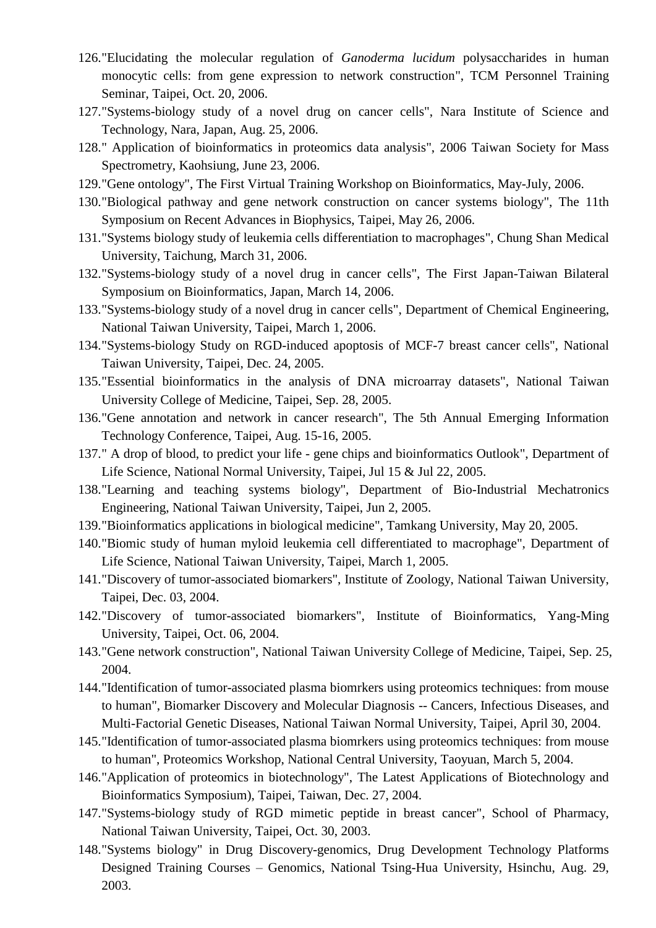- 126."Elucidating the molecular regulation of *Ganoderma lucidum* polysaccharides in human monocytic cells: from gene expression to network construction", TCM Personnel Training Seminar, Taipei, Oct. 20, 2006.
- 127."Systems-biology study of a novel drug on cancer cells", Nara Institute of Science and Technology, Nara, Japan, Aug. 25, 2006.
- 128." Application of bioinformatics in proteomics data analysis", 2006 Taiwan Society for Mass Spectrometry, Kaohsiung, June 23, 2006.
- 129."Gene ontology", The First Virtual Training Workshop on Bioinformatics, May-July, 2006.
- 130."Biological pathway and gene network construction on cancer systems biology", The 11th Symposium on Recent Advances in Biophysics, Taipei, May 26, 2006.
- 131."Systems biology study of leukemia cells differentiation to macrophages", Chung Shan Medical University, Taichung, March 31, 2006.
- 132."Systems-biology study of a novel drug in cancer cells", The First Japan-Taiwan Bilateral Symposium on Bioinformatics, Japan, March 14, 2006.
- 133."Systems-biology study of a novel drug in cancer cells", Department of Chemical Engineering, National Taiwan University, Taipei, March 1, 2006.
- 134."Systems-biology Study on RGD-induced apoptosis of MCF-7 breast cancer cells", National Taiwan University, Taipei, Dec. 24, 2005.
- 135."Essential bioinformatics in the analysis of DNA microarray datasets", National Taiwan University College of Medicine, Taipei, Sep. 28, 2005.
- 136."Gene annotation and network in cancer research", The 5th Annual Emerging Information Technology Conference, Taipei, Aug. 15-16, 2005.
- 137." A drop of blood, to predict your life gene chips and bioinformatics Outlook", Department of Life Science, National Normal University, Taipei, Jul 15 & Jul 22, 2005.
- 138."Learning and teaching systems biology", Department of Bio-Industrial Mechatronics Engineering, National Taiwan University, Taipei, Jun 2, 2005.
- 139."Bioinformatics applications in biological medicine", Tamkang University, May 20, 2005.
- 140."Biomic study of human myloid leukemia cell differentiated to macrophage", Department of Life Science, National Taiwan University, Taipei, March 1, 2005.
- 141."Discovery of tumor-associated biomarkers", Institute of Zoology, National Taiwan University, Taipei, Dec. 03, 2004.
- 142."Discovery of tumor-associated biomarkers", Institute of Bioinformatics, Yang-Ming University, Taipei, Oct. 06, 2004.
- 143."Gene network construction", National Taiwan University College of Medicine, Taipei, Sep. 25, 2004.
- 144."Identification of tumor-associated plasma biomrkers using proteomics techniques: from mouse to human", Biomarker Discovery and Molecular Diagnosis -- Cancers, Infectious Diseases, and Multi-Factorial Genetic Diseases, National Taiwan Normal University, Taipei, April 30, 2004.
- 145."Identification of tumor-associated plasma biomrkers using proteomics techniques: from mouse to human", Proteomics Workshop, National Central University, Taoyuan, March 5, 2004.
- 146."Application of proteomics in biotechnology", The Latest Applications of Biotechnology and Bioinformatics Symposium), Taipei, Taiwan, Dec. 27, 2004.
- 147."Systems-biology study of RGD mimetic peptide in breast cancer", School of Pharmacy, National Taiwan University, Taipei, Oct. 30, 2003.
- 148."Systems biology" in Drug Discovery-genomics, Drug Development Technology Platforms Designed Training Courses – Genomics, National Tsing-Hua University, Hsinchu, Aug. 29, 2003.